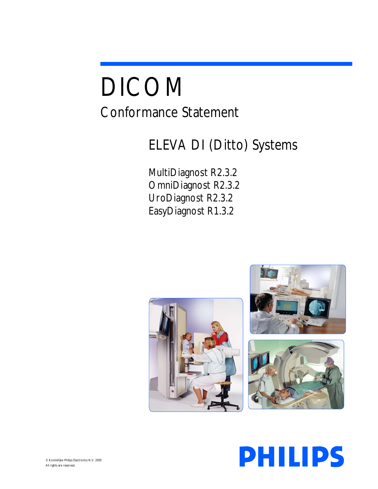# DICOM Conformance Statement

# ELEVA DI (Ditto) Systems

MultiDiagnost R2.3.2 OmniDiagnost R2.3.2 UroDiagnost R2.3.2 EasyDiagnost R1.3.2





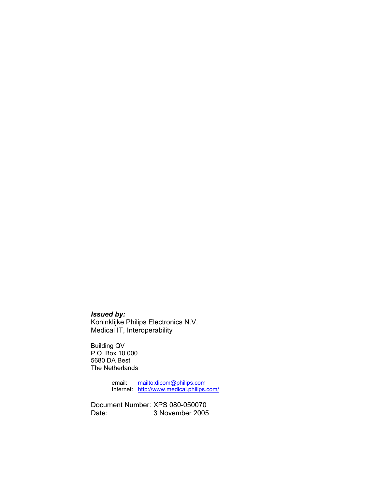## *Issued by:*

Koninklijke Philips Electronics N.V. Medical IT, Interoperability

Building QV P.O. Box 10.000 5680 DA Best The Netherlands

> email: mailto:dicom@philips.com Internet: http://www.medical.philips.com/

Document Number: XPS 080-050070 Date: 3 November 2005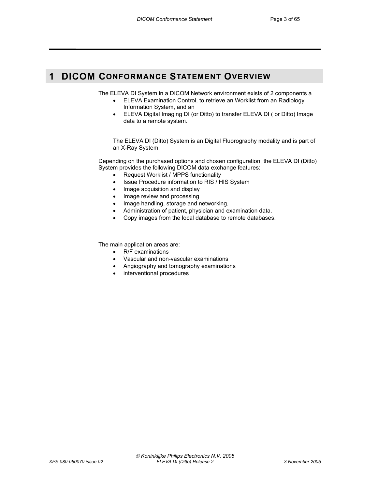# **1 DICOM CONFORMANCE STATEMENT OVERVIEW**

The ELEVA DI System in a DICOM Network environment exists of 2 components a

- ELEVA Examination Control, to retrieve an Worklist from an Radiology Information System, and an
- ELEVA Digital Imaging DI (or Ditto) to transfer ELEVA DI ( or Ditto) Image data to a remote system.

The ELEVA DI (Ditto) System is an Digital Fluorography modality and is part of an X-Ray System.

Depending on the purchased options and chosen configuration, the ELEVA DI (Ditto) System provides the following DICOM data exchange features:

- Request Worklist / MPPS functionality
- Issue Procedure information to RIS / HIS System
- Image acquisition and display
- Image review and processing
- Image handling, storage and networking,
- Administration of patient, physician and examination data.
- Copy images from the local database to remote databases.

The main application areas are:

- R/F examinations
- Vascular and non-vascular examinations
- Angiography and tomography examinations
- interventional procedures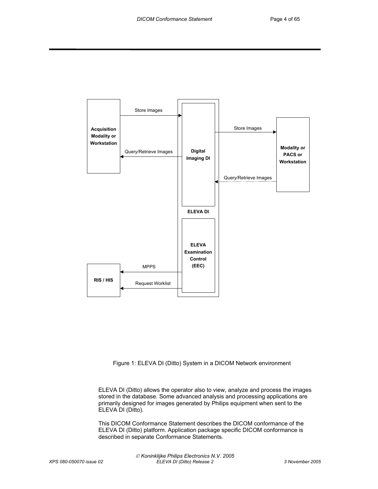

Figure 1: ELEVA DI (Ditto) System in a DICOM Network environment

ELEVA DI (Ditto) allows the operator also to view, analyze and process the images stored in the database. Some advanced analysis and processing applications are primarily designed for images generated by Philips equipment when sent to the ELEVA DI (Ditto).

This DICOM Conformance Statement describes the DICOM conformance of the ELEVA DI (Ditto) platform. Application package specific DICOM conformance is described in separate Conformance Statements.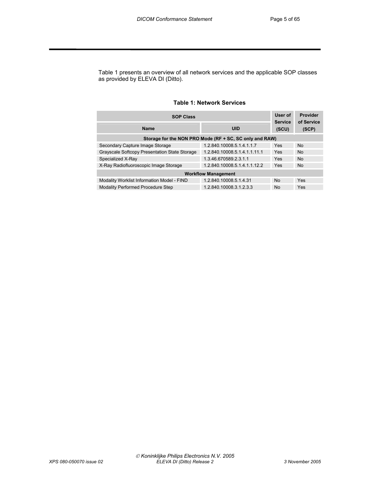Table 1 presents an overview of all network services and the applicable SOP classes as provided by ELEVA DI (Ditto).

#### **Table 1: Network Services**

| <b>SOP Class</b>                              |                                                         |                         | Provider<br>of Service |
|-----------------------------------------------|---------------------------------------------------------|-------------------------|------------------------|
| <b>Name</b>                                   | <b>UID</b>                                              | <b>Service</b><br>(SCU) | (SCP)                  |
|                                               | Storage for the NON PRO Mode (RF + SC, SC only and RAW) |                         |                        |
| Secondary Capture Image Storage               | 1.2.840.10008.5.1.4.1.1.7                               | Yes                     | <b>No</b>              |
| Grayscale Softcopy Presentation State Storage | 1.2.840.10008.5.1.4.1.1.11.1                            | Yes                     | <b>No</b>              |
| Specialized X-Ray                             | 1.3.46.670589.2.3.1.1                                   | Yes                     | <b>No</b>              |
| X-Ray Radiofluoroscopic Image Storage         | 1.2.840.10008.5.1.4.1.1.12.2                            | Yes                     | <b>No</b>              |
|                                               | <b>Workflow Management</b>                              |                         |                        |
| Modality Worklist Information Model - FIND    | 1.2.840.10008.5.1.4.31                                  | <b>No</b>               | Yes                    |
| <b>Modality Performed Procedure Step</b>      | 1.2.840.10008.3.1.2.3.3                                 | <b>No</b>               | Yes                    |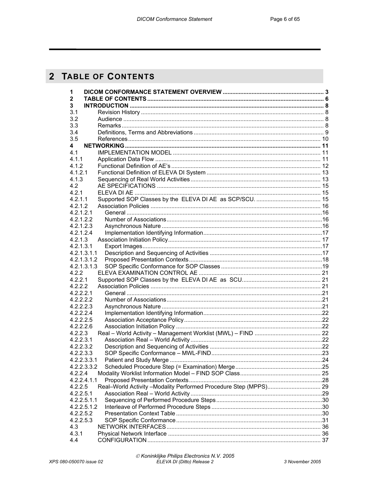# 2 TABLE OF CONTENTS

| 1            |  |
|--------------|--|
| $\mathbf{2}$ |  |
| 3            |  |
| 3.1          |  |
| 3.2          |  |
| 3.3          |  |
| 3.4          |  |
| 3.5          |  |
| 4            |  |
| 4.1          |  |
| 4.1.1        |  |
| 4.1.2        |  |
| 4.1.2.1      |  |
| 4.1.3        |  |
| 4.2          |  |
| 4.2.1        |  |
| 4.2.1.1      |  |
| 4.2.1.2      |  |
| 4.2.1.2.1    |  |
| 4.2.1.2.2    |  |
| 4.2.1.2.3    |  |
| 4.2.1.2.4    |  |
| 4.2.1.3      |  |
| 4.2.1.3.1    |  |
| 4.2.1.3.1.1  |  |
| 4.2.1.3.1.2  |  |
| 4.2.1.3.1.3  |  |
| 4.2.2        |  |
| 4.2.2.1      |  |
| 4.2.2.2      |  |
| 4.2.2.2.1    |  |
| 4.2.2.2.2    |  |
| 4.2.2.2.3    |  |
| 4.2.2.2.4    |  |
| 4.2.2.2.5    |  |
| 4.2.2.2.6    |  |
| 4.2.2.3      |  |
| 4.2.2.3.1    |  |
| 4.2.2.3.2    |  |
| 4.2.2.3.3    |  |
| 4.2.2.3.3.1  |  |
| 4.2.2.3.3.2  |  |
| 4.2.2.4      |  |
| 4.2.2.4.1.1  |  |
| 4.2.2.5      |  |
| 4.2.2.5.1    |  |
| 4.2.2.5.1.1  |  |
| 4.2.2.5.1.2  |  |
| 4.2.2.5.2    |  |
| 4.2.2.5.3    |  |
| 4.3          |  |
| 4.3.1        |  |
| 4.4          |  |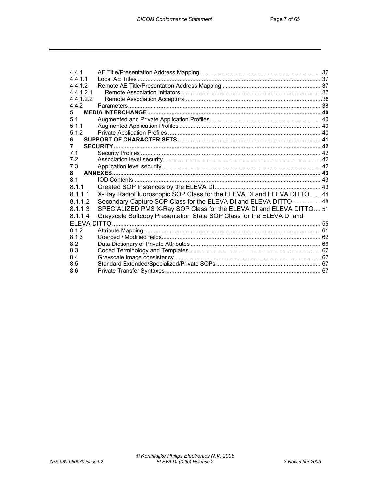| 441       |                                                                       |  |
|-----------|-----------------------------------------------------------------------|--|
| 4.4.1.1   |                                                                       |  |
| 4.4.1.2   |                                                                       |  |
| 4.4.1.2.1 |                                                                       |  |
| 4.4.1.2.2 |                                                                       |  |
| 4.4.2     |                                                                       |  |
| 5.        |                                                                       |  |
| 5.1       |                                                                       |  |
| 5.1.1     |                                                                       |  |
| 5.1.2     |                                                                       |  |
| 6         |                                                                       |  |
| 7         |                                                                       |  |
| 7.1       |                                                                       |  |
| 7.2       |                                                                       |  |
| 7.3       |                                                                       |  |
| 8         |                                                                       |  |
| 8.1       |                                                                       |  |
| 8.1.1     |                                                                       |  |
| 8.1.1.1   | X-Ray RadioFluoroscopic SOP Class for the ELEVA DI and ELEVA DITTO 44 |  |
| 8.1.1.2   | Secondary Capture SOP Class for the ELEVA DI and ELEVA DITTO  48      |  |
| 8.1.1.3   | SPECIALIZED PMS X-Ray SOP Class for the ELEVA DI and ELEVA DITTO 51   |  |
| 8.1.1.4   | Grayscale Softcopy Presentation State SOP Class for the ELEVA DI and  |  |
|           |                                                                       |  |
| 8.1.2     |                                                                       |  |
| 8.1.3     |                                                                       |  |
| 8.2       |                                                                       |  |
| 8.3       |                                                                       |  |
| 8.4       |                                                                       |  |
| 8.5       |                                                                       |  |
| 8.6       |                                                                       |  |
|           |                                                                       |  |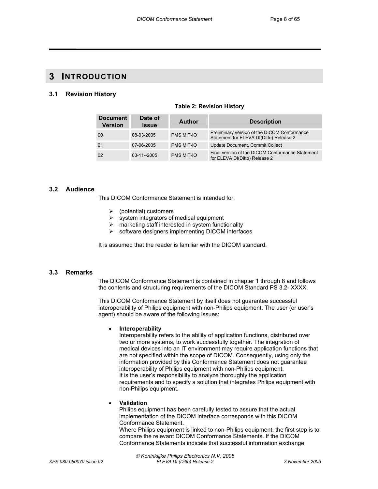# **3 INTRODUCTION**

#### **3.1 Revision History**

| <b>Document</b><br><b>Version</b> | Date of<br><b>Issue</b> | Author            | <b>Description</b>                                                                      |
|-----------------------------------|-------------------------|-------------------|-----------------------------------------------------------------------------------------|
| 00                                | 08-03-2005              | PMS MIT-IO        | Preliminary version of the DICOM Conformance<br>Statement for ELEVA DI(Ditto) Release 2 |
| 01                                | 07-06-2005              | <b>PMS MIT-IO</b> | Update Document, Commit Collect                                                         |
| 02                                | $03 - 11 - 2005$        | PMS MIT-IO        | Final version of the DICOM Conformance Statement<br>for ELEVA DI(Ditto) Release 2       |

#### **Table 2: Revision History**

#### **3.2 Audience**

This DICOM Conformance Statement is intended for:

- $\triangleright$  (potential) customers
- $\triangleright$  system integrators of medical equipment
- $\triangleright$  marketing staff interested in system functionality
- $\triangleright$  software designers implementing DICOM interfaces

It is assumed that the reader is familiar with the DICOM standard.

#### **3.3 Remarks**

The DICOM Conformance Statement is contained in chapter 1 through 8 and follows the contents and structuring requirements of the DICOM Standard PS 3.2- XXXX.

This DICOM Conformance Statement by itself does not guarantee successful interoperability of Philips equipment with non-Philips equipment. The user (or user's agent) should be aware of the following issues:

#### • **Interoperability**

Interoperability refers to the ability of application functions, distributed over two or more systems, to work successfully together. The integration of medical devices into an IT environment may require application functions that are not specified within the scope of DICOM. Consequently, using only the information provided by this Conformance Statement does not guarantee interoperability of Philips equipment with non-Philips equipment. It is the user's responsibility to analyze thoroughly the application requirements and to specify a solution that integrates Philips equipment with non-Philips equipment.

#### • **Validation**

Philips equipment has been carefully tested to assure that the actual implementation of the DICOM interface corresponds with this DICOM Conformance Statement.

Where Philips equipment is linked to non-Philips equipment, the first step is to compare the relevant DICOM Conformance Statements. If the DICOM Conformance Statements indicate that successful information exchange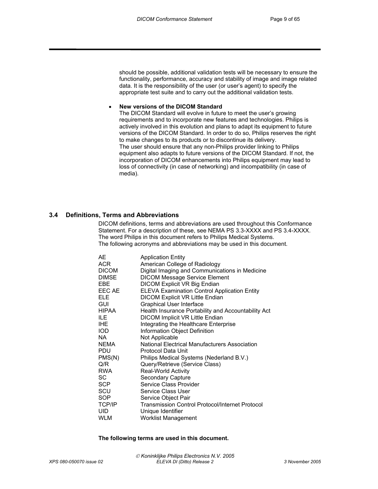should be possible, additional validation tests will be necessary to ensure the functionality, performance, accuracy and stability of image and image related data. It is the responsibility of the user (or user's agent) to specify the appropriate test suite and to carry out the additional validation tests.

#### • **New versions of the DICOM Standard**

The DICOM Standard will evolve in future to meet the user's growing requirements and to incorporate new features and technologies. Philips is actively involved in this evolution and plans to adapt its equipment to future versions of the DICOM Standard. In order to do so, Philips reserves the right to make changes to its products or to discontinue its delivery. The user should ensure that any non-Philips provider linking to Philips equipment also adapts to future versions of the DICOM Standard. If not, the incorporation of DICOM enhancements into Philips equipment may lead to loss of connectivity (in case of networking) and incompatibility (in case of media).

#### **3.4 Definitions, Terms and Abbreviations**

DICOM definitions, terms and abbreviations are used throughout this Conformance Statement. For a description of these, see NEMA PS 3.3-XXXX and PS 3.4-XXXX. The word Philips in this document refers to Philips Medical Systems. The following acronyms and abbreviations may be used in this document.

| <b>Application Entity</b>                              |
|--------------------------------------------------------|
| American College of Radiology                          |
| Digital Imaging and Communications in Medicine         |
| <b>DICOM Message Service Element</b>                   |
| <b>DICOM Explicit VR Big Endian</b>                    |
| ELEVA Examination Control Application Entity           |
| DICOM Explicit VR Little Endian                        |
| Graphical User Interface                               |
| Health Insurance Portability and Accountability Act    |
| DICOM Implicit VR Little Endian                        |
| Integrating the Healthcare Enterprise                  |
| Information Object Definition                          |
| Not Applicable                                         |
| National Electrical Manufacturers Association          |
| Protocol Data Unit                                     |
| Philips Medical Systems (Nederland B.V.)               |
| Query/Retrieve (Service Class)                         |
| <b>Real-World Activity</b>                             |
| Secondary Capture                                      |
| Service Class Provider                                 |
| <b>Service Class User</b>                              |
| Service Object Pair                                    |
| <b>Transmission Control Protocol/Internet Protocol</b> |
| Unique Identifier                                      |
| <b>Worklist Management</b>                             |
|                                                        |

#### **The following terms are used in this document.**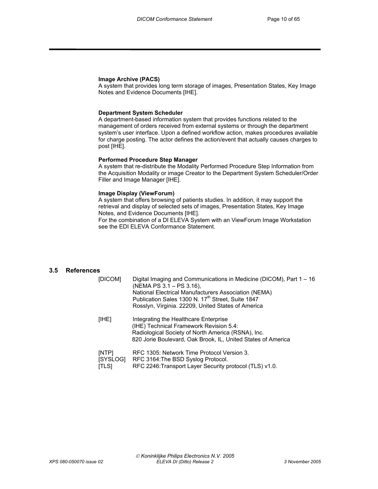#### **Image Archive (PACS)**

A system that provides long term storage of images, Presentation States, Key Image Notes and Evidence Documents [IHE].

#### **Department System Scheduler**

A department-based information system that provides functions related to the management of orders received from external systems or through the department system's user interface. Upon a defined workflow action, makes procedures available for charge posting. The actor defines the action/event that actually causes charges to post [IHE].

#### **Performed Procedure Step Manager**

A system that re-distribute the Modality Performed Procedure Step Information from the Acquisition Modality or image Creator to the Department System Scheduler/Order Filler and Image Manager [IHE].

#### **Image Display (ViewForum)**

A system that offers browsing of patients studies. In addition, it may support the retrieval and display of selected sets of images, Presentation States, Key Image Notes, and Evidence Documents [IHE].

For the combination of a DI ELEVA System with an ViewForum Image Workstation see the EDI ELEVA Conformance Statement.

#### **3.5 References**

| [DICOM]        |          | Digital Imaging and Communications in Medicine (DICOM), Part 1 – 16<br>(NEMA PS 3.1 – PS 3.16),<br>National Electrical Manufacturers Association (NEMA)<br>Publication Sales 1300 N. 17 <sup>th</sup> Street, Suite 1847<br>Rosslyn, Virginia. 22209, United States of America |
|----------------|----------|--------------------------------------------------------------------------------------------------------------------------------------------------------------------------------------------------------------------------------------------------------------------------------|
| [IHE]          |          | Integrating the Healthcare Enterprise<br>(IHE) Technical Framework Revision 5.4:<br>Radiological Society of North America (RSNA), Inc.<br>820 Jorie Boulevard, Oak Brook, IL, United States of America                                                                         |
| [NTP]<br>[TLS] | [SYSLOG] | RFC 1305: Network Time Protocol Version 3.<br>RFC 3164: The BSD Syslog Protocol.<br>RFC 2246: Transport Layer Security protocol (TLS) v1.0.                                                                                                                                    |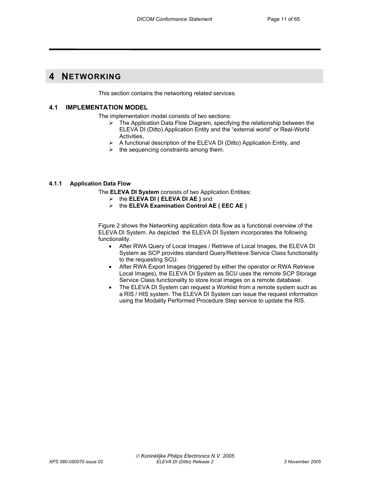# **4 NETWORKING**

This section contains the networking related services.

#### **4.1 IMPLEMENTATION MODEL**

The implementation model consists of two sections:

- $\triangleright$  The Application Data Flow Diagram, specifying the relationship between the ELEVA DI (Ditto) Application Entity and the "external world" or Real-World Activities,
- ¾ A functional description of the ELEVA DI (Ditto) Application Entity, and
- $\triangleright$  the sequencing constraints among them.

#### **4.1.1 Application Data Flow**

The **ELEVA DI System** consists of two Application Entities:

- ¾ the **ELEVA DI ( ELEVA DI AE )** and
- ¾ the **ELEVA Examination Control AE ( EEC AE )**

Figure 2 shows the Networking application data flow as a functional overview of the ELEVA DI System. As depicted the ELEVA DI System incorporates the following functionality.

- After RWA Query of Local Images / Retrieve of Local Images, the ELEVA DI System as SCP provides standard Query/Retrieve Service Class functionality to the requesting SCU.
- After RWA Export Images (triggered by either the operator or RWA Retrieve Local Images), the ELEVA DI System as SCU uses the remote SCP Storage Service Class functionality to store local images on a remote database.
- The ELEVA DI System can request a Worklist from a remote system such as a RIS / HIS system. The ELEVA DI System can issue the request information using the Modality Performed Procedure Step service to update the RIS.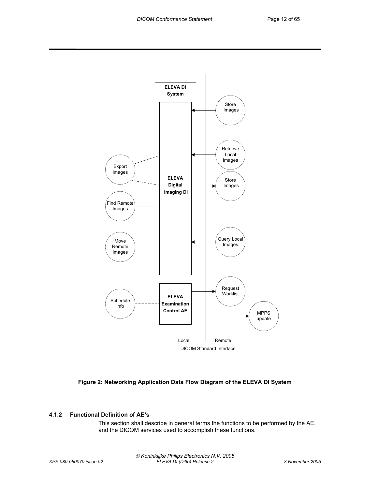



#### **4.1.2 Functional Definition of AE's**

This section shall describe in general terms the functions to be performed by the AE, and the DICOM services used to accomplish these functions.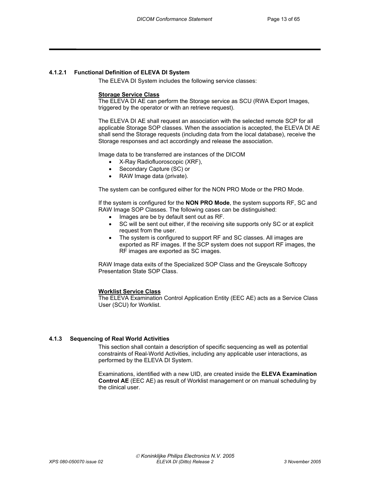#### **4.1.2.1 Functional Definition of ELEVA DI System**

The ELEVA DI System includes the following service classes:

#### **Storage Service Class**

The ELEVA DI AE can perform the Storage service as SCU (RWA Export Images, triggered by the operator or with an retrieve request).

The ELEVA DI AE shall request an association with the selected remote SCP for all applicable Storage SOP classes. When the association is accepted, the ELEVA DI AE shall send the Storage requests (including data from the local database), receive the Storage responses and act accordingly and release the association.

Image data to be transferred are instances of the DICOM

- X-Ray Radiofluoroscopic (XRF),
- Secondary Capture (SC) or
- RAW Image data (private).

The system can be configured either for the NON PRO Mode or the PRO Mode.

If the system is configured for the **NON PRO Mode**, the system supports RF, SC and RAW Image SOP Classes. The following cases can be distinguished:

- Images are be by default sent out as RF.
- SC will be sent out either, if the receiving site supports only SC or at explicit request from the user.
- The system is configured to support RF and SC classes. All images are exported as RF images. If the SCP system does not support RF images, the RF images are exported as SC images.

RAW Image data exits of the Specialized SOP Class and the Greyscale Softcopy Presentation State SOP Class.

#### **Worklist Service Class**

The ELEVA Examination Control Application Entity (EEC AE) acts as a Service Class User (SCU) for Worklist.

#### **4.1.3 Sequencing of Real World Activities**

This section shall contain a description of specific sequencing as well as potential constraints of Real-World Activities, including any applicable user interactions, as performed by the ELEVA DI System.

Examinations, identified with a new UID, are created inside the **ELEVA Examination Control AE** (EEC AE) as result of Worklist management or on manual scheduling by the clinical user.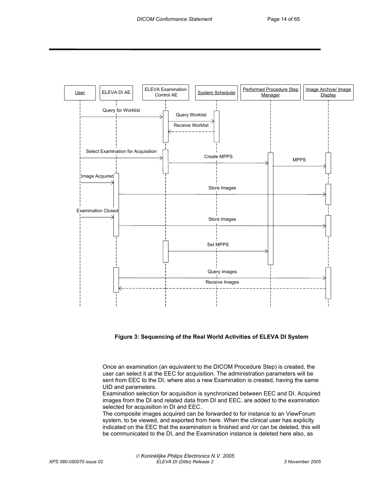

**Figure 3: Sequencing of the Real World Activities of ELEVA DI System** 

Once an examination (an equivalent to the DICOM Procedure Step) is created, the user can select it at the EEC for acquisition. The administration parameters will be sent from EEC to the DI, where also a new Examination is created, having the same UID and parameters.

Examination selection for acquisition is synchronized between EEC and DI. Acquired images from the DI and related data from DI and EEC, are added to the examination selected for acquisition in DI and EEC.

The composite images acquired can be forwarded to for instance to an ViewForum system, to be viewed, and exported from here. When the clinical user has explicity indicated on the EEC that the examination is finished and /or can be deleted, this will be communicated to the DI, and the Examination instance is deleted here also, as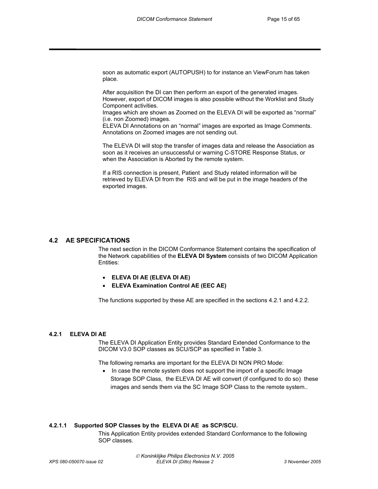soon as automatic export (AUTOPUSH) to for instance an ViewForum has taken place.

After acquisition the DI can then perform an export of the generated images. However, export of DICOM images is also possible without the Worklist and Study Component activities.

Images which are shown as Zoomed on the ELEVA DI will be exported as "normal" (i.e. non Zoomed) images.

ELEVA DI Annotations on an "normal" images are exported as Image Comments. Annotations on Zoomed images are not sending out.

The ELEVA DI will stop the transfer of images data and release the Association as soon as it receives an unsuccessful or warning C-STORE Response Status, or when the Association is Aborted by the remote system.

If a RIS connection is present, Patient and Study related information will be retrieved by ELEVA DI from the RIS and will be put in the image headers of the exported images.

#### **4.2 AE SPECIFICATIONS**

The next section in the DICOM Conformance Statement contains the specification of the Network capabilities of the **ELEVA DI System** consists of two DICOM Application Entities:

- **ELEVA DI AE (ELEVA DI AE)**
- **ELEVA Examination Control AE (EEC AE)**

The functions supported by these AE are specified in the sections 4.2.1 and 4.2.2.

#### **4.2.1 ELEVA DI AE**

The ELEVA DI Application Entity provides Standard Extended Conformance to the DICOM V3.0 SOP classes as SCU/SCP as specified in Table 3.

The following remarks are important for the ELEVA DI NON PRO Mode:

• In case the remote system does not support the import of a specific Image Storage SOP Class, the ELEVA DI AE will convert (if configured to do so) these images and sends them via the SC Image SOP Class to the remote system..

#### **4.2.1.1 Supported SOP Classes by the ELEVA DI AE as SCP/SCU.**

This Application Entity provides extended Standard Conformance to the following SOP classes.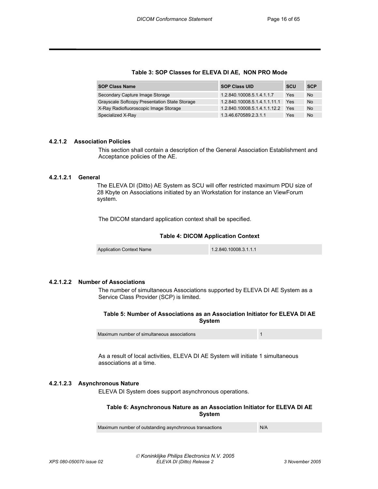#### **Table 3: SOP Classes for ELEVA DI AE, NON PRO Mode**

| <b>SOP Class Name</b>                         | <b>SOP Class UID</b>         | <b>SCU</b> | <b>SCP</b> |
|-----------------------------------------------|------------------------------|------------|------------|
| Secondary Capture Image Storage               | 1.2.840.10008.5.1.4.1.1.7    | Yes        | <b>No</b>  |
| Grayscale Softcopy Presentation State Storage | 1.2.840.10008.5.1.4.1.1.11.1 | Yes        | <b>No</b>  |
| X-Ray Radiofluoroscopic Image Storage         | 1.2.840.10008.5.1.4.1.1.12.2 | Yes        | <b>No</b>  |
| Specialized X-Ray                             | 1.3.46.670589.2.3.1.1        | Yes        | <b>No</b>  |

#### **4.2.1.2 Association Policies**

This section shall contain a description of the General Association Establishment and Acceptance policies of the AE.

#### **4.2.1.2.1 General**

 The ELEVA DI (Ditto) AE System as SCU will offer restricted maximum PDU size of 28 Kbyte on Associations initiated by an Workstation for instance an ViewForum system.

The DICOM standard application context shall be specified.

#### **Table 4: DICOM Application Context**

Application Context Name 1.2.840.10008.3.1.1.1

#### **4.2.1.2.2 Number of Associations**

The number of simultaneous Associations supported by ELEVA DI AE System as a Service Class Provider (SCP) is limited.

**Table 5: Number of Associations as an Association Initiator for ELEVA DI AE System** 

Maximum number of simultaneous associations 1

As a result of local activities, ELEVA DI AE System will initiate 1 simultaneous associations at a time.

#### **4.2.1.2.3 Asynchronous Nature**

ELEVA DI System does support asynchronous operations.

#### **Table 6: Asynchronous Nature as an Association Initiator for ELEVA DI AE System**

Maximum number of outstanding asynchronous transactions N/A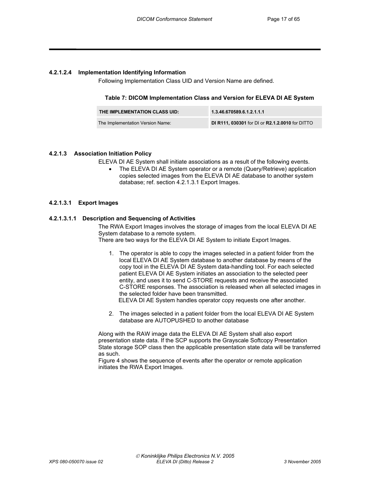#### **4.2.1.2.4 Implementation Identifying Information**

Following Implementation Class UID and Version Name are defined.

#### **Table 7: DICOM Implementation Class and Version for ELEVA DI AE System**

| THE IMPLEMENTATION CLASS UID:    | 1.3.46.670589.6.1.2.1.1.1                       |
|----------------------------------|-------------------------------------------------|
| The Implementation Version Name: | DI R111, 030301 for DI or R2.1.2.0010 for DITTO |

#### **4.2.1.3 Association Initiation Policy**

ELEVA DI AE System shall initiate associations as a result of the following events.

• The ELEVA DI AE System operator or a remote (Query/Retrieve) application copies selected images from the ELEVA DI AE database to another system database; ref. section 4.2.1.3.1 Export Images.

#### **4.2.1.3.1 Export Images**

#### **4.2.1.3.1.1 Description and Sequencing of Activities**

The RWA Export Images involves the storage of images from the local ELEVA DI AE System database to a remote system.

There are two ways for the ELEVA DI AE System to initiate Export Images.

1. The operator is able to copy the images selected in a patient folder from the local ELEVA DI AE System database to another database by means of the copy tool in the ELEVA DI AE System data-handling tool. For each selected patient ELEVA DI AE System initiates an association to the selected peer entity, and uses it to send C-STORE requests and receive the associated C-STORE responses. The association is released when all selected images in the selected folder have been transmitted. ELEVA DI AE System handles operator copy requests one after another.

2. The images selected in a patient folder from the local ELEVA DI AE System

database are AUTOPUSHED to another database

Along with the RAW image data the ELEVA DI AE System shall also export presentation state data. If the SCP supports the Grayscale Softcopy Presentation State storage SOP class then the applicable presentation state data will be transferred as such.

Figure 4 shows the sequence of events after the operator or remote application initiates the RWA Export Images.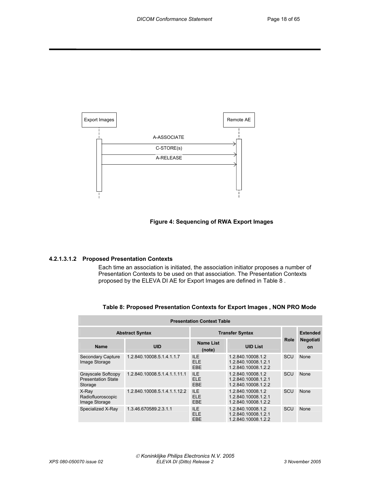

#### **Figure 4: Sequencing of RWA Export Images**

#### **4.2.1.3.1.2 Proposed Presentation Contexts**

Each time an association is initiated, the association initiator proposes a number of Presentation Contexts to be used on that association. The Presentation Contexts proposed by the ELEVA DI AE for Export Images are defined in Table 8 .

| <b>Presentation Context Table</b>                          |                              |                                 |                                                                 |             |                               |
|------------------------------------------------------------|------------------------------|---------------------------------|-----------------------------------------------------------------|-------------|-------------------------------|
|                                                            | <b>Abstract Syntax</b>       | <b>Transfer Syntax</b>          |                                                                 |             | <b>Extended</b>               |
| <b>Name</b>                                                | <b>UID</b>                   | <b>Name List</b><br>(note)      | <b>UID List</b>                                                 | <b>Role</b> | <b>Negotiati</b><br><b>on</b> |
| <b>Secondary Capture</b><br>Image Storage                  | 1.2.840.10008.5.1.4.1.1.7    | ILE.<br><b>ELE</b><br>EBE       | 1.2.840.10008.1.2<br>1.2.840.10008.1.2.1<br>1.2.840.10008.1.2.2 | SCU         | None                          |
| Grayscale Softcopy<br><b>Presentation State</b><br>Storage | 1.2.840.10008.5.1.4.1.1.11.1 | <b>ILE</b><br><b>ELE</b><br>EBE | 1.2.840.10008.1.2<br>1.2.840.10008.1.2.1<br>1.2.840.10008.1.2.2 | SCU         | None                          |
| X-Ray<br>Radiofluoroscopic<br>Image Storage                | 1.2.840.10008.5.1.4.1.1.12.2 | <b>ILE</b><br><b>ELE</b><br>EBE | 1.2.840.10008.1.2<br>1.2.840.10008.1.2.1<br>1.2.840.10008.1.2.2 | SCU         | None                          |
| Specialized X-Ray                                          | 1.3.46.670589.2.3.1.1        | <b>ILE</b><br><b>ELE</b><br>EBE | 1.2.840.10008.1.2<br>1.2.840.10008.1.2.1<br>1.2.840.10008.1.2.2 | SCU         | None                          |

**Table 8: Proposed Presentation Contexts for Export Images , NON PRO Mode**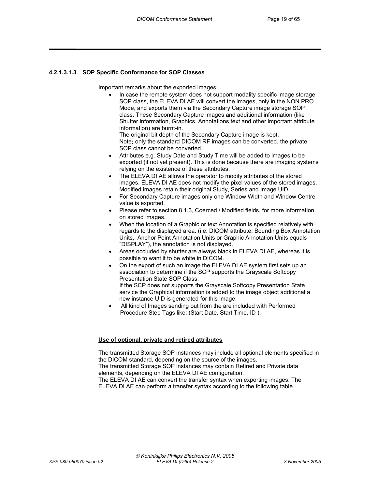#### **4.2.1.3.1.3 SOP Specific Conformance for SOP Classes**

Important remarks about the exported images:

In case the remote system does not support modality specific image storage SOP class, the ELEVA DI AE will convert the images, only in the NON PRO Mode, and exports them via the Secondary Capture image storage SOP class. These Secondary Capture images and additional information (like Shutter information, Graphics, Annotations text and other important attribute information) are burnt-in.

The original bit depth of the Secondary Capture image is kept. Note**:** only the standard DICOM RF images can be converted, the private SOP class cannot be converted.

- Attributes e.g. Study Date and Study Time will be added to images to be exported (if not yet present). This is done because there are imaging systems relying on the existence of these attributes.
- The ELEVA DI AE allows the operator to modify attributes of the stored images. ELEVA DI AE does not modify the pixel values of the stored images. Modified images retain their original Study, Series and Image UID.
- For Secondary Capture images only one Window Width and Window Centre value is exported.
- Please refer to section 8.1.3, Coerced / Modified fields, for more information on stored images.
- When the location of a Graphic or text Annotation is specified relatively with regards to the displayed area. (i.e. DICOM attribute: Bounding Box Annotation Units, Anchor Point Annotation Units or Graphic Annotation Units equals "DISPLAY"), the annotation is not displayed.
- Areas occluded by shutter are always black in ELEVA DI AE, whereas it is possible to want it to be white in DICOM.
- On the export of such an image the ELEVA DI AE system first sets up an association to determine if the SCP supports the Grayscale Softcopy Presentation State SOP Class.

If the SCP does not supports the Grayscale Softcopy Presentation State service the Graphical information is added to the image object additional a new instance UID is generated for this image.

All kind of Images sending out from the are included with Performed Procedure Step Tags like: (Start Date, Start Time, ID ).

#### **Use of optional, private and retired attributes**

The transmitted Storage SOP instances may include all optional elements specified in the DICOM standard, depending on the source of the images. The transmitted Storage SOP instances may contain Retired and Private data

elements, depending on the ELEVA DI AE configuration. The ELEVA DI AE can convert the transfer syntax when exporting images. The

ELEVA DI AE can perform a transfer syntax according to the following table.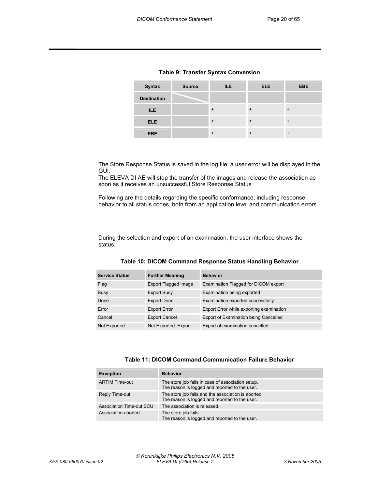| <b>Syntax</b>      | <b>Source</b> | <b>ILE</b> | <b>ELE</b> | <b>EBE</b> |
|--------------------|---------------|------------|------------|------------|
| <b>Destination</b> |               |            |            |            |
| ILE.               |               | $\ddot{}$  | $\ddot{}$  | $\ddot{}$  |
| <b>ELE</b>         |               | $\ddot{}$  | $\ddot{}$  | $\ddot{}$  |
| <b>EBE</b>         |               | $\ddot{}$  | $\ddot{}$  | $\ddot{}$  |

#### **Table 9: Transfer Syntax Conversion**

The Store Response Status is saved in the log file; a user error will be displayed in the GUI.

The ELEVA DI AE will stop the transfer of the images and release the association as soon as it receives an unsuccessful Store Response Status.

Following are the details regarding the specific conformance, including response behavior to all status codes, both from an application level and communication errors.

During the selection and export of an examination, the user interface shows the status:

| <b>Service Status</b> | <b>Further Meaning</b> | <b>Behavior</b>                          |
|-----------------------|------------------------|------------------------------------------|
| Flag                  | Export Flagged image   | Examination Flagged for DICOM export     |
| Busy                  | <b>Export Busy</b>     | Examination being exported               |
| Done                  | <b>Export Done</b>     | Examination exported successfully        |
| Error                 | <b>Export Error</b>    | Export Error while exporting examination |
| Cancel                | <b>Export Cancel</b>   | Export of Examination being Cancelled    |
| Not Exported          | Not Exported Export    | Export of examination cancelled          |

#### **Table 10: DICOM Command Response Status Handling Behavior**

#### **Table 11: DICOM Command Communication Failure Behavior**

| <b>Exception</b>         | <b>Behavior</b>                                                                                       |
|--------------------------|-------------------------------------------------------------------------------------------------------|
| <b>ARTIM Time-out</b>    | The store job fails in case of association setup.<br>The reason is logged and reported to the user.   |
| Reply Time-out           | The store job fails and the association is aborted.<br>The reason is logged and reported to the user. |
| Association Time-out SCU | The association is released.                                                                          |
| Association aborted      | The store job fails.<br>The reason is logged and reported to the user.                                |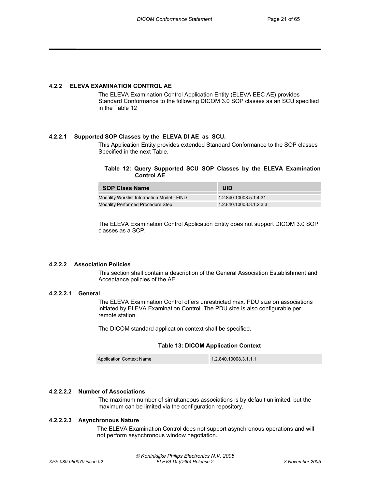#### **4.2.2 ELEVA EXAMINATION CONTROL AE**

The ELEVA Examination Control Application Entity (ELEVA EEC AE) provides Standard Conformance to the following DICOM 3.0 SOP classes as an SCU specified in the Table 12

#### **4.2.2.1 Supported SOP Classes by the ELEVA DI AE as SCU.**

This Application Entity provides extended Standard Conformance to the SOP classes Specified in the next Table.

#### **Table 12: Query Supported SCU SOP Classes by the ELEVA Examination Control AE**

| <b>SOP Class Name</b>                      | UID                     |
|--------------------------------------------|-------------------------|
| Modality Worklist Information Model - FIND | 1.2.840.10008.5.1.4.31  |
| Modality Performed Procedure Step          | 1.2.840.10008.3.1.2.3.3 |

The ELEVA Examination Control Application Entity does not support DICOM 3.0 SOP classes as a SCP.

#### **4.2.2.2 Association Policies**

This section shall contain a description of the General Association Establishment and Acceptance policies of the AE.

#### **4.2.2.2.1 General**

The ELEVA Examination Control offers unrestricted max. PDU size on associations initiated by ELEVA Examination Control. The PDU size is also configurable per remote station.

The DICOM standard application context shall be specified.

#### **Table 13: DICOM Application Context**

Application Context Name 1.2.840.10008.3.1.1.1

#### **4.2.2.2.2 Number of Associations**

The maximum number of simultaneous associations is by default unlimited, but the maximum can be limited via the configuration repository.

#### **4.2.2.2.3 Asynchronous Nature**

 The ELEVA Examination Control does not support asynchronous operations and will not perform asynchronous window negotiation.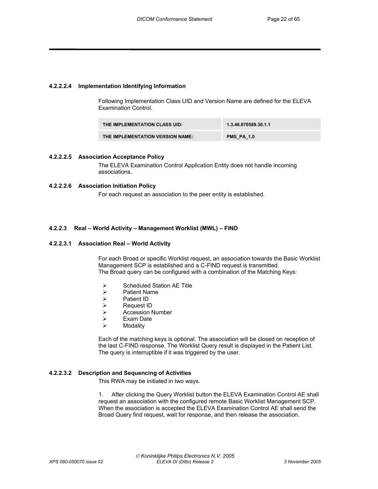#### **4.2.2.2.4 Implementation Identifying Information**

Following Implementation Class UID and Version Name are defined for the ELEVA Examination Control.

| THE IMPLEMENTATION CLASS UID:    | 1.3.46.670589.30.1.1 |
|----------------------------------|----------------------|
| THE IMPLEMENTATION VERSION NAME: | <b>PMS PA 1.0</b>    |

#### **4.2.2.2.5 Association Acceptance Policy**

The ELEVA Examination Control Application Entity does not handle incoming associations.

#### **4.2.2.2.6 Association Initiation Policy**

For each request an association to the peer entity is established.

#### **4.2.2.3 Real – World Activity – Management Worklist (MWL) – FIND**

#### **4.2.2.3.1 Association Real – World Activity**

For each Broad or specific Worklist request, an association towards the Basic Worklist Management SCP is established and a C-FIND request is transmitted. The Broad query can be configured with a combination of the Matching Keys:

- $\triangleright$  Scheduled Station AE Title<br>  $\triangleright$  Patient Name
- **Patient Name**
- 
- ¾ Patient ID → Request ID<br>→ Accession N
- **Exam Date**<br>► Exam Date
- **Exam Date**
- ¾ Modality

Each of the matching keys is optional. The association will be closed on reception of the last C-FIND response. The Worklist Query result is displayed in the Patient List. The query is interruptible if it was triggered by the user.

#### **4.2.2.3.2 Description and Sequencing of Activities**

This RWA may be initiated in two ways.

1. After clicking the Query Worklist button the ELEVA Examination Control AE shall request an association with the configured remote Basic Worklist Management SCP. When the association is accepted the ELEVA Examination Control AE shall send the Broad Query find request, wait for response, and then release the association.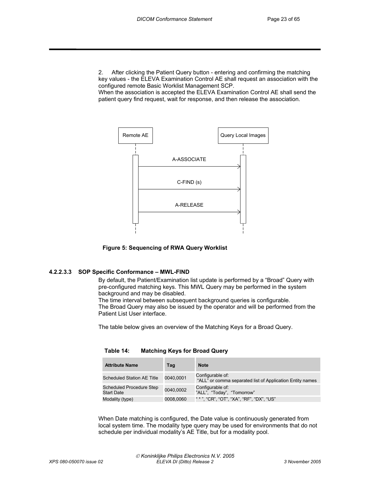2. After clicking the Patient Query button - entering and confirming the matching key values - the ELEVA Examination Control AE shall request an association with the configured remote Basic Worklist Management SCP.

When the association is accepted the ELEVA Examination Control AE shall send the patient query find request, wait for response, and then release the association.



**Figure 5: Sequencing of RWA Query Worklist** 

#### **4.2.2.3.3 SOP Specific Conformance – MWL-FIND**

By default, the Patient/Examination list update is performed by a "Broad" Query with pre-configured matching keys. This MWL Query may be performed in the system background and may be disabled.

The time interval between subsequent background queries is configurable. The Broad Query may also be issued by the operator and will be performed from the Patient List User interface.

The table below gives an overview of the Matching Keys for a Broad Query.

| <b>Attribute Name</b>                                | Tag       | <b>Note</b>                                                                   |
|------------------------------------------------------|-----------|-------------------------------------------------------------------------------|
| Scheduled Station AE Title                           | 0040.0001 | Configurable of:<br>"ALL" or comma separated list of Application Entity names |
| <b>Scheduled Procedure Step</b><br><b>Start Date</b> | 0040.0002 | Configurable of:<br>"ALL", "Today", "Tomorrow"                                |

**Table 14: Matching Keys for Broad Query** 

When Date matching is configured, the Date value is continuously generated from local system time. The modality type query may be used for environments that do not schedule per individual modality's AE Title, but for a modality pool.

Modality (type) 0008,0060 " \* ", "CR", "OT", "XA", "RF", "DX", "US"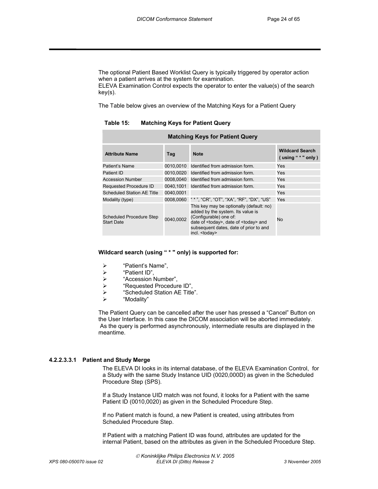The optional Patient Based Worklist Query is typically triggered by operator action when a patient arrives at the system for examination. ELEVA Examination Control expects the operator to enter the value(s) of the search key(s).

The Table below gives an overview of the Matching Keys for a Patient Query

**Table 15: Matching Keys for Patient Query** 

| <b>Matching Keys for Patient Query</b>        |           |                                                                                                                                                                                                                                      |                                                      |  |  |  |  |  |
|-----------------------------------------------|-----------|--------------------------------------------------------------------------------------------------------------------------------------------------------------------------------------------------------------------------------------|------------------------------------------------------|--|--|--|--|--|
| <b>Attribute Name</b>                         | Tag       | <b>Note</b>                                                                                                                                                                                                                          | <b>Wildcard Search</b><br>$($ using " $*$ " only $)$ |  |  |  |  |  |
| Patient's Name                                | 0010,0010 | Identified from admission form.                                                                                                                                                                                                      | Yes                                                  |  |  |  |  |  |
| Patient ID                                    | 0010,0020 | Identified from admission form.                                                                                                                                                                                                      | Yes                                                  |  |  |  |  |  |
| <b>Accession Number</b>                       | 0008.0040 | Identified from admission form.                                                                                                                                                                                                      | Yes                                                  |  |  |  |  |  |
| Requested Procedure ID                        | 0040.1001 | Identified from admission form.                                                                                                                                                                                                      | Yes                                                  |  |  |  |  |  |
| Scheduled Station AE Title                    | 0040,0001 |                                                                                                                                                                                                                                      | Yes                                                  |  |  |  |  |  |
| Modality (type)                               | 0008.0060 | " * ", "CR", "OT", "XA", "RF", "DX", "US"                                                                                                                                                                                            | Yes                                                  |  |  |  |  |  |
| Scheduled Procedure Step<br><b>Start Date</b> | 0040,0002 | This key may be optionally (default: no)<br>added by the system. Its value is<br>(Configurable) one of:<br>date of <today>, date of <today> and<br/>subsequent dates, date of prior to and<br/>incl. <today></today></today></today> | No                                                   |  |  |  |  |  |

#### **Wildcard search (using " \* " only) is supported for:**

- ¾ "Patient's Name",
- 
- ¾ "Patient ID", ¾ "Accession Number",
- 
- ¾ "Requested Procedure ID", ¾ "Scheduled Station AE Title".
- ¾ "Modality"

The Patient Query can be cancelled after the user has pressed a "Cancel" Button on the User Interface. In this case the DICOM association will be aborted immediately. As the query is performed asynchronously, intermediate results are displayed in the meantime.

#### **4.2.2.3.3.1 Patient and Study Merge**

The ELEVA DI looks in its internal database, of the ELEVA Examination Control, for a Study with the same Study Instance UID (0020,000D) as given in the Scheduled Procedure Step (SPS).

If a Study Instance UID match was not found, it looks for a Patient with the same Patient ID (0010,0020) as given in the Scheduled Procedure Step.

If no Patient match is found, a new Patient is created, using attributes from Scheduled Procedure Step.

If Patient with a matching Patient ID was found, attributes are updated for the internal Patient, based on the attributes as given in the Scheduled Procedure Step.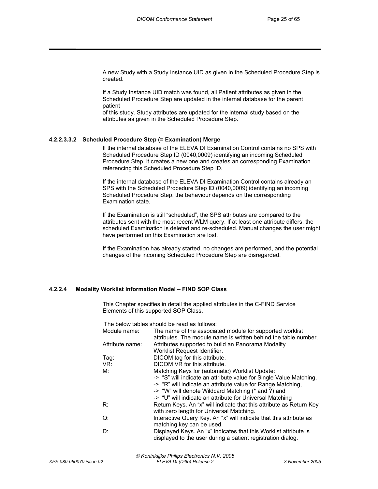A new Study with a Study Instance UID as given in the Scheduled Procedure Step is created.

If a Study Instance UID match was found, all Patient attributes as given in the Scheduled Procedure Step are updated in the internal database for the parent patient

of this study. Study attributes are updated for the internal study based on the attributes as given in the Scheduled Procedure Step.

#### **4.2.2.3.3.2 Scheduled Procedure Step (= Examination) Merge**

If the internal database of the ELEVA DI Examination Control contains no SPS with Scheduled Procedure Step ID (0040,0009) identifying an incoming Scheduled Procedure Step, it creates a new one and creates an corresponding Examination referencing this Scheduled Procedure Step ID.

If the internal database of the ELEVA DI Examination Control contains already an SPS with the Scheduled Procedure Step ID (0040,0009) identifying an incoming Scheduled Procedure Step, the behaviour depends on the corresponding Examination state.

If the Examination is still "scheduled", the SPS attributes are compared to the attributes sent with the most recent WLM query. If at least one attribute differs, the scheduled Examination is deleted and re-scheduled. Manual changes the user might have performed on this Examination are lost.

If the Examination has already started, no changes are performed, and the potential changes of the incoming Scheduled Procedure Step are disregarded.

#### **4.2.2.4 Modality Worklist Information Model – FIND SOP Class**

This Chapter specifies in detail the applied attributes in the C-FIND Service Elements of this supported SOP Class.

The below tables should be read as follows:

| Module name:    | The name of the associated module for supported worklist<br>attributes. The module name is written behind the table number. |
|-----------------|-----------------------------------------------------------------------------------------------------------------------------|
| Attribute name: | Attributes supported to build an Panorama Modality                                                                          |
|                 | Worklist Request Identifier.                                                                                                |
| Tag:            | DICOM tag for this attribute.                                                                                               |
| VR:             | DICOM VR for this attribute.                                                                                                |
| M:              | Matching Keys for (automatic) Worklist Update:                                                                              |
|                 | -> "S" will indicate an attribute value for Single Value Matching,                                                          |
|                 | -> "R" will indicate an attribute value for Range Matching,                                                                 |
|                 | -> "W" will denote Wildcard Matching (* and ?) and                                                                          |
|                 | -> "U" will indicate an attribute for Universal Matching                                                                    |
| R∶              | Return Keys. An "x" will indicate that this attribute as Return Key                                                         |
|                 | with zero length for Universal Matching.                                                                                    |
| Q:              | Interactive Query Key. An "x" will indicate that this attribute as                                                          |
|                 | matching key can be used.                                                                                                   |
| D:              | Displayed Keys. An "x" indicates that this Worklist attribute is                                                            |
|                 | displayed to the user during a patient registration dialog.                                                                 |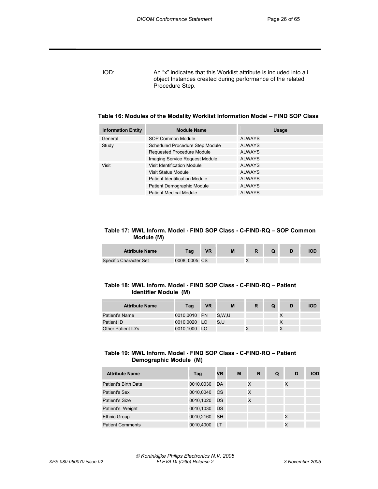IOD: An "x" indicates that this Worklist attribute is included into all object Instances created during performance of the related Procedure Step.

| Table 16: Modules of the Modality Worklist Information Model - FIND SOP Class |  |
|-------------------------------------------------------------------------------|--|
|-------------------------------------------------------------------------------|--|

| <b>Module Name</b>                     | Usage         |
|----------------------------------------|---------------|
| SOP Common Module                      | <b>ALWAYS</b> |
| <b>Scheduled Procedure Step Module</b> | <b>ALWAYS</b> |
| <b>Requested Procedure Module</b>      | <b>ALWAYS</b> |
| Imaging Service Request Module         | <b>ALWAYS</b> |
| Visit Identification Module            | <b>ALWAYS</b> |
| Visit Status Module                    | <b>ALWAYS</b> |
| Patient Identification Module          | <b>ALWAYS</b> |
| Patient Demographic Module             | <b>ALWAYS</b> |
| Patient Medical Module                 | <b>ALWAYS</b> |
|                                        |               |

#### **Table 17: MWL Inform. Model - FIND SOP Class - C-FIND-RQ – SOP Common Module (M)**

| <b>Attribute Name</b>  | Taq          | $\sqrt{D}$ | M |  | IOD |
|------------------------|--------------|------------|---|--|-----|
| Specific Character Set | 0008.0005 CS |            |   |  |     |

#### **Table 18: MWL Inform. Model - FIND SOP Class - C-FIND-RQ – Patient Identifier Module (M)**

| <b>Attribute Name</b> | Tag          | VR | M     |  | IOD |
|-----------------------|--------------|----|-------|--|-----|
| Patient's Name        | 0010,0010 PN |    | S.W.U |  |     |
| Patient ID            | 0010,0020 LO |    | S.U   |  |     |
| Other Patient ID's    | 0010,1000 LO |    |       |  |     |

#### **Table 19: MWL Inform. Model - FIND SOP Class - C-FIND-RQ – Patient Demographic Module (M)**

| <b>Attribute Name</b>   | Tag       | <b>VR</b> | M | R | Q | D | <b>IOD</b> |
|-------------------------|-----------|-----------|---|---|---|---|------------|
| Patient's Birth Date    | 0010,0030 | DA        |   | X |   | X |            |
| <b>Patient's Sex</b>    | 0010,0040 | <b>CS</b> |   | X |   |   |            |
| Patient's Size          | 0010,1020 | DS        |   | X |   |   |            |
| Patient's Weight        | 0010,1030 | DS        |   |   |   |   |            |
| <b>Ethnic Group</b>     | 0010,2160 | <b>SH</b> |   |   |   |   |            |
| <b>Patient Comments</b> | 0010,4000 | <b>LT</b> |   |   |   |   |            |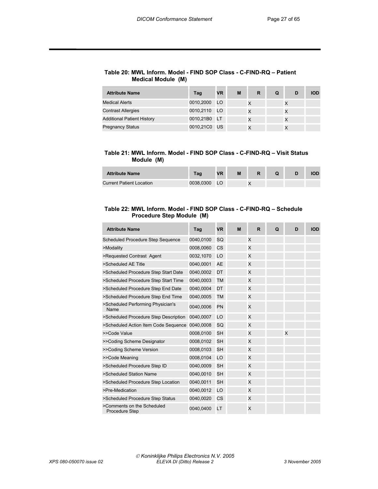#### **Table 20: MWL Inform. Model - FIND SOP Class - C-FIND-RQ – Patient Medical Module (M)**

| <b>Attribute Name</b>             | Tag          | <b>VR</b> | M | R | Q | D | <b>IOD</b> |
|-----------------------------------|--------------|-----------|---|---|---|---|------------|
| <b>Medical Alerts</b>             | 0010,2000    | LO        |   |   |   |   |            |
| <b>Contrast Allergies</b>         | 0010,2110    | LO.       |   |   |   |   |            |
| <b>Additional Patient History</b> | 0010,21B0    | - LT      |   | X |   |   |            |
| <b>Pregnancy Status</b>           | 0010,21C0 US |           |   |   |   |   |            |

#### **Table 21: MWL Inform. Model - FIND SOP Class - C-FIND-RQ – Visit Status Module (M)**

| <b>Attribute Name</b>           | Tag       | <b>VR</b> | M |  |  |
|---------------------------------|-----------|-----------|---|--|--|
| <b>Current Patient Location</b> | 0038.0300 | LO        |   |  |  |

#### **Table 22: MWL Inform. Model - FIND SOP Class - C-FIND-RQ – Schedule Procedure Step Module (M)**

| <b>Attribute Name</b>                               | Tag       | <b>VR</b> | M | R | Q | D | <b>IOD</b> |
|-----------------------------------------------------|-----------|-----------|---|---|---|---|------------|
| Scheduled Procedure Step Sequence                   | 0040,0100 | SQ        |   | X |   |   |            |
| >Modality                                           | 0008,0060 | CS        |   | X |   |   |            |
| >Requested Contrast Agent                           | 0032,1070 | LO        |   | X |   |   |            |
| >Scheduled AE Title                                 | 0040,0001 | AE        |   | X |   |   |            |
| >Scheduled Procedure Step Start Date                | 0040,0002 | DT        |   | X |   |   |            |
| >Scheduled Procedure Step Start Time                | 0040,0003 | <b>TM</b> |   | X |   |   |            |
| >Scheduled Procedure Step End Date                  | 0040,0004 | DT        |   | X |   |   |            |
| >Scheduled Procedure Step End Time                  | 0040,0005 | <b>TM</b> |   | X |   |   |            |
| >Scheduled Performing Physician's<br>Name           | 0040,0006 | PN        |   | X |   |   |            |
| >Scheduled Procedure Step Description               | 0040,0007 | LO        |   | X |   |   |            |
| >Scheduled Action Item Code Sequence                | 0040,0008 | SQ        |   | X |   |   |            |
| >>Code Value                                        | 0008,0100 | <b>SH</b> |   | X |   | X |            |
| >>Coding Scheme Designator                          | 0008,0102 | <b>SH</b> |   | X |   |   |            |
| >>Coding Scheme Version                             | 0008,0103 | <b>SH</b> |   | X |   |   |            |
| >>Code Meaning                                      | 0008,0104 | LO        |   | X |   |   |            |
| >Scheduled Procedure Step ID                        | 0040,0009 | <b>SH</b> |   | X |   |   |            |
| >Scheduled Station Name                             | 0040,0010 | <b>SH</b> |   | X |   |   |            |
| >Scheduled Procedure Step Location                  | 0040,0011 | <b>SH</b> |   | X |   |   |            |
| >Pre-Medication                                     | 0040,0012 | LO        |   | X |   |   |            |
| >Scheduled Procedure Step Status                    | 0040,0020 | CS        |   | X |   |   |            |
| >Comments on the Scheduled<br><b>Procedure Step</b> | 0040,0400 | LT        |   | X |   |   |            |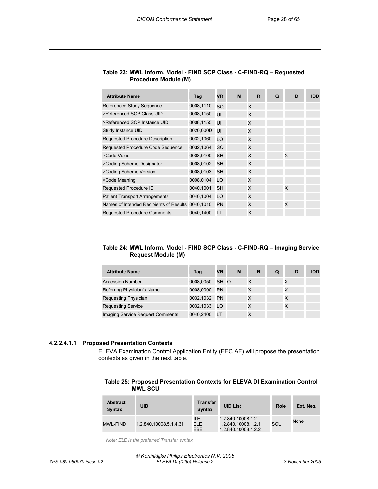| <b>Attribute Name</b>                             | Tag       | <b>VR</b> | M | R | Q | D | <b>IOD</b> |
|---------------------------------------------------|-----------|-----------|---|---|---|---|------------|
| Referenced Study Sequence                         | 0008,1110 | SQ        |   | X |   |   |            |
| >Referenced SOP Class UID                         | 0008,1150 | UI        |   | X |   |   |            |
| >Referenced SOP Instance UID                      | 0008,1155 | UI        |   | X |   |   |            |
| Study Instance UID                                | 0020,000D | UI        |   | X |   |   |            |
| <b>Requested Procedure Description</b>            | 0032,1060 | LO        |   | X |   |   |            |
| Requested Procedure Code Sequence                 | 0032,1064 | SQ        |   | X |   |   |            |
| >Code Value                                       | 0008,0100 | <b>SH</b> |   | X |   | X |            |
| >Coding Scheme Designator                         | 0008,0102 | <b>SH</b> |   | X |   |   |            |
| >Coding Scheme Version                            | 0008,0103 | <b>SH</b> |   | X |   |   |            |
| >Code Meaning                                     | 0008,0104 | LO        |   | X |   |   |            |
| Requested Procedure ID                            | 0040,1001 | <b>SH</b> |   | X |   | X |            |
| <b>Patient Transport Arrangements</b>             | 0040,1004 | LO        |   | X |   |   |            |
| Names of Intended Recipients of Results 0040,1010 |           | <b>PN</b> |   | X |   | X |            |
| <b>Requested Procedure Comments</b>               | 0040,1400 | LT        |   | X |   |   |            |

#### **Table 23: MWL Inform. Model - FIND SOP Class - C-FIND-RQ – Requested Procedure Module (M)**

#### **Table 24: MWL Inform. Model - FIND SOP Class - C-FIND-RQ – Imaging Service Request Module (M)**

| <b>Attribute Name</b>            | Tag          | <b>VR</b> | M | R | Q | D | חמו |
|----------------------------------|--------------|-----------|---|---|---|---|-----|
| <b>Accession Number</b>          | 0008,0050    | SH O      |   | X |   |   |     |
| Referring Physician's Name       | 0008,0090    | PN        |   |   |   |   |     |
| <b>Requesting Physician</b>      | 0032,1032    | <b>PN</b> |   | х |   |   |     |
| <b>Requesting Service</b>        | 0032,1033 LO |           |   |   |   |   |     |
| Imaging Service Request Comments | 0040,2400    | LT        |   | х |   |   |     |

#### **4.2.2.4.1.1 Proposed Presentation Contexts**

ELEVA Examination Control Application Entity (EEC AE) will propose the presentation contexts as given in the next table.

#### **Table 25: Proposed Presentation Contexts for ELEVA DI Examination Control MWL SCU**

| <b>Abstract</b><br><b>Syntax</b> | <b>UID</b>             | Transfer<br><b>Syntax</b> | <b>UID List</b>                                                 | <b>Role</b> | Ext. Neg. |
|----------------------------------|------------------------|---------------------------|-----------------------------------------------------------------|-------------|-----------|
| <b>MWL-FIND</b>                  | 1.2.840.10008.5.1.4.31 | ILE.<br>ELE.<br>EBE       | 1.2.840.10008.1.2<br>1.2.840.10008.1.2.1<br>1.2.840.10008.1.2.2 | SCU         | None      |

 *Note: ELE is the preferred Transfer syntax*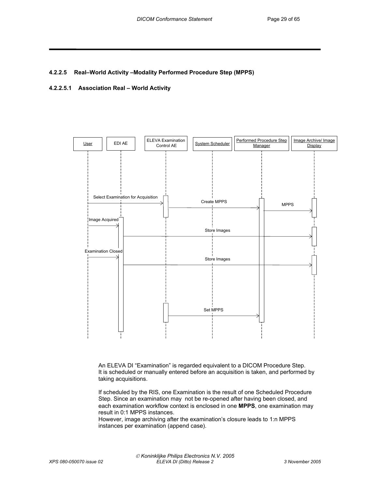#### **4.2.2.5 Real–World Activity –Modality Performed Procedure Step (MPPS)**

#### **4.2.2.5.1 Association Real – World Activity**



An ELEVA DI "Examination" is regarded equivalent to a DICOM Procedure Step. It is scheduled or manually entered before an acquisition is taken, and performed by taking acquisitions.

If scheduled by the RIS, one Examination is the result of one Scheduled Procedure Step. Since an examination may not be re-opened after having been closed, and each examination workflow context is enclosed in one **MPPS**, one examination may result in 0:1 MPPS instances.

However, image archiving after the examination's closure leads to 1:n MPPS instances per examination (append case).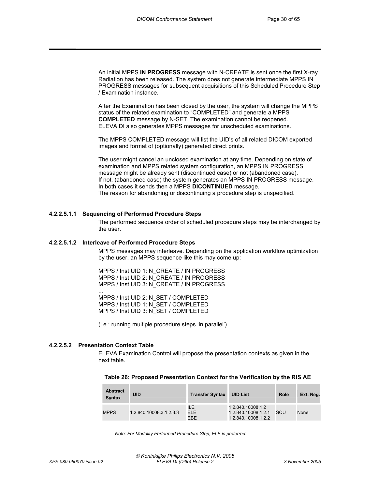An initial MPPS **IN PROGRESS** message with N-CREATE is sent once the first X-ray Radiation has been released. The system does not generate intermediate MPPS IN PROGRESS messages for subsequent acquisitions of this Scheduled Procedure Step / Examination instance.

After the Examination has been closed by the user, the system will change the MPPS status of the related examination to "COMPLETED" and generate a MPPS **COMPLETED** message by N-SET. The examination cannot be reopened. ELEVA DI also generates MPPS messages for unscheduled examinations.

The MPPS COMPLETED message will list the UID's of all related DICOM exported images and format of (optionally) generated direct prints.

The user might cancel an unclosed examination at any time. Depending on state of examination and MPPS related system configuration, an MPPS IN PROGRESS message might be already sent (discontinued case) or not (abandoned case). If not, (abandoned case) the system generates an MPPS IN PROGRESS message. In both cases it sends then a MPPS **DICONTINUED** message. The reason for abandoning or discontinuing a procedure step is unspecified.

#### **4.2.2.5.1.1 Sequencing of Performed Procedure Steps**

The performed sequence order of scheduled procedure steps may be interchanged by the user.

#### **4.2.2.5.1.2 Interleave of Performed Procedure Steps**

MPPS messages may interleave. Depending on the application workflow optimization by the user, an MPPS sequence like this may come up:

MPPS / Inst UID 1: N\_CREATE / IN PROGRESS MPPS / Inst UID 2: N\_CREATE / IN PROGRESS MPPS / Inst UID 3: N\_CREATE / IN PROGRESS ...

MPPS / Inst UID 2: N\_SET / COMPLETED MPPS / Inst UID 1: N\_SET / COMPLETED MPPS / Inst UID 3: N\_SET / COMPLETED

(i.e.: running multiple procedure steps 'in parallel').

#### **4.2.2.5.2 Presentation Context Table**

ELEVA Examination Control will propose the presentation contexts as given in the next table.

#### **Table 26: Proposed Presentation Context for the Verification by the RIS AE**

| <b>Abstract</b><br><b>Syntax</b> | <b>UID</b>              | <b>Transfer Syntax</b> | <b>UID List</b>                                                 | <b>Role</b> | Ext. Neg. |
|----------------------------------|-------------------------|------------------------|-----------------------------------------------------------------|-------------|-----------|
| <b>MPPS</b>                      | 1.2.840.10008.3.1.2.3.3 | ILE.<br>ELE<br>EBE     | 1.2.840.10008.1.2<br>1.2.840.10008.1.2.1<br>1.2.840.10008.1.2.2 | SCU         | None      |

*Note: For Modality Performed Procedure Step, ELE is preferred.*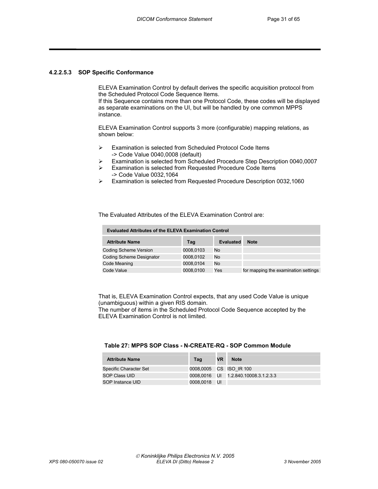#### **4.2.2.5.3 SOP Specific Conformance**

ELEVA Examination Control by default derives the specific acquisition protocol from the Scheduled Protocol Code Sequence Items.

If this Sequence contains more than one Protocol Code, these codes will be displayed as separate examinations on the UI, but will be handled by one common MPPS instance.

ELEVA Examination Control supports 3 more (configurable) mapping relations, as shown below:

- ¾ Examination is selected from Scheduled Protocol Code Items -> Code Value 0040,0008 (default)
- ¾ Examination is selected from Scheduled Procedure Step Description 0040,0007
- ¾ Examination is selected from Requested Procedure Code Items -> Code Value 0032,1064
- ¾ Examination is selected from Requested Procedure Description 0032,1060

The Evaluated Attributes of the ELEVA Examination Control are:

| <b>Evaluated Attributes of the ELEVA Examination Control</b> |           |                  |                                      |  |  |  |  |
|--------------------------------------------------------------|-----------|------------------|--------------------------------------|--|--|--|--|
| <b>Attribute Name</b>                                        | Tag       | <b>Evaluated</b> | <b>Note</b>                          |  |  |  |  |
| <b>Coding Scheme Version</b>                                 | 0008,0103 | No               |                                      |  |  |  |  |
| Coding Scheme Designator                                     | 0008.0102 | No               |                                      |  |  |  |  |
| Code Meaning                                                 | 0008,0104 | No.              |                                      |  |  |  |  |
| Code Value                                                   | 0008,0100 | Yes              | for mapping the examination settings |  |  |  |  |

That is, ELEVA Examination Control expects, that any used Code Value is unique (unambiguous) within a given RIS domain.

The number of items in the Scheduled Protocol Code Sequence accepted by the ELEVA Examination Control is not limited.

#### **Table 27: MPPS SOP Class - N-CREATE-RQ - SOP Common Module**

| <b>Attribute Name</b>  | Tag                     | <b>VR</b> | <b>Note</b>                                |
|------------------------|-------------------------|-----------|--------------------------------------------|
| Specific Character Set | 0008.0005 CS ISO IR 100 |           |                                            |
| SOP Class UID          |                         |           | 0008.0016    UI    1.2.840.10008.3.1.2.3.3 |
| SOP Instance UID       | 0008.0018 UI            |           |                                            |

----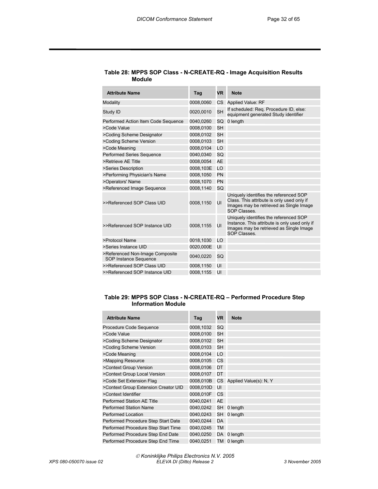| <b>Attribute Name</b>                                    | Tag       | VR        | <b>Note</b>                                                                                                                                        |
|----------------------------------------------------------|-----------|-----------|----------------------------------------------------------------------------------------------------------------------------------------------------|
| Modality                                                 | 0008,0060 | CS        | <b>Applied Value: RF</b>                                                                                                                           |
| Study ID                                                 | 0020,0010 | <b>SH</b> | If scheduled: Reg. Procedure ID, else:<br>equipment generated Study identifier                                                                     |
| Performed Action Item Code Sequence                      | 0040,0260 | SQ        | 0 length                                                                                                                                           |
| >Code Value                                              | 0008,0100 | <b>SH</b> |                                                                                                                                                    |
| >Coding Scheme Designator                                | 0008,0102 | <b>SH</b> |                                                                                                                                                    |
| >Coding Scheme Version                                   | 0008.0103 | <b>SH</b> |                                                                                                                                                    |
| >Code Meaning                                            | 0008,0104 | LO        |                                                                                                                                                    |
| Performed Series Sequence                                | 0040.0340 | SQ        |                                                                                                                                                    |
| >Retrieve AE Title                                       | 0008.0054 | <b>AE</b> |                                                                                                                                                    |
| >Series Description                                      | 0008,103E | LO        |                                                                                                                                                    |
| >Performing Physician's Name                             | 0008,1050 | PN        |                                                                                                                                                    |
| >Operators' Name                                         | 0008,1070 | PN        |                                                                                                                                                    |
| >Referenced Image Sequence                               | 0008,1140 | SQ        |                                                                                                                                                    |
| >>Referenced SOP Class UID                               | 0008.1150 | UI        | Uniquely identifies the referenced SOP<br>Class. This attribute is only used only if<br>Images may be retrieved as Single Image<br>SOP Classes.    |
| >>Referenced SOP Instance UID                            | 0008,1155 | UI        | Uniquely identifies the referenced SOP<br>Instance. This attribute is only used only if<br>Images may be retrieved as Single Image<br>SOP Classes. |
| >Protocol Name                                           | 0018,1030 | LO        |                                                                                                                                                    |
| >Series Instance UID                                     | 0020,000E | UI        |                                                                                                                                                    |
| >Referenced Non-Image Composite<br>SOP Instance Sequence | 0040,0220 | SQ        |                                                                                                                                                    |
| >>Referenced SOP Class UID                               | 0008,1150 | UI        |                                                                                                                                                    |
| >>Referenced SOP Instance UID                            | 0008,1155 | UI        |                                                                                                                                                    |

#### **Table 28: MPPS SOP Class - N-CREATE-RQ - Image Acquisition Results Module**

#### **Table 29: MPPS SOP Class - N-CREATE-RQ – Performed Procedure Step Information Module**

| <b>Attribute Name</b>                | Tag       | VR.       | <b>Note</b>            |
|--------------------------------------|-----------|-----------|------------------------|
| Procedure Code Sequence              | 0008,1032 | SQ        |                        |
| >Code Value                          | 0008,0100 | <b>SH</b> |                        |
| >Coding Scheme Designator            | 0008,0102 | <b>SH</b> |                        |
| >Coding Scheme Version               | 0008,0103 | <b>SH</b> |                        |
| >Code Meaning                        | 0008,0104 | LO        |                        |
| >Mapping Resource                    | 0008,0105 | CS        |                        |
| >Context Group Version               | 0008,0106 | DT        |                        |
| >Context Group Local Version         | 0008,0107 | DT        |                        |
| >Code Set Extension Flag             | 0008,010B | CS.       | Applied Value(s): N, Y |
| >Context Group Extension Creator UID | 0008,010D | UI        |                        |
| >Context Identifier                  | 0008,010F | CS        |                        |
| Performed Station AE Title           | 0040,0241 | AE        |                        |
| <b>Performed Station Name</b>        | 0040,0242 | SH        | 0 length               |
| Performed Location                   | 0040,0243 | SH        | 0 length               |
| Performed Procedure Step Start Date  | 0040,0244 | DA        |                        |
| Performed Procedure Step Start Time  | 0040,0245 | ТM        |                        |
| Performed Procedure Step End Date    | 0040,0250 |           | DA 0 length            |
| Performed Procedure Step End Time    | 0040,0251 | TM        | 0 length               |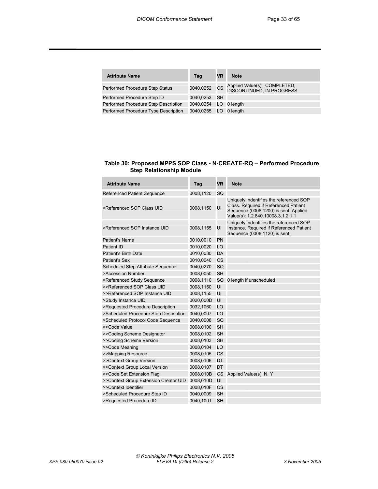| <b>Attribute Name</b>                | Tag                   | VR | <b>Note</b>                                               |
|--------------------------------------|-----------------------|----|-----------------------------------------------------------|
| Performed Procedure Step Status      | 0040,0252 CS          |    | Applied Value(s): COMPLETED,<br>DISCONTINUED, IN PROGRESS |
| Performed Procedure Step ID          | 0040.0253 SH          |    |                                                           |
| Performed Procedure Step Description | 0040,0254 LO 0 length |    |                                                           |
| Performed Procedure Type Description | 0040,0255 LO 0 length |    |                                                           |

#### **Table 30: Proposed MPPS SOP Class - N-CREATE-RQ – Performed Procedure Step Relationship Module**

| <b>Attribute Name</b>                 | Tag       | <b>VR</b> | <b>Note</b>                                                                                                                                                    |
|---------------------------------------|-----------|-----------|----------------------------------------------------------------------------------------------------------------------------------------------------------------|
| <b>Referenced Patient Sequence</b>    | 0008,1120 | SQ        |                                                                                                                                                                |
| >Referenced SOP Class UID             | 0008,1150 | UI        | Uniquely indentifies the referenced SOP<br>Class. Required if Referenced Patient<br>Sequence (0008:1200) is sent. Applied<br>Value(s): 1.2.840.10008.3.1.2.1.1 |
| >Referenced SOP Instance UID          | 0008,1155 | UI        | Uniquely indentifies the referenced SOP<br>Instance. Required if Referenced Patient<br>Sequence (0008:1120) is sent.                                           |
| Patient's Name                        | 0010,0010 | PN        |                                                                                                                                                                |
| Patient ID                            | 0010,0020 | LO        |                                                                                                                                                                |
| Patient's Birth Date                  | 0010,0030 | <b>DA</b> |                                                                                                                                                                |
| <b>Patient's Sex</b>                  | 0010,0040 | <b>CS</b> |                                                                                                                                                                |
| Scheduled Step Attribute Sequence     | 0040,0270 | SQ        |                                                                                                                                                                |
| >Accession Number                     | 0008,0050 | <b>SH</b> |                                                                                                                                                                |
| >Referenced Study Sequence            | 0008,1110 |           | SQ 0 length if unscheduled                                                                                                                                     |
| >>Referenced SOP Class UID            | 0008,1150 | UI        |                                                                                                                                                                |
| >>Referenced SOP Instance UID         | 0008,1155 | UI        |                                                                                                                                                                |
| >Study Instance UID                   | 0020,000D | UI        |                                                                                                                                                                |
| >Requested Procedure Description      | 0032,1060 | LO        |                                                                                                                                                                |
| >Scheduled Procedure Step Description | 0040,0007 | LO        |                                                                                                                                                                |
| >Scheduled Protocol Code Sequence     | 0040,0008 | SQ        |                                                                                                                                                                |
| >>Code Value                          | 0008,0100 | <b>SH</b> |                                                                                                                                                                |
| >>Coding Scheme Designator            | 0008,0102 | <b>SH</b> |                                                                                                                                                                |
| >>Coding Scheme Version               | 0008,0103 | <b>SH</b> |                                                                                                                                                                |
| >>Code Meaning                        | 0008,0104 | LO        |                                                                                                                                                                |
| >>Mapping Resource                    | 0008,0105 | CS        |                                                                                                                                                                |
| >>Context Group Version               | 0008,0106 | DT        |                                                                                                                                                                |
| >>Context Group Local Version         | 0008,0107 | DT        |                                                                                                                                                                |
| >>Code Set Extension Flag             | 0008,010B | CS        | Applied Value(s): N, Y                                                                                                                                         |
| >>Context Group Extension Creator UID | 0008,010D | UI        |                                                                                                                                                                |
| >>Context Identifier                  | 0008,010F | CS        |                                                                                                                                                                |
| >Scheduled Procedure Step ID          | 0040,0009 | <b>SH</b> |                                                                                                                                                                |
| >Requested Procedure ID               | 0040.1001 | <b>SH</b> |                                                                                                                                                                |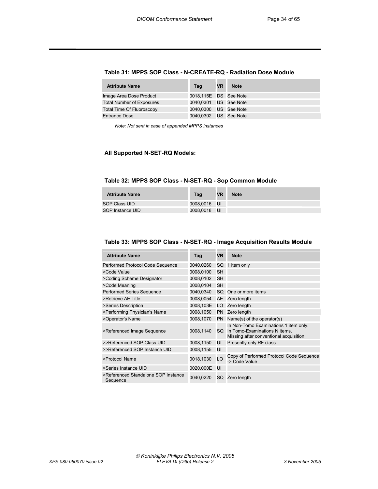#### **Table 31: MPPS SOP Class - N-CREATE-RQ - Radiation Dose Module**

| <b>Attribute Name</b>            | Tag                   | <b>VR</b> | <b>Note</b> |
|----------------------------------|-----------------------|-----------|-------------|
| Image Area Dose Product          | 0018,115E DS See Note |           |             |
| <b>Total Number of Exposures</b> | 0040.0301 US See Note |           |             |
| <b>Total Time Of Fluoroscopy</b> | 0040,0300 US See Note |           |             |
| <b>Entrance Dose</b>             | 0040.0302 US See Note |           |             |

*Note: Not sent in case of appended MPPS instances* 

#### **All Supported N-SET-RQ Models:**

#### **Table 32: MPPS SOP Class - N-SET-RQ - Sop Common Module**

| <b>Attribute Name</b> | Tag          | VR | <b>Note</b> |
|-----------------------|--------------|----|-------------|
| SOP Class UID         | 0008.0016 UI |    |             |
| SOP Instance UID      | 0008.0018 UI |    |             |

#### **Table 33: MPPS SOP Class - N-SET-RQ - Image Acquisition Results Module**

| <b>Attribute Name</b>                           | Tag       | <b>VR</b> | <b>Note</b>                                                                                                       |
|-------------------------------------------------|-----------|-----------|-------------------------------------------------------------------------------------------------------------------|
| Performed Protocol Code Sequence                | 0040,0260 | SQ        | 1 item only                                                                                                       |
| >Code Value                                     | 0008,0100 | SH        |                                                                                                                   |
| >Coding Scheme Designator                       | 0008,0102 | <b>SH</b> |                                                                                                                   |
| >Code Meaning                                   | 0008.0104 | <b>SH</b> |                                                                                                                   |
| Performed Series Sequence                       | 0040,0340 | SQ        | One or more items                                                                                                 |
| >Retrieve AE Title                              | 0008,0054 | AE        | Zero length                                                                                                       |
| >Series Description                             | 0008,103E | LO        | Zero length                                                                                                       |
| >Performing Physician's Name                    | 0008,1050 | PN        | Zero length                                                                                                       |
| >Operator's Name                                | 0008,1070 | <b>PN</b> | Name(s) of the operator(s)                                                                                        |
| >Referenced Image Sequence                      | 0008,1140 | SQ.       | In Non-Tomo Examinations 1 item only.<br>In Tomo-Examinations N items.<br>Missing after conventional acquisition. |
| >>Referenced SOP Class UID                      | 0008,1150 | UI        | Presently only RF class                                                                                           |
| >>Referenced SOP Instance UID                   | 0008,1155 | UI        |                                                                                                                   |
| >Protocol Name                                  | 0018,1030 | LO        | Copy of Performed Protocol Code Sequence<br>-> Code Value                                                         |
| >Series Instance UID                            | 0020,000E | UI        |                                                                                                                   |
| >Referenced Standalone SOP Instance<br>Sequence | 0040,0220 | SQ        | Zero length                                                                                                       |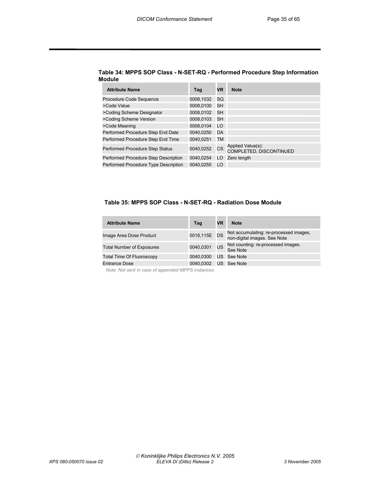| <b>Attribute Name</b>                | Tag       | <b>VR</b> | <b>Note</b>                                  |
|--------------------------------------|-----------|-----------|----------------------------------------------|
| Procedure Code Sequence              | 0008,1032 | SQ        |                                              |
| >Code Value                          | 0008.0100 | SH        |                                              |
| >Coding Scheme Designator            | 0008,0102 | SH        |                                              |
| >Coding Scheme Version               | 0008.0103 | SH        |                                              |
| >Code Meaning                        | 0008.0104 | LO        |                                              |
| Performed Procedure Step End Date    | 0040.0250 | DA        |                                              |
| Performed Procedure Step End Time    | 0040.0251 | TM        |                                              |
| Performed Procedure Step Status      | 0040,0252 | CS        | Applied Value(s):<br>COMPLETED, DISCONTINUED |
| Performed Procedure Step Description | 0040.0254 | LO        | Zero length                                  |
| Performed Procedure Type Description | 0040.0255 | LO        |                                              |

#### **Table 34: MPPS SOP Class - N-SET-RQ - Performed Procedure Step Information Module**

#### **Table 35: MPPS SOP Class - N-SET-RQ - Radiation Dose Module**

| <b>Attribute Name</b>            | Tag          | VR        | <b>Note</b>                                                            |
|----------------------------------|--------------|-----------|------------------------------------------------------------------------|
| Image Area Dose Product          | 0018,115E DS |           | Not accumulating: re-processed images,<br>non-digital images. See Note |
| <b>Total Number of Exposures</b> | 0040,0301    | <b>US</b> | Not counting: re-processed images.<br>See Note                         |
| <b>Total Time Of Fluoroscopy</b> | 0040.0300    | US        | See Note                                                               |
| <b>Entrance Dose</b>             | 0040.0302    |           | US See Note                                                            |

 *Note: Not sent in case of appended MPPS instances*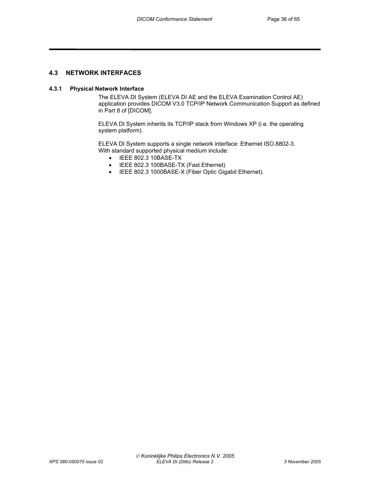#### **4.3 NETWORK INTERFACES**

#### **4.3.1 Physical Network Interface**

The ELEVA DI System (ELEVA DI AE and the ELEVA Examination Control AE) application provides DICOM V3.0 TCP/IP Network Communication Support as defined in Part 8 of [DICOM].

ELEVA DI System inherits its TCP/IP stack from Windows XP (i.e. the operating system platform).

ELEVA DI System supports a single network interface: Ethernet ISO.8802-3. With standard supported physical medium include:

- IEEE 802.3 10BASE-TX
- IEEE 802.3 100BASE-TX (Fast Ethernet)
- IEEE 802.3 1000BASE-X (Fiber Optic Gigabit Ethernet).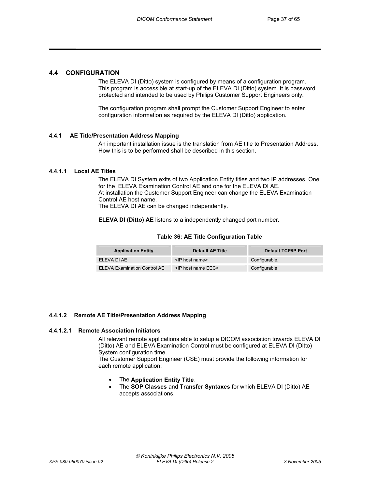#### **4.4 CONFIGURATION**

The ELEVA DI (Ditto) system is configured by means of a configuration program. This program is accessible at start-up of the ELEVA DI (Ditto) system. It is password protected and intended to be used by Philips Customer Support Engineers only.

The configuration program shall prompt the Customer Support Engineer to enter configuration information as required by the ELEVA DI (Ditto) application.

#### **4.4.1 AE Title/Presentation Address Mapping**

An important installation issue is the translation from AE title to Presentation Address. How this is to be performed shall be described in this section.

#### **4.4.1.1 Local AE Titles**

The ELEVA DI System exits of two Application Entity titles and two IP addresses. One for the ELEVA Examination Control AE and one for the ELEVA DI AE. At installation the Customer Support Engineer can change the ELEVA Examination Control AE host name.

The ELEVA DI AE can be changed independently.

**ELEVA DI (Ditto) AE** listens to a independently changed port number**.** 

#### **Table 36: AE Title Configuration Table**

| <b>Application Entity</b>    | <b>Default AE Title</b>    | Default TCP/IP Port |
|------------------------------|----------------------------|---------------------|
| FI FVA DI AF                 | $\le$ IP host name>        | Configurable.       |
| ELEVA Examination Control AE | $\le$ IP host name EEC $>$ | Configurable        |

#### **4.4.1.2 Remote AE Title/Presentation Address Mapping**

#### **4.4.1.2.1 Remote Association Initiators**

All relevant remote applications able to setup a DICOM association towards ELEVA DI (Ditto) AE and ELEVA Examination Control must be configured at ELEVA DI (Ditto) System configuration time.

The Customer Support Engineer (CSE) must provide the following information for each remote application:

- The **Application Entity Title**.
- The **SOP Classes** and **Transfer Syntaxes** for which ELEVA DI (Ditto) AE accepts associations.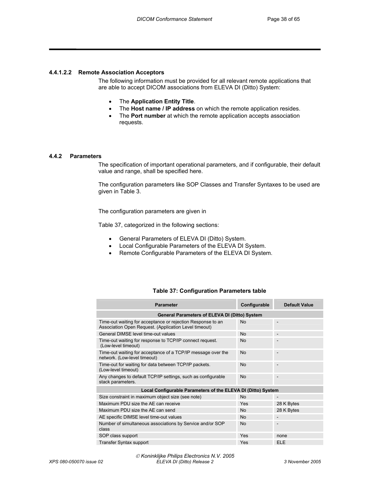#### **4.4.1.2.2 Remote Association Acceptors**

The following information must be provided for all relevant remote applications that are able to accept DICOM associations from ELEVA DI (Ditto) System:

- The **Application Entity Title**.
- The **Host name / IP address** on which the remote application resides.
- The **Port number** at which the remote application accepts association requests.

#### **4.4.2 Parameters**

The specification of important operational parameters, and if configurable, their default value and range, shall be specified here.

The configuration parameters like SOP Classes and Transfer Syntaxes to be used are given in Table 3.

The configuration parameters are given in

Table 37, categorized in the following sections:

- General Parameters of ELEVA DI (Ditto) System.
- Local Configurable Parameters of the ELEVA DI System.
- Remote Configurable Parameters of the ELEVA DI System.

#### **Table 37: Configuration Parameters table**

| <b>Parameter</b>                                                                                                     | Configurable | <b>Default Value</b>     |
|----------------------------------------------------------------------------------------------------------------------|--------------|--------------------------|
| <b>General Parameters of ELEVA DI (Ditto) System</b>                                                                 |              |                          |
| Time-out waiting for acceptance or rejection Response to an<br>Association Open Request. (Application Level timeout) | <b>No</b>    |                          |
| General DIMSE level time-out values                                                                                  | <b>No</b>    | $\overline{\phantom{m}}$ |
| Time-out waiting for response to TCP/IP connect request.<br>(Low-level timeout)                                      | No           |                          |
| Time-out waiting for acceptance of a TCP/IP message over the<br>network. (Low-level timeout)                         | <b>No</b>    |                          |
| Time-out for waiting for data between TCP/IP packets.<br>(Low-level timeout)                                         | No           |                          |
| Any changes to default TCP/IP settings, such as configurable<br>stack parameters.                                    | No           |                          |
| Local Configurable Parameters of the ELEVA DI (Ditto) System                                                         |              |                          |
| Size constraint in maximum object size (see note)                                                                    | <b>No</b>    |                          |
| Maximum PDU size the AE can receive                                                                                  | Yes          | 28 K Bytes               |
| Maximum PDU size the AE can send                                                                                     | <b>No</b>    | 28 K Bytes               |
| AE specific DIMSE level time-out values                                                                              | <b>No</b>    | $\overline{\phantom{a}}$ |
| Number of simultaneous associations by Service and/or SOP<br>class                                                   | <b>No</b>    |                          |
| SOP class support                                                                                                    | Yes          | none                     |
| Transfer Syntax support                                                                                              | Yes          | <b>ELE</b>               |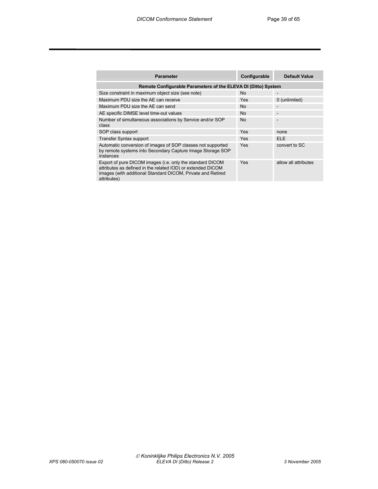| <b>Parameter</b>                                                                                                                                                                                       | Configurable | <b>Default Value</b> |
|--------------------------------------------------------------------------------------------------------------------------------------------------------------------------------------------------------|--------------|----------------------|
| Remote Configurable Parameters of the ELEVA DI (Ditto) System                                                                                                                                          |              |                      |
| Size constraint in maximum object size (see note)                                                                                                                                                      | <b>No</b>    |                      |
| Maximum PDU size the AE can receive                                                                                                                                                                    | <b>Yes</b>   | 0 (unlimited)        |
| Maximum PDU size the AE can send                                                                                                                                                                       | <b>No</b>    | $\qquad \qquad$      |
| AE specific DIMSE level time-out values                                                                                                                                                                | <b>No</b>    |                      |
| Number of simultaneous associations by Service and/or SOP<br>class                                                                                                                                     | <b>No</b>    |                      |
| SOP class support                                                                                                                                                                                      | Yes          | none                 |
| <b>Transfer Syntax support</b>                                                                                                                                                                         | <b>Yes</b>   | <b>ELE</b>           |
| Automatic conversion of images of SOP classes not supported<br>by remote systems into Secondary Capture Image Storage SOP<br>instances                                                                 | Yes          | convert to SC        |
| Export of pure DICOM images (i.e. only the standard DICOM<br>attributes as defined in the related IOD) or extended DICOM<br>images (with additional Standard DICOM, Private and Retired<br>attributes) | Yes          | allow all attributes |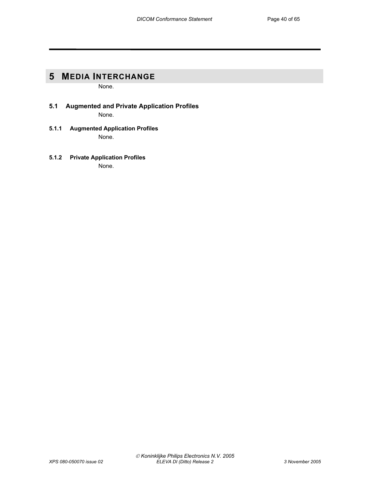# **5 MEDIA INTERCHANGE**

None.

- **5.1 Augmented and Private Application Profiles**  None.
- **5.1.1 Augmented Application Profiles**  None.
- **5.1.2 Private Application Profiles**  None.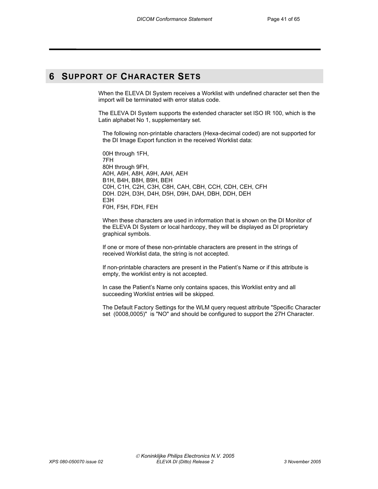# **6 SUPPORT OF CHARACTER SETS**

When the ELEVA DI System receives a Worklist with undefined character set then the import will be terminated with error status code.

The ELEVA DI System supports the extended character set ISO IR 100, which is the Latin alphabet No 1, supplementary set.

The following non-printable characters (Hexa-decimal coded) are not supported for the DI Image Export function in the received Worklist data:

00H through 1FH, 7FH 80H through 9FH, A0H, A6H, A8H, A9H, AAH, AEH B1H, B4H, B8H, B9H, BEH C0H, C1H, C2H, C3H, C8H, CAH, CBH, CCH, CDH, CEH, CFH D0H. D2H, D3H, D4H, D5H, D9H, DAH, DBH, DDH, DEH E3H F0H, F5H, FDH, FEH

When these characters are used in information that is shown on the DI Monitor of the ELEVA DI System or local hardcopy, they will be displayed as DI proprietary graphical symbols.

If one or more of these non-printable characters are present in the strings of received Worklist data, the string is not accepted.

If non-printable characters are present in the Patient's Name or if this attribute is empty, the worklist entry is not accepted.

In case the Patient's Name only contains spaces, this Worklist entry and all succeeding Worklist entries will be skipped.

The Default Factory Settings for the WLM query request attribute "Specific Character set (0008,0005)" is "NO" and should be configured to support the 27H Character.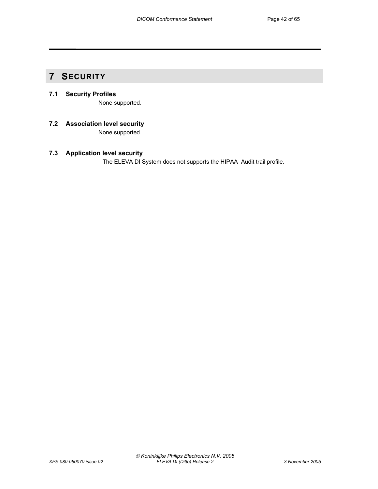# **7 SECURITY**

# **7.1 Security Profiles**

None supported.

**7.2 Association level security**  None supported.

## **7.3 Application level security**

The ELEVA DI System does not supports the HIPAA Audit trail profile.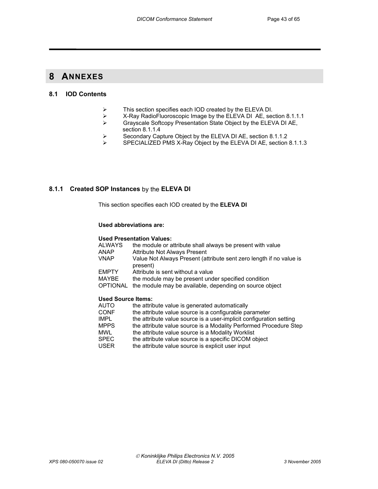# **8 ANNEXES**

#### **8.1 IOD Contents**

- $\triangleright$  This section specifies each IOD created by the ELEVA DI.<br>  $\triangleright$  X-Rav RadioFluoroscopic Image by the ELEVA DI AE. sec
- ¾ X-Ray RadioFluoroscopic Image by the ELEVA DI AE, section 8.1.1.1
- ¾ Grayscale Softcopy Presentation State Object by the ELEVA DI AE, section 8.1.1.4
- $\triangleright$  Secondary Capture Object by the ELEVA DI AE, section 8.1.1.2<br>SECIALIZED PMS X-Ray Object by the ELEVA DLAE section
- SPECIALIZED PMS X-Ray Object by the ELEVA DI AE, section 8.1.1.3

#### **8.1.1 Created SOP Instances** by the **ELEVA DI**

This section specifies each IOD created by the **ELEVA DI** 

#### **Used abbreviations are:**

#### **Used Presentation Values:**

| ALWAYS                    | the module or attribute shall always be present with value                      |
|---------------------------|---------------------------------------------------------------------------------|
| ANAP                      | <b>Attribute Not Always Present</b>                                             |
| VNAP                      | Value Not Always Present (attribute sent zero length if no value is<br>present) |
| <b>EMPTY</b>              | Attribute is sent without a value                                               |
| MAYBE                     | the module may be present under specified condition                             |
| OPTIONAL                  | the module may be available, depending on source object                         |
| <b>Used Source Items:</b> |                                                                                 |
| AUTO                      | the attribute value is generated automatically                                  |
|                           |                                                                                 |

- CONF the attribute value source is a configurable parameter<br>IMPL the attribute value source is a user-implicit configuration
- IMPL the attribute value source is a user-implicit configuration setting<br>MPPS the attribute value source is a Modality Performed Procedure Ste
- MPPS the attribute value source is a Modality Performed Procedure Step MWL the attribute value source is a Modality Worklist
- the attribute value source is a Modality Worklist
- SPEC the attribute value source is a specific DICOM object<br>USER the attribute value source is explicit user input
- the attribute value source is explicit user input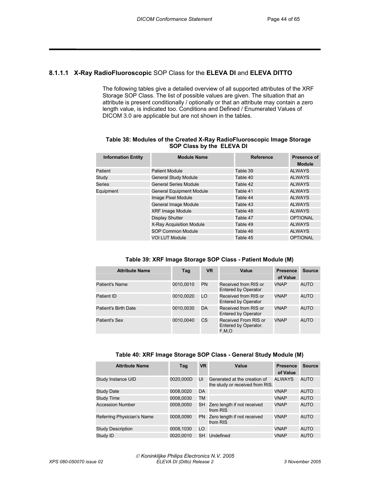#### **8.1.1.1 X-Ray RadioFluoroscopic** SOP Class for the **ELEVA DI** and **ELEVA DITTO**

The following tables give a detailed overview of all supported attributes of the XRF Storage SOP Class. The list of possible values are given. The situation that an attribute is present conditionally / optionally or that an attribute may contain a zero length value, is indicated too. Conditions and Defined / Enumerated Values of DICOM 3.0 are applicable but are not shown in the tables.

#### **Table 38: Modules of the Created X-Ray RadioFluoroscopic Image Storage SOP Class by the ELEVA DI**

| <b>Information Entity</b> | <b>Module Name</b>              | <b>Reference</b> | Presence of<br><b>Module</b> |
|---------------------------|---------------------------------|------------------|------------------------------|
| Patient                   | <b>Patient Module</b>           | Table 39         | <b>ALWAYS</b>                |
| Study                     | <b>General Study Module</b>     | Table 40         | <b>ALWAYS</b>                |
| Series                    | <b>General Series Module</b>    | Table 42         | <b>ALWAYS</b>                |
| Equipment                 | <b>General Equipment Module</b> | Table 41         | <b>ALWAYS</b>                |
|                           | Image Pixel Module              | Table 44         | <b>ALWAYS</b>                |
|                           | General Image Module            | Table 43         | <b>ALWAYS</b>                |
|                           | <b>XRF Image Module</b>         | Table 48         | <b>ALWAYS</b>                |
|                           | <b>Display Shutter</b>          | Table 47         | <b>OPTIONAL</b>              |
|                           | X-Ray Acquisition Module        | Table 49         | <b>ALWAYS</b>                |
|                           | <b>SOP Common Module</b>        | Table 46         | <b>ALWAYS</b>                |
|                           | <b>VOI LUT Module</b>           | Table 45         | <b>OPTIONAL</b>              |

| Table 39: XRF Image Storage SOP Class - Patient Module (M) |  |  |  |
|------------------------------------------------------------|--|--|--|
|------------------------------------------------------------|--|--|--|

| <b>Attribute Name</b> | Tag       | <b>VR</b> | Value                                                 | <b>Presence</b><br>of Value | <b>Source</b> |
|-----------------------|-----------|-----------|-------------------------------------------------------|-----------------------------|---------------|
| <b>Patient's Name</b> | 0010,0010 | PN        | Received from RIS or<br>Entered by Operator           | <b>VNAP</b>                 | <b>AUTO</b>   |
| Patient ID            | 0010.0020 | LO        | Received from RIS or<br>Entered by Operator           | <b>VNAP</b>                 | <b>AUTO</b>   |
| Patient's Birth Date  | 0010,0030 | DA        | Received from RIS or<br>Entered by Operator           | <b>VNAP</b>                 | <b>AUTO</b>   |
| Patient's Sex         | 0010.0040 | CS        | Received From RIS or<br>Entered by Operator.<br>F.M.O | <b>VNAP</b>                 | <b>AUTO</b>   |

| Table 40: XRF Image Storage SOP Class - General Study Module (M) |  |  |
|------------------------------------------------------------------|--|--|
|------------------------------------------------------------------|--|--|

| <b>Attribute Name</b>      | Tag       | <b>VR</b> | Value                                                           | <b>Presence</b><br>of Value | <b>Source</b> |
|----------------------------|-----------|-----------|-----------------------------------------------------------------|-----------------------------|---------------|
| Study Instance UID         | 0020,000D | UI        | Generated at the creation of<br>the study or received from RIS. | <b>ALWAYS</b>               | <b>AUTO</b>   |
| <b>Study Date</b>          | 0008,0020 | DA.       |                                                                 | <b>VNAP</b>                 | AUTO          |
| <b>Study Time</b>          | 0008,0030 | <b>TM</b> |                                                                 | <b>VNAP</b>                 | <b>AUTO</b>   |
| <b>Accession Number</b>    | 0008,0050 |           | SH Zero length if not received<br>from RIS                      | <b>VNAP</b>                 | <b>AUTO</b>   |
| Referring Physician's Name | 0008,0090 |           | PN Zero length if not received<br>from RIS                      | <b>VNAP</b>                 | <b>AUTO</b>   |
| <b>Study Description</b>   | 0008,1030 | LO.       |                                                                 | <b>VNAP</b>                 | <b>AUTO</b>   |
| Study ID                   | 0020.0010 | SH        | Undefined                                                       | <b>VNAP</b>                 | <b>AUTO</b>   |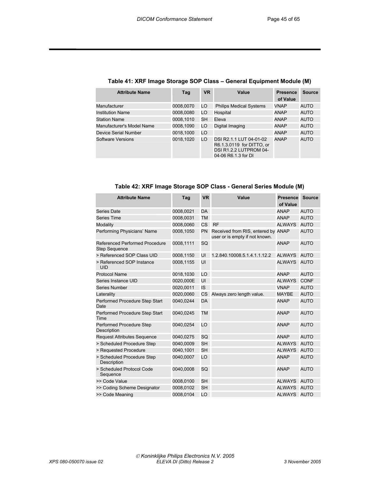| <b>Attribute Name</b>     | Tag       | <b>VR</b> | Value                                                                                                 | <b>Presence</b> | <b>Source</b> |
|---------------------------|-----------|-----------|-------------------------------------------------------------------------------------------------------|-----------------|---------------|
|                           |           |           |                                                                                                       | of Value        |               |
| Manufacturer              | 0008,0070 | LO        | <b>Philips Medical Systems</b>                                                                        | <b>VNAP</b>     | AUTO          |
| <b>Institution Name</b>   | 0008,0080 | LO        | Hospital                                                                                              | <b>ANAP</b>     | <b>AUTO</b>   |
| <b>Station Name</b>       | 0008.1010 | SH        | Eleva                                                                                                 | <b>ANAP</b>     | <b>AUTO</b>   |
| Manufacturer's Model Name | 0008,1090 | LO        | Digital Imaging                                                                                       | ANAP            | AUTO          |
| Device Serial Number      | 0018.1000 | LO        |                                                                                                       | <b>ANAP</b>     | <b>AUTO</b>   |
| <b>Software Versions</b>  | 0018.1020 | LO        | DSI R2.1.1 LUT 04-01-02<br>R6.1.3.0119 for DITTO, or<br>DSI R1.2.2 LUTPROM 04-<br>04-06 R6.1.3 for DI | <b>ANAP</b>     | <b>AUTO</b>   |

#### **Table 41: XRF Image Storage SOP Class – General Equipment Module (M)**

| <b>Attribute Name</b>                                  | Tag       | <b>VR</b> | Value                                                                | <b>Presence</b><br>of Value | <b>Source</b> |
|--------------------------------------------------------|-----------|-----------|----------------------------------------------------------------------|-----------------------------|---------------|
| Series Date                                            | 0008,0021 | <b>DA</b> |                                                                      | <b>ANAP</b>                 | <b>AUTO</b>   |
| Series Time                                            | 0008,0031 | <b>TM</b> |                                                                      | <b>ANAP</b>                 | <b>AUTO</b>   |
| Modality                                               | 0008.0060 | <b>CS</b> | <b>RF</b>                                                            | <b>ALWAYS</b>               | <b>AUTO</b>   |
| Performing Physicians' Name                            | 0008,1050 | PN        | Received from RIS, entered by ANAP<br>user or is empty if not known. |                             | <b>AUTO</b>   |
| Referenced Performed Procedure<br><b>Step Sequence</b> | 0008,1111 | SQ        |                                                                      | <b>ANAP</b>                 | <b>AUTO</b>   |
| > Referenced SOP Class UID                             | 0008,1150 | UI        | 1.2.840.10008.5.1.4.1.1.12.2                                         | <b>ALWAYS</b>               | <b>AUTO</b>   |
| > Referenced SOP Instance<br>UID                       | 0008,1155 | UI        |                                                                      | <b>ALWAYS</b>               | <b>AUTO</b>   |
| <b>Protocol Name</b>                                   | 0018,1030 | LO        |                                                                      | <b>ANAP</b>                 | <b>AUTO</b>   |
| Series Instance UID                                    | 0020,000E | UI        |                                                                      | <b>ALWAYS</b>               | <b>CONF</b>   |
| <b>Series Number</b>                                   | 0020,0011 | <b>IS</b> |                                                                      | <b>VNAP</b>                 | <b>AUTO</b>   |
| Laterality                                             | 0020,0060 | CS        | Always zero length value.                                            | <b>MAYBE</b>                | <b>AUTO</b>   |
| Performed Procedure Step Start<br>Date                 | 0040,0244 | <b>DA</b> |                                                                      | <b>ANAP</b>                 | <b>AUTO</b>   |
| Performed Procedure Step Start<br>Time                 | 0040,0245 | <b>TM</b> |                                                                      | <b>ANAP</b>                 | <b>AUTO</b>   |
| Performed Procedure Step<br>Description                | 0040,0254 | LO        |                                                                      | <b>ANAP</b>                 | <b>AUTO</b>   |
| <b>Request Attributes Sequence</b>                     | 0040,0275 | SQ        |                                                                      | <b>ANAP</b>                 | <b>AUTO</b>   |
| > Scheduled Procedure Step                             | 0040,0009 | <b>SH</b> |                                                                      | <b>ALWAYS</b>               | <b>AUTO</b>   |
| > Requested Procedure                                  | 0040,1001 | <b>SH</b> |                                                                      | <b>ALWAYS</b>               | <b>AUTO</b>   |
| > Scheduled Procedure Step<br>Description              | 0040,0007 | LO        |                                                                      | <b>ANAP</b>                 | <b>AUTO</b>   |
| > Scheduled Protocol Code<br>Sequence                  | 0040,0008 | SQ        |                                                                      | <b>ANAP</b>                 | <b>AUTO</b>   |
| >> Code Value                                          | 0008,0100 | <b>SH</b> |                                                                      | <b>ALWAYS</b>               | <b>AUTO</b>   |
| >> Coding Scheme Designator                            | 0008,0102 | <b>SH</b> |                                                                      | <b>ALWAYS</b>               | <b>AUTO</b>   |
| >> Code Meaning                                        | 0008,0104 | LO        |                                                                      | <b>ALWAYS</b>               | <b>AUTO</b>   |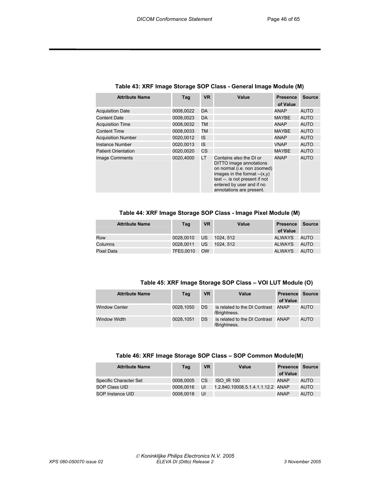| <b>Attribute Name</b>      | Tag       | <b>VR</b> | Value                                                                                                                                                                                                         | <b>Presence</b><br>of Value | <b>Source</b> |
|----------------------------|-----------|-----------|---------------------------------------------------------------------------------------------------------------------------------------------------------------------------------------------------------------|-----------------------------|---------------|
| <b>Acquisition Date</b>    | 0008.0022 | DA        |                                                                                                                                                                                                               | <b>ANAP</b>                 | <b>AUTO</b>   |
| <b>Content Date</b>        | 0008,0023 | <b>DA</b> |                                                                                                                                                                                                               | <b>MAYBE</b>                | <b>AUTO</b>   |
| <b>Acquisition Time</b>    | 0008.0032 | <b>TM</b> |                                                                                                                                                                                                               | <b>ANAP</b>                 | <b>AUTO</b>   |
| <b>Content Time</b>        | 0008,0033 | <b>TM</b> |                                                                                                                                                                                                               | <b>MAYBE</b>                | <b>AUTO</b>   |
| <b>Acquisition Number</b>  | 0020.0012 | IS        |                                                                                                                                                                                                               | <b>ANAP</b>                 | <b>AUTO</b>   |
| Instance Number            | 0020.0013 | <b>IS</b> |                                                                                                                                                                                                               | <b>VNAP</b>                 | <b>AUTO</b>   |
| <b>Patient Orientation</b> | 0020.0020 | CS        |                                                                                                                                                                                                               | <b>MAYBE</b>                | <b>AUTO</b>   |
| Image Comments             | 0020.4000 | LT.       | Contains also the DI or<br>DITTO image annotations<br>on normal (i.e. non zoomed)<br>images in the format $-(x,y)$<br>text --. is not present if not<br>entered by user and if no<br>annotations are present. | <b>ANAP</b>                 | <b>AUTO</b>   |

#### **Table 43: XRF Image Storage SOP Class - General Image Module (M)**

**Table 44: XRF Image Storage SOP Class - Image Pixel Module (M)** 

| <b>Attribute Name</b> | Tag       | <b>VR</b> | Value    | <b>Presence</b> | Source      |
|-----------------------|-----------|-----------|----------|-----------------|-------------|
|                       |           |           |          | of Value        |             |
| Row                   | 0028.0010 | US.       | 1024.512 | ALWAYS          | <b>AUTO</b> |
| Columns               | 0028.0011 | US        | 1024.512 | ALWAYS          | <b>AUTO</b> |
| Pixel Data            | 7FE0.0010 | <b>OW</b> |          | ALWAYS          | <b>AUTO</b> |

#### **Table 45: XRF Image Storage SOP Class – VOI LUT Module (O)**

| <b>Attribute Name</b> | Tag       | <b>VR</b> | Value                                         | Presence Source<br>of Value |      |
|-----------------------|-----------|-----------|-----------------------------------------------|-----------------------------|------|
| <b>Window Center</b>  | 0028.1050 | DS        | is related to the DI Contrast<br>/Brightness. | ANAP                        | AUTO |
| <b>Window Width</b>   | 0028.1051 | DS        | is related to the DI Contrast<br>/Brightness. | ANAP                        | AUTO |

#### **Table 46: XRF Image Storage SOP Class – SOP Common Module(M)**

| <b>Attribute Name</b>  | Tag       | <b>VR</b> | Value                             | <b>Presence Source</b><br>of Value |             |
|------------------------|-----------|-----------|-----------------------------------|------------------------------------|-------------|
| Specific Character Set | 0008.0005 | CS        | <b>ISO IR 100</b>                 | ANAP                               | AUTO        |
| SOP Class UID          | 0008.0016 | UI        | 1.2.840.10008.5.1.4.1.1.12.2 ANAP |                                    | <b>AUTO</b> |
| SOP Instance UID       | 0008.0018 | UI        |                                   | <b>ANAP</b>                        | AUTO        |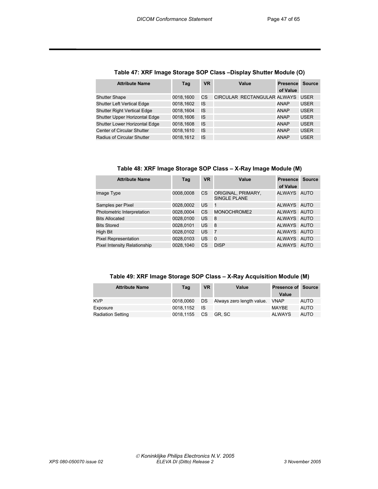| <b>Attribute Name</b>              | Tag       | <b>VR</b> | Value                       | <b>Presence</b><br>of Value | <b>Source</b> |
|------------------------------------|-----------|-----------|-----------------------------|-----------------------------|---------------|
| <b>Shutter Shape</b>               | 0018,1600 | СS        | CIRCULAR RECTANGULAR ALWAYS |                             | <b>USER</b>   |
| <b>Shutter Left Vertical Edge</b>  | 0018,1602 | IS        |                             | <b>ANAP</b>                 | <b>USER</b>   |
| <b>Shutter Right Vertical Edge</b> | 0018.1604 | IS        |                             | <b>ANAP</b>                 | <b>USER</b>   |
| Shutter Upper Horizontal Edge      | 0018.1606 | IS        |                             | <b>ANAP</b>                 | <b>USER</b>   |
| Shutter Lower Horizontal Edge      | 0018.1608 | IS        |                             | <b>ANAP</b>                 | <b>USER</b>   |
| Center of Circular Shutter         | 0018.1610 | IS        |                             | <b>ANAP</b>                 | <b>USER</b>   |
| Radius of Circular Shutter         | 0018.1612 | IS        |                             | <b>ANAP</b>                 | <b>USER</b>   |

#### **Table 47: XRF Image Storage SOP Class –Display Shutter Module (O)**

#### **Table 48: XRF Image Storage SOP Class – X-Ray Image Module (M)**

| <b>Attribute Name</b>        | Tag       | <b>VR</b> | Value                                     | <b>Presence</b><br>of Value | <b>Source</b> |
|------------------------------|-----------|-----------|-------------------------------------------|-----------------------------|---------------|
| Image Type                   | 0008,0008 | CS        | ORIGINAL, PRIMARY,<br><b>SINGLE PLANE</b> | ALWAYS AUTO                 |               |
| Samples per Pixel            | 0028,0002 | US        | -1                                        | ALWAYS AUTO                 |               |
| Photometric Interpretation   | 0028,0004 | CS        | MONOCHROME2                               | ALWAYS AUTO                 |               |
| <b>Bits Allocated</b>        | 0028,0100 | US        | 8                                         | ALWAYS AUTO                 |               |
| <b>Bits Stored</b>           | 0028,0101 | US        | 8                                         | ALWAYS AUTO                 |               |
| High Bit                     | 0028,0102 | US        | $\overline{7}$                            | ALWAYS AUTO                 |               |
| <b>Pixel Representation</b>  | 0028,0103 | US        | 0                                         | ALWAYS AUTO                 |               |
| Pixel Intensity Relationship | 0028,1040 | CS        | <b>DISP</b>                               | ALWAYS AUTO                 |               |

#### **Table 49: XRF Image Storage SOP Class – X-Ray Acquisition Module (M)**

| <b>Attribute Name</b>    | Tag       | <b>VR</b> | Value                          | <b>Presence of Source</b> |      |
|--------------------------|-----------|-----------|--------------------------------|---------------------------|------|
|                          |           |           |                                | Value                     |      |
| <b>KVP</b>               | 0018.0060 | DS        | Always zero length value. VNAP |                           | AUTO |
| Exposure                 | 0018.1152 | - IS      |                                | MAYBE                     | AUTO |
| <b>Radiation Setting</b> | 0018.1155 | <b>CS</b> | GR. SC                         | ALWAYS                    | AUTO |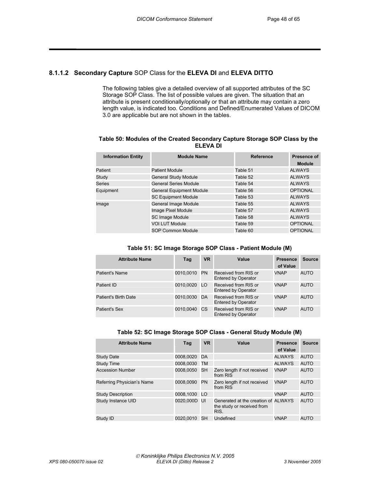#### **8.1.1.2 Secondary Capture** SOP Class for the **ELEVA DI** and **ELEVA DITTO**

The following tables give a detailed overview of all supported attributes of the SC Storage SOP Class. The list of possible values are given. The situation that an attribute is present conditionally/optionally or that an attribute may contain a zero length value, is indicated too. Conditions and Defined/Enumerated Values of DICOM 3.0 are applicable but are not shown in the tables.

#### **Table 50: Modules of the Created Secondary Capture Storage SOP Class by the ELEVA DI**

| <b>Information Entity</b> | <b>Module Name</b>              | <b>Reference</b> | Presence of<br><b>Module</b> |
|---------------------------|---------------------------------|------------------|------------------------------|
| Patient                   | <b>Patient Module</b>           | Table 51         | <b>ALWAYS</b>                |
| Study                     | <b>General Study Module</b>     | Table 52         | <b>ALWAYS</b>                |
| Series                    | <b>General Series Module</b>    | Table 54         | <b>ALWAYS</b>                |
| Equipment                 | <b>General Equipment Module</b> | Table 56         | <b>OPTIONAL</b>              |
|                           | <b>SC Equipment Module</b>      | Table 53         | <b>ALWAYS</b>                |
| Image                     | General Image Module            | Table 55         | <b>ALWAYS</b>                |
|                           | Image Pixel Module              | Table 57         | <b>ALWAYS</b>                |
|                           | <b>SC Image Module</b>          | Table 58         | <b>ALWAYS</b>                |
|                           | <b>VOI LUT Module</b>           | Table 59         | <b>OPTIONAL</b>              |
|                           | SOP Common Module               | Table 60         | <b>OPTIONAL</b>              |

| <b>Attribute Name</b> | Tag       | <b>VR</b> | Value                                              | <b>Presence</b><br>of Value | <b>Source</b> |
|-----------------------|-----------|-----------|----------------------------------------------------|-----------------------------|---------------|
| Patient's Name        | 0010.0010 | <b>PN</b> | Received from RIS or<br><b>Entered by Operator</b> | <b>VNAP</b>                 | <b>AUTO</b>   |
| Patient ID            | 0010,0020 | LO.       | Received from RIS or<br><b>Entered by Operator</b> | <b>VNAP</b>                 | <b>AUTO</b>   |
| Patient's Birth Date  | 0010,0030 | DA        | Received from RIS or<br><b>Entered by Operator</b> | <b>VNAP</b>                 | <b>AUTO</b>   |
| Patient's Sex         | 0010.0040 | <b>CS</b> | Received from RIS or<br><b>Entered by Operator</b> | <b>VNAP</b>                 | <b>AUTO</b>   |

| Table 52: SC Image Storage SOP Class - General Study Module (M) |  |  |  |
|-----------------------------------------------------------------|--|--|--|
|-----------------------------------------------------------------|--|--|--|

| <b>Attribute Name</b>      | Tag          | <b>VR</b> | Value                                                                     | <b>Presence</b><br>of Value | <b>Source</b> |
|----------------------------|--------------|-----------|---------------------------------------------------------------------------|-----------------------------|---------------|
| <b>Study Date</b>          | 0008.0020    | DA        |                                                                           | <b>ALWAYS</b>               | <b>AUTO</b>   |
| Study Time                 | 0008.0030    | TM        |                                                                           | <b>ALWAYS</b>               | <b>AUTO</b>   |
| <b>Accession Number</b>    | 0008.0050    | <b>SH</b> | Zero length if not received<br>from RIS                                   | <b>VNAP</b>                 | <b>AUTO</b>   |
| Referring Physician's Name | 0008.0090    | <b>PN</b> | Zero length if not received<br>from RIS                                   | <b>VNAP</b>                 | <b>AUTO</b>   |
| <b>Study Description</b>   | 0008.1030 LO |           |                                                                           | <b>VNAP</b>                 | <b>AUTO</b>   |
| Study Instance UID         | 0020.000D UI |           | Generated at the creation of ALWAYS<br>the study or received from<br>RIS. |                             | <b>AUTO</b>   |
| Study ID                   | 0020.0010    | SH.       | Undefined                                                                 | <b>VNAP</b>                 | <b>AUTO</b>   |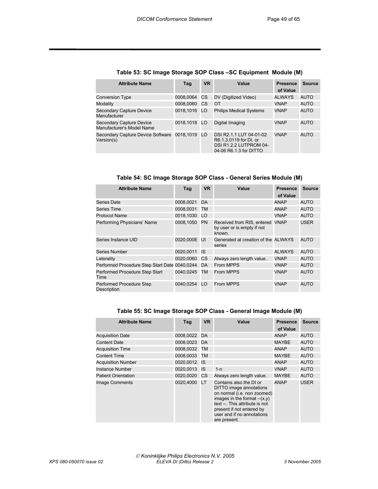| <b>Attribute Name</b>                                        | Tag          | <b>VR</b>       | Value                                                                                                 | <b>Presence</b><br>of Value | <b>Source</b> |
|--------------------------------------------------------------|--------------|-----------------|-------------------------------------------------------------------------------------------------------|-----------------------------|---------------|
| <b>Conversion Type</b>                                       | 0008.0064    | CS              | DV (Digitized Video)                                                                                  | ALWAYS                      | <b>AUTO</b>   |
| Modality                                                     | 0008.0060    | СS              | OT                                                                                                    | <b>VNAP</b>                 | <b>AUTO</b>   |
| Secondary Capture Device<br>Manufacturer                     | 0018.1016    | LO <sub>1</sub> | <b>Philips Medical Systems</b>                                                                        | VNAP                        | <b>AUTO</b>   |
| Secondary Capture Device<br>Manufacturer's Model Name        | 0018.1018 LO |                 | Digital Imaging                                                                                       | VNAP                        | <b>AUTO</b>   |
| Secondary Capture Device Software 0018,1019 LO<br>Version(s) |              |                 | DSI R2.1.1 LUT 04-01-02<br>R6.1.3.0119 for DI, or<br>DSI R1.2.2 LUTPROM 04-<br>04-06 R6.1.3 for DITTO | VNAP                        | AUTO          |

#### **Table 53: SC Image Storage SOP Class –SC Equipment Module (M)**

**Table 54: SC Image Storage SOP Class - General Series Module (M)** 

| <b>Attribute Name</b>                         | Tag          | <b>VR</b> | Value                                                                   | <b>Presence</b><br>of Value | Source      |
|-----------------------------------------------|--------------|-----------|-------------------------------------------------------------------------|-----------------------------|-------------|
| Series Date                                   | 0008.0021    | DA        |                                                                         | <b>ANAP</b>                 | <b>AUTO</b> |
| Series Time                                   | 0008,0031    | TM        |                                                                         | <b>ANAP</b>                 | <b>AUTO</b> |
| <b>Protocol Name</b>                          | 0018,1030    | LO        |                                                                         | <b>VNAP</b>                 | <b>AUTO</b> |
| Performing Physicians' Name                   | 0008,1050    | PN        | Received from RIS, entered VNAP<br>by user or is empty if not<br>known. |                             | <b>USER</b> |
| Series Instance UID                           | 0020.000E UI |           | Generated at creation of the ALWAYS<br>series                           |                             | <b>AUTO</b> |
| <b>Series Number</b>                          | 0020,0011    | IS        |                                                                         | <b>ALWAYS</b>               | AUTO        |
| Laterality                                    | 0020,0060    | CS.       | Always zero length value.                                               | <b>VNAP</b>                 | <b>AUTO</b> |
| Performed Procedure Step Start Date 0040,0244 |              | DA        | From MPPS                                                               | <b>VNAP</b>                 | <b>AUTO</b> |
| Performed Procedure Step Start<br>Time        | 0040.0245    | <b>TM</b> | <b>From MPPS</b>                                                        | <b>VNAP</b>                 | <b>AUTO</b> |
| Performed Procedure Step<br>Description       | 0040.0254    | LO        | <b>From MPPS</b>                                                        | <b>VNAP</b>                 | AUTO        |

#### **Table 55: SC Image Storage SOP Class - General Image Module (M)**

| <b>Attribute Name</b>      | Tag          | <b>VR</b> | Value                                                                                                                                                                                                                           | <b>Presence</b><br>of Value | <b>Source</b> |
|----------------------------|--------------|-----------|---------------------------------------------------------------------------------------------------------------------------------------------------------------------------------------------------------------------------------|-----------------------------|---------------|
| <b>Acquisition Date</b>    | 0008,0022 DA |           |                                                                                                                                                                                                                                 | ANAP                        | <b>AUTO</b>   |
| <b>Content Date</b>        | 0008,0023 DA |           |                                                                                                                                                                                                                                 | <b>MAYBE</b>                | AUTO          |
| <b>Acquisition Time</b>    | 0008,0032 TM |           |                                                                                                                                                                                                                                 | ANAP                        | <b>AUTO</b>   |
| <b>Content Time</b>        | 0008,0033    | <b>TM</b> |                                                                                                                                                                                                                                 | <b>MAYBE</b>                | <b>AUTO</b>   |
| <b>Acquisition Number</b>  | 0020.0012 IS |           |                                                                                                                                                                                                                                 | ANAP                        | <b>AUTO</b>   |
| Instance Number            | 0020,0013    | IS        | $1-n$                                                                                                                                                                                                                           | <b>VNAP</b>                 | <b>AUTO</b>   |
| <b>Patient Orientation</b> | 0020,0020    | <b>CS</b> | Always zero length value.                                                                                                                                                                                                       | <b>MAYBE</b>                | <b>AUTO</b>   |
| Image Comments             | 0020.4000    | LT.       | Contains also the DI or<br>DITTO image annotations<br>on normal (i.e. non zoomed)<br>images in the format $-(x,y)$<br>text --. This attribute is not<br>present if not entered by<br>user and if no annotations<br>are present. | <b>ANAP</b>                 | <b>USER</b>   |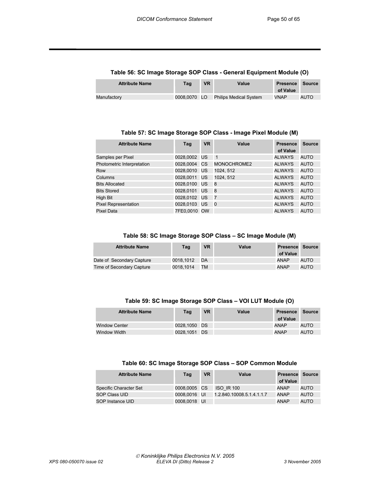| $1$ wwie eel as illiwys stelwys sel siwes selleiwi mywikilionelle (s) |              |           |                               |                             |        |
|-----------------------------------------------------------------------|--------------|-----------|-------------------------------|-----------------------------|--------|
| <b>Attribute Name</b>                                                 | Tag          | <b>VR</b> | Value                         | <b>Presence</b><br>of Value | Source |
| Manufactory                                                           | 0008.0070 LO |           | <b>Philips Medical System</b> | <b>VNAP</b>                 | AUTO   |

#### **Table 56: SC Image Storage SOP Class - General Equipment Module (O)**

#### **Table 57: SC Image Storage SOP Class - Image Pixel Module (M)**

| <b>Attribute Name</b>       | Tag          | <b>VR</b> | Value          | <b>Presence</b><br>of Value | <b>Source</b> |
|-----------------------------|--------------|-----------|----------------|-----------------------------|---------------|
| Samples per Pixel           | 0028.0002 US |           | $\overline{1}$ | <b>ALWAYS</b>               | AUTO          |
| Photometric Interpretation  | 0028,0004    | CS        | MONOCHROME2    | <b>ALWAYS</b>               | <b>AUTO</b>   |
| Row                         | 0028.0010    | <b>US</b> | 1024.512       | <b>ALWAYS</b>               | <b>AUTO</b>   |
| Columns                     | 0028.0011    | <b>US</b> | 1024.512       | <b>ALWAYS</b>               | <b>AUTO</b>   |
| <b>Bits Allocated</b>       | 0028,0100    | US        | 8              | <b>ALWAYS</b>               | <b>AUTO</b>   |
| <b>Bits Stored</b>          | 0028.0101    | US        | 8              | <b>ALWAYS</b>               | <b>AUTO</b>   |
| <b>High Bit</b>             | 0028,0102 US |           | $\overline{7}$ | <b>ALWAYS</b>               | <b>AUTO</b>   |
| <b>Pixel Representation</b> | 0028.0103    | US        | - 0            | <b>ALWAYS</b>               | <b>AUTO</b>   |
| <b>Pixel Data</b>           | 7FE0.0010 OW |           |                | <b>ALWAYS</b>               | <b>AUTO</b>   |

#### **Table 58: SC Image Storage SOP Class – SC Image Module (M)**

| <b>Attribute Name</b>     | Tag       | <b>VR</b> | Value | <b>Presence Source</b><br>of Value |      |
|---------------------------|-----------|-----------|-------|------------------------------------|------|
| Date of Secondary Capture | 0018.1012 | <b>DA</b> |       | ANAP                               | AUTO |
| Time of Secondary Capture | 0018.1014 | TM        |       | ANAP                               | AUTO |

#### **Table 59: SC Image Storage SOP Class – VOI LUT Module (O)**

| <b>Attribute Name</b> | Tag          | <b>VR</b> | Value | <b>Presence</b><br>of Value | Source |
|-----------------------|--------------|-----------|-------|-----------------------------|--------|
| <b>Window Center</b>  | 0028.1050 DS |           |       | <b>ANAP</b>                 | AUTO   |
| <b>Window Width</b>   | 0028.1051    | <b>DS</b> |       | <b>ANAP</b>                 | AUTO   |

#### **Table 60: SC Image Storage SOP Class – SOP Common Module**

| <b>Attribute Name</b>  | Tag          | <b>VR</b> | Value                     | <b>Presence</b> | Source |
|------------------------|--------------|-----------|---------------------------|-----------------|--------|
|                        |              |           |                           | of Value        |        |
| Specific Character Set | 0008,0005 CS |           | <b>ISO IR 100</b>         | <b>ANAP</b>     | AUTO   |
| SOP Class UID          | 0008.0016 UI |           | 1.2.840.10008.5.1.4.1.1.7 | <b>ANAP</b>     | AUTO   |
| SOP Instance UID       | 0008.0018 UI |           |                           | <b>ANAP</b>     | AUTO   |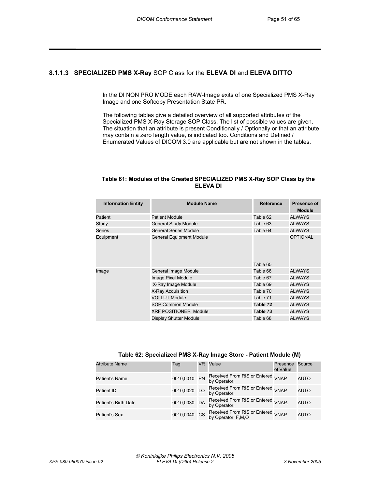#### **8.1.1.3 SPECIALIZED PMS X-Ray** SOP Class for the **ELEVA DI** and **ELEVA DITTO**

In the DI NON PRO MODE each RAW-Image exits of one Specialized PMS X-Ray Image and one Softcopy Presentation State PR.

The following tables give a detailed overview of all supported attributes of the Specialized PMS X-Ray Storage SOP Class. The list of possible values are given. The situation that an attribute is present Conditionally / Optionally or that an attribute may contain a zero length value, is indicated too. Conditions and Defined / Enumerated Values of DICOM 3.0 are applicable but are not shown in the tables.

#### **Table 61: Modules of the Created SPECIALIZED PMS X-Ray SOP Class by the ELEVA DI**

| <b>Information Entity</b> | <b>Module Name</b>              | <b>Reference</b> | Presence of<br><b>Module</b> |
|---------------------------|---------------------------------|------------------|------------------------------|
| Patient                   | <b>Patient Module</b>           | Table 62         | <b>ALWAYS</b>                |
| Study                     | <b>General Study Module</b>     | Table 63         | <b>ALWAYS</b>                |
| Series                    | <b>General Series Module</b>    | Table 64         | <b>ALWAYS</b>                |
| Equipment                 | <b>General Equipment Module</b> | Table 65         | <b>OPTIONAL</b>              |
| Image                     | General Image Module            | Table 66         | <b>ALWAYS</b>                |
|                           | Image Pixel Module              | Table 67         | <b>ALWAYS</b>                |
|                           | X-Ray Image Module              | Table 69         | <b>ALWAYS</b>                |
|                           | X-Ray Acquisition               | Table 70         | <b>ALWAYS</b>                |
|                           | <b>VOI LUT Module</b>           | Table 71         | <b>ALWAYS</b>                |
|                           | SOP Common Module               | Table 72         | <b>ALWAYS</b>                |
|                           | <b>XRF POSITIONER Module</b>    | Table 73         | <b>ALWAYS</b>                |
|                           | Display Shutter Module          | Table 68         | <b>ALWAYS</b>                |

| <b>Attribute Name</b> | Tag          | VR. | Value                                                         | Presence<br>of Value | Source      |
|-----------------------|--------------|-----|---------------------------------------------------------------|----------------------|-------------|
| Patient's Name        | 0010,0010 PN |     | Received From RIS or Entered<br>by Operator.                  | <b>VNAP</b>          | <b>AUTO</b> |
| Patient ID            | 0010,0020 LO |     | Received From RIS or Entered <sub>VNAP</sub><br>by Operator.  |                      | <b>AUTO</b> |
| Patient's Birth Date  | 0010,0030 DA |     | Received From RIS or Entered <sub>VNAP.</sub><br>by Operator. |                      | <b>AUTO</b> |
| <b>Patient's Sex</b>  | 0010,0040 CS |     | Received From RIS or Entered VNAP<br>by Operator. F, M, O     |                      | <b>AUTO</b> |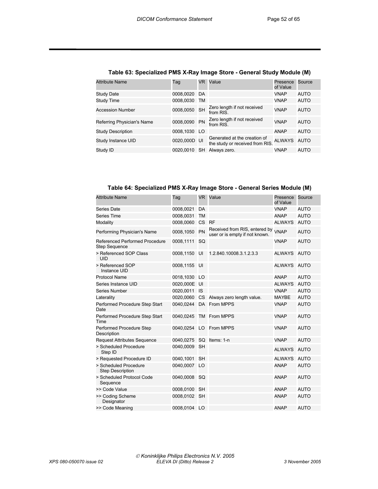| <b>Attribute Name</b>      | Taq          | VR.       | Value                                                           | Presence<br>of Value | Source      |
|----------------------------|--------------|-----------|-----------------------------------------------------------------|----------------------|-------------|
| Study Date                 | 0008,0020 DA |           |                                                                 | <b>VNAP</b>          | AUTO        |
| Study Time                 | 0008,0030    | TM        |                                                                 | <b>VNAP</b>          | <b>AUTO</b> |
| <b>Accession Number</b>    | 0008,0050 SH |           | Zero length if not received<br>from RIS.                        | <b>VNAP</b>          | <b>AUTO</b> |
| Referring Physician's Name | 0008,0090 PN |           | Zero length if not received<br>from RIS.                        | <b>VNAP</b>          | <b>AUTO</b> |
| <b>Study Description</b>   | 0008,1030 LO |           |                                                                 | ANAP                 | <b>AUTO</b> |
| Study Instance UID         | 0020,000D UI |           | Generated at the creation of<br>the study or received from RIS. | <b>ALWAYS</b>        | AUTO        |
| Study ID                   | 0020.0010    | <b>SH</b> | Always zero.                                                    | <b>VNAP</b>          | <b>AUTO</b> |

#### **Table 63: Specialized PMS X-Ray Image Store - General Study Module (M)**

**Table 64: Specialized PMS X-Ray Image Store - General Series Module (M)**

| <b>Attribute Name</b>                                  | Tag          | VR I      | Value                                                           | Presence<br>of Value | Source      |
|--------------------------------------------------------|--------------|-----------|-----------------------------------------------------------------|----------------------|-------------|
| Series Date                                            | 0008,0021    | DA        |                                                                 | <b>VNAP</b>          | <b>AUTO</b> |
| Series Time                                            | 0008,0031    | <b>TM</b> |                                                                 | ANAP                 | <b>AUTO</b> |
| Modality                                               | 0008,0060    | <b>CS</b> | <b>RF</b>                                                       | <b>ALWAYS</b>        | <b>AUTO</b> |
| Performing Physician's Name                            | 0008,1050    | PN        | Received from RIS, entered by<br>user or is empty if not known. | <b>VNAP</b>          | <b>AUTO</b> |
| Referenced Performed Procedure<br><b>Step Sequence</b> | 0008,1111    | SQ        |                                                                 | <b>VNAP</b>          | <b>AUTO</b> |
| > Referenced SOP Class<br><b>UID</b>                   | 0008,1150    | UI        | 1.2.840.10008.3.1.2.3.3                                         | <b>ALWAYS</b>        | <b>AUTO</b> |
| > Referenced SOP<br>Instance UID                       | 0008,1155    | UI        |                                                                 | ALWAYS AUTO          |             |
| <b>Protocol Name</b>                                   | 0018,1030    | LO        |                                                                 | <b>ANAP</b>          | <b>AUTO</b> |
| Series Instance UID                                    | 0020,000E UI |           |                                                                 | <b>ALWAYS</b>        | <b>AUTO</b> |
| Series Number                                          | 0020,0011    | <b>IS</b> |                                                                 | <b>VNAP</b>          | <b>AUTO</b> |
| Laterality                                             | 0020,0060    |           | CS Always zero length value.                                    | MAYBE                | <b>AUTO</b> |
| Performed Procedure Step Start<br>Date                 |              |           | 0040,0244 DA From MPPS                                          | <b>VNAP</b>          | <b>AUTO</b> |
| Performed Procedure Step Start<br>Time                 | 0040,0245    |           | TM From MPPS                                                    | <b>VNAP</b>          | <b>AUTO</b> |
| Performed Procedure Step<br>Description                |              |           | 0040.0254 LO From MPPS                                          | <b>VNAP</b>          | <b>AUTO</b> |
| <b>Request Attributes Sequence</b>                     | 0040,0275    | SQ        | Items: 1-n                                                      | <b>VNAP</b>          | <b>AUTO</b> |
| > Scheduled Procedure<br>Step ID                       | 0040,0009    | <b>SH</b> |                                                                 | <b>ALWAYS</b>        | <b>AUTO</b> |
| > Requested Procedure ID                               | 0040,1001    | <b>SH</b> |                                                                 | <b>ALWAYS</b>        | <b>AUTO</b> |
| > Scheduled Procedure<br><b>Step Description</b>       | 0040,0007 LO |           |                                                                 | <b>ANAP</b>          | <b>AUTO</b> |
| > Scheduled Protocol Code<br>Sequence                  | 0040,0008    | SQ        |                                                                 | <b>ANAP</b>          | <b>AUTO</b> |
| >> Code Value                                          | 0008,0100    | <b>SH</b> |                                                                 | <b>ANAP</b>          | <b>AUTO</b> |
| >> Coding Scheme<br>Designator                         | 0008,0102    | SH        |                                                                 | <b>ANAP</b>          | <b>AUTO</b> |
| >> Code Meaning                                        | 0008.0104 LO |           |                                                                 | <b>ANAP</b>          | <b>AUTO</b> |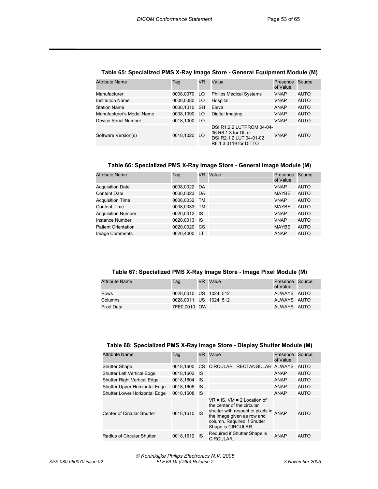| <b>Attribute Name</b>     | Taq          | VR. | Value                                                                                                 | Presence<br>of Value | Source      |
|---------------------------|--------------|-----|-------------------------------------------------------------------------------------------------------|----------------------|-------------|
| Manufacturer              | 0008,0070 LO |     | <b>Philips Medical Systems</b>                                                                        | <b>VNAP</b>          | AUTO        |
| <b>Institution Name</b>   | 0008.0080 LO |     | Hospital                                                                                              | <b>VNAP</b>          | <b>AUTO</b> |
| <b>Station Name</b>       | 0008.1010 SH |     | Eleva                                                                                                 | ANAP                 | AUTO        |
| Manufacturer's Model Name | 0008.1090 LO |     | Digital Imaging                                                                                       | <b>VNAP</b>          | <b>AUTO</b> |
| Device Serial Number      | 0018,1000 LO |     |                                                                                                       | <b>VNAP</b>          | <b>AUTO</b> |
| Software Version(s)       | 0018,1020 LO |     | DSI R1.2.2 LUTPROM 04-04-<br>06 R6.1.3 for DI, or<br>DSI R2.1.2 LUT 04-01-02<br>R6.1.3.0119 for DITTO | <b>VNAP</b>          | AUTO        |

#### **Table 65: Specialized PMS X-Ray Image Store - General Equipment Module (M)**

#### **Table 66: Specialized PMS X-Ray Image Store - General Image Module (M)**

| <b>Attribute Name</b>      | Taq          | VR. | Value | Presence<br>of Value | Source      |
|----------------------------|--------------|-----|-------|----------------------|-------------|
| <b>Acquisition Date</b>    | 0008,0022 DA |     |       | <b>VNAP</b>          | AUTO        |
| <b>Content Date</b>        | 0008,0023 DA |     |       | MAYBE                | <b>AUTO</b> |
| <b>Acquisition Time</b>    | 0008,0032 TM |     |       | <b>VNAP</b>          | <b>AUTO</b> |
| <b>Content Time</b>        | 0008,0033 TM |     |       | MAYBE                | <b>AUTO</b> |
| <b>Acquisition Number</b>  | 0020,0012 IS |     |       | <b>VNAP</b>          | <b>AUTO</b> |
| <b>Instance Number</b>     | 0020,0013 IS |     |       | <b>VNAP</b>          | <b>AUTO</b> |
| <b>Patient Orientation</b> | 0020,0020 CS |     |       | MAYBE                | <b>AUTO</b> |
| Image Comments             | 0020.4000 LT |     |       | <b>ANAP</b>          | <b>AUTO</b> |

#### **Table 67: Specialized PMS X-Ray Image Store - Image Pixel Module (M)**

| Attribute Name | Tag                   | VR Value | Presence Source<br>of Value |  |
|----------------|-----------------------|----------|-----------------------------|--|
| Rows           | 0028.0010 US 1024.512 |          | ALWAYS AUTO                 |  |
| Columns        | 0028.0011 US 1024.512 |          | ALWAYS AUTO                 |  |
| Pixel Data     | 7FE0.0010 OW          |          | ALWAYS AUTO                 |  |

#### **Table 68: Specialized PMS X-Ray Image Store - Display Shutter Module (M)**

| <b>Attribute Name</b>              | Taq          | VR.  | Value                                                                                                                                                                                  | Presence<br>of Value | Source      |
|------------------------------------|--------------|------|----------------------------------------------------------------------------------------------------------------------------------------------------------------------------------------|----------------------|-------------|
| <b>Shutter Shape</b>               | 0018.1600    |      | CS CIRCULAR RECTANGULAR ALWAYS                                                                                                                                                         |                      | AUTO        |
| <b>Shutter Left Vertical Edge</b>  | 0018,1602 IS |      |                                                                                                                                                                                        | ANAP                 | AUTO        |
| <b>Shutter Right Vertical Edge</b> | 0018.1604 IS |      |                                                                                                                                                                                        | <b>ANAP</b>          | AUTO        |
| Shutter Upper Horizontal Edge      | 0018.1606    | - IS |                                                                                                                                                                                        | <b>ANAP</b>          | <b>AUTO</b> |
| Shutter Lower Horizontal Edge      | 0018,1608 IS |      |                                                                                                                                                                                        | ANAP                 | <b>AUTO</b> |
| Center of Circular Shutter         | 0018,1610    | - IS | $VR = IS$ , $VM = 2$ Location of<br>the center of the circular<br>shutter with respect to pixels in<br>the image given as row and<br>column. Required if Shutter<br>Shape is CIRCULAR. | <b>ANAP</b>          | <b>AUTO</b> |
| <b>Radius of Circular Shutter</b>  | 0018,1612 IS |      | Required if Shutter Shape is<br>CIRCULAR.                                                                                                                                              | ANAP                 | <b>AUTO</b> |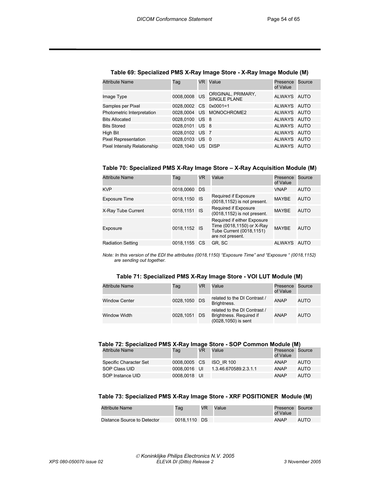| <b>Attribute Name</b>        | Taq                   | VR. | Value                                     | Presence<br>of Value | Source |
|------------------------------|-----------------------|-----|-------------------------------------------|----------------------|--------|
| Image Type                   | 0008,0008 US          |     | ORIGINAL, PRIMARY,<br><b>SINGLE PLANE</b> | ALWAYS AUTO          |        |
| Samples per Pixel            | 0028,0002 CS 0x0001=1 |     |                                           | ALWAYS AUTO          |        |
| Photometric Interpretation   |                       |     | 0028.0004 US MONOCHROME2                  | ALWAYS AUTO          |        |
| <b>Bits Allocated</b>        | 0028,0100 US 8        |     |                                           | ALWAYS AUTO          |        |
| <b>Bits Stored</b>           | 0028.0101 US 8        |     |                                           | ALWAYS AUTO          |        |
| High Bit                     | 0028,0102 US 7        |     |                                           | ALWAYS AUTO          |        |
| <b>Pixel Representation</b>  | 0028.0103 US 0        |     |                                           | ALWAYS AUTO          |        |
| Pixel Intensity Relationship | 0028.1040 US DISP     |     |                                           | ALWAYS AUTO          |        |

#### **Table 69: Specialized PMS X-Ray Image Store - X-Ray Image Module (M)**

**Table 70: Specialized PMS X-Ray Image Store – X-Ray Acquisition Module (M)** 

| <b>Attribute Name</b>    | Taq          | VR        | Value                                                                                                    | Presence<br>of Value | Source      |
|--------------------------|--------------|-----------|----------------------------------------------------------------------------------------------------------|----------------------|-------------|
| <b>KVP</b>               | 0018,0060 DS |           |                                                                                                          | <b>VNAP</b>          | <b>AUTO</b> |
| <b>Exposure Time</b>     | 0018,1150    | - IS      | Required if Exposure<br>(0018,1152) is not present.                                                      | MAYBE                | <b>AUTO</b> |
| X-Ray Tube Current       | 0018,1151    | - IS      | Required if Exposure<br>(0018,1152) is not present.                                                      | MAYBE                | <b>AUTO</b> |
| Exposure                 | 0018,1152 IS |           | Required if either Exposure<br>Time (0018,1150) or X-Ray<br>Tube Current (0018,1151)<br>are not present. | <b>MAYBE</b>         | <b>AUTO</b> |
| <b>Radiation Setting</b> | 0018,1155    | <b>CS</b> | GR, SC                                                                                                   | ALWAYS AUTO          |             |

*Note: In this version of the EDI the attributes (0018,1150) "Exposure Time" and "Exposure " (0018,1152) are sending out together.* 

| Table 71: Specialized PMS X-Ray Image Store - VOI LUT Module (M) |  |
|------------------------------------------------------------------|--|
|------------------------------------------------------------------|--|

| <b>Attribute Name</b> | Tag          | VR | Value                                                                          | Presence<br>of Value | Source      |
|-----------------------|--------------|----|--------------------------------------------------------------------------------|----------------------|-------------|
| <b>Window Center</b>  | 0028,1050 DS |    | related to the DI Contrast /<br>Brightness.                                    | <b>ANAP</b>          | <b>AUTO</b> |
| Window Width          | 0028.1051 DS |    | related to the DI Contrast /<br>Brightness. Required if<br>(0028,1050) is sent | ANAP                 | <b>AUTO</b> |

#### **Table 72: Specialized PMS X-Ray Image Store - SOP Common Module (M)**

| <b>Attribute Name</b>  | Tag          | <b>VR</b> | Value                 | Presence Source<br>of Value |      |
|------------------------|--------------|-----------|-----------------------|-----------------------------|------|
| Specific Character Set | 0008.0005 CS |           | <b>ISO IR 100</b>     | ANAP                        | AUTO |
| SOP Class UID          | 0008.0016 UI |           | 1.3.46.670589.2.3.1.1 | ANAP                        | AUTO |
| SOP Instance UID       | 0008.0018 UI |           |                       | ANAP                        | AUTO |

#### **Table 73: Specialized PMS X-Ray Image Store - XRF POSITIONER Module (M)**

| Attribute Name              | Tag          | VR | Value | Presence Source<br>of Value |      |
|-----------------------------|--------------|----|-------|-----------------------------|------|
| Distance Source to Detector | 0018.1110 DS |    |       | <b>ANAP</b>                 | AUTO |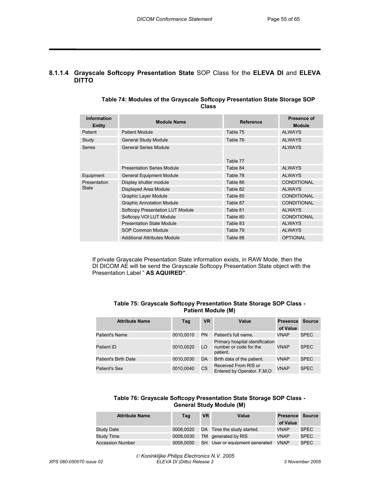### **8.1.1.4 Grayscale Softcopy Presentation State** SOP Class for the **ELEVA DI** and **ELEVA DITTO**

| Information<br>Entity | <b>Module Name</b>                      | <b>Reference</b> | Presence of<br><b>Module</b> |
|-----------------------|-----------------------------------------|------------------|------------------------------|
| Patient               | <b>Patient Module</b>                   | Table 75         | <b>ALWAYS</b>                |
| Study                 | <b>General Study Module</b>             | Table 76         | <b>ALWAYS</b>                |
| Series                | <b>General Series Module</b>            | Table 77         | <b>ALWAYS</b>                |
|                       | <b>Presentation Series Module</b>       | Table 84         | <b>ALWAYS</b>                |
| Equipment             | <b>General Equipment Module</b>         | Table 78         | <b>ALWAYS</b>                |
| Presentation          | Display shutter module                  | Table 86         | <b>CONDITIONAL</b>           |
| State                 | Displayed Area Module                   | Table 82         | <b>ALWAYS</b>                |
|                       | Graphic Layer Module                    | Table 85         | <b>CONDITIONAL</b>           |
|                       | <b>Graphic Annotation Module</b>        | Table 87         | <b>CONDITIONAL</b>           |
|                       | <b>Softcopy Presentation LUT Module</b> | Table 81         | <b>ALWAYS</b>                |
|                       | Softcopy VOI LUT Module                 | Table 80         | <b>CONDITIONAL</b>           |
|                       | <b>Presentation State Module</b>        | Table 83         | <b>ALWAYS</b>                |
|                       | SOP Common Module                       | Table 79         | <b>ALWAYS</b>                |
|                       | <b>Additional Attributes Module</b>     | Table 88         | <b>OPTIONAL</b>              |

#### **Table 74: Modules of the Grayscale Softcopy Presentation State Storage SOP Class**

 If private Grayscale Presentation State information exists, in RAW Mode, then the DI DICOM AE will be send the Grayscale Softcopy Presentation State object with the Presentation Label " **AS AQUIRED"**.

| Table 75: Grayscale Softcopy Presentation State Storage SOP Class - |
|---------------------------------------------------------------------|
| <b>Patient Module (M)</b>                                           |

| <b>Attribute Name</b> | Tag       | <b>VR</b> | Value                                                                 | Presence<br>of Value | <b>Source</b> |
|-----------------------|-----------|-----------|-----------------------------------------------------------------------|----------------------|---------------|
| Patient's Name        | 0010.0010 | <b>PN</b> | Patient's full name.                                                  | <b>VNAP</b>          | <b>SPEC</b>   |
| Patient ID            | 0010,0020 | LO.       | Primary hospital identification<br>number or code for the<br>patient. | VNAP                 | <b>SPEC</b>   |
| Patient's Birth Date  | 0010,0030 | DA        | Birth data of the patient.                                            | <b>VNAP</b>          | <b>SPEC</b>   |
| Patient's Sex         | 0010.0040 | CS        | Received From RIS or<br>Entered by Operator. F, M, O                  | <b>VNAP</b>          | <b>SPEC</b>   |

#### **Table 76: Grayscale Softcopy Presentation State Storage SOP Class - General Study Module (M)**

| <b>Attribute Name</b>   | Tag       | <b>VR</b> | Value                          | <b>Presence Source</b> |             |
|-------------------------|-----------|-----------|--------------------------------|------------------------|-------------|
|                         |           |           |                                | of Value               |             |
| Study Date              | 0008.0020 |           | DA Time the study started.     | <b>VNAP</b>            | <b>SPEC</b> |
| Study Time              | 0008.0030 |           | TM generated by RIS            | <b>VNAP</b>            | <b>SPEC</b> |
| <b>Accession Number</b> | 0008.0050 |           | SH User or equipment generated | VNAP                   | <b>SPEC</b> |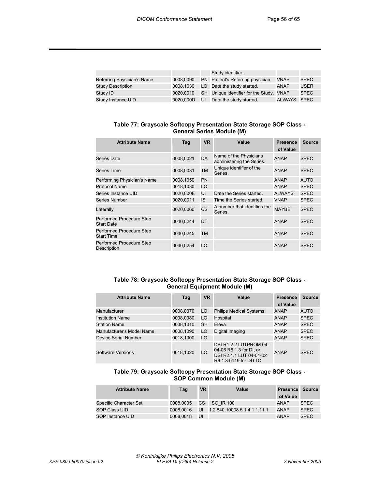|                            |           |    | Study identifier.                        |             |             |
|----------------------------|-----------|----|------------------------------------------|-------------|-------------|
| Referring Physician's Name | 0008.0090 |    | PN Patient's Referring physician.        | <b>VNAP</b> | <b>SPEC</b> |
| Study Description          | 0008.1030 |    | LO Date the study started.               | <b>ANAP</b> | <b>USER</b> |
| Study ID                   | 0020.0010 |    | SH Unique identifier for the Study. VNAP |             | <b>SPEC</b> |
| Study Instance UID         | 0020,000D | UI | Date the study started.                  | ALWAYS SPEC |             |

#### **Table 77: Grayscale Softcopy Presentation State Storage SOP Class - General Series Module (M)**

| <b>Attribute Name</b>                         | Tag       | <b>VR</b> | Value                                               | <b>Presence</b><br>of Value | <b>Source</b> |
|-----------------------------------------------|-----------|-----------|-----------------------------------------------------|-----------------------------|---------------|
| Series Date                                   | 0008,0021 | <b>DA</b> | Name of the Physicians<br>administering the Series. | <b>ANAP</b>                 | <b>SPEC</b>   |
| Series Time                                   | 0008,0031 | <b>TM</b> | Unique identifier of the<br>Series.                 | ANAP                        | SPEC          |
| Performing Physician's Name                   | 0008,1050 | <b>PN</b> |                                                     | ANAP                        | <b>AUTO</b>   |
| <b>Protocol Name</b>                          | 0018,1030 | LO        |                                                     | <b>ANAP</b>                 | <b>SPEC</b>   |
| Series Instance UID                           | 0020,000E | UI        | Date the Series started.                            | <b>ALWAYS</b>               | <b>SPEC</b>   |
| Series Number                                 | 0020.0011 | IS.       | Time the Series started.                            | <b>VNAP</b>                 | <b>SPEC</b>   |
| Laterally                                     | 0020.0060 | <b>CS</b> | A number that identifies the<br>Series.             | <b>MAYBE</b>                | <b>SPEC</b>   |
| Performed Procedure Step<br><b>Start Date</b> | 0040,0244 | DT        |                                                     | ANAP                        | SPEC          |
| Performed Procedure Step<br><b>Start Time</b> | 0040,0245 | <b>TM</b> |                                                     | ANAP                        | <b>SPEC</b>   |
| Performed Procedure Step<br>Description       | 0040,0254 | LO        |                                                     | ANAP                        | SPEC          |

#### **Table 78: Grayscale Softcopy Presentation State Storage SOP Class - General Equipment Module (M)**

| <b>Attribute Name</b>     | Tag       | <b>VR</b> | Value                                                                                                 | <b>Presence</b> | <b>Source</b> |
|---------------------------|-----------|-----------|-------------------------------------------------------------------------------------------------------|-----------------|---------------|
|                           |           |           |                                                                                                       | of Value        |               |
| Manufacturer              | 0008,0070 | LO        | <b>Philips Medical Systems</b>                                                                        | <b>ANAP</b>     | AUTO          |
| <b>Institution Name</b>   | 0008,0080 | LO        | Hospital                                                                                              | <b>ANAP</b>     | <b>SPEC</b>   |
| <b>Station Name</b>       | 0008,1010 | <b>SH</b> | Eleva                                                                                                 | <b>ANAP</b>     | <b>SPEC</b>   |
| Manufacturer's Model Name | 0008,1090 | LO        | Digital Imaging                                                                                       | <b>ANAP</b>     | <b>SPEC</b>   |
| Device Serial Number      | 0018.1000 | LO        |                                                                                                       | <b>ANAP</b>     | <b>SPEC</b>   |
| Software Versions         | 0018.1020 | LO        | DSI R1.2.2 LUTPROM 04-<br>04-06 R6.1.3 for DI, or<br>DSI R2.1.1 LUT 04-01-02<br>R6.1.3.0119 for DITTO | <b>ANAP</b>     | <b>SPEC</b>   |

#### **Table 79: Grayscale Softcopy Presentation State Storage SOP Class - SOP Common Module (M)**

| <b>Attribute Name</b>  | Tag       | <b>VR</b> | Value                        | Presence Source<br>of Value |             |
|------------------------|-----------|-----------|------------------------------|-----------------------------|-------------|
| Specific Character Set | 0008.0005 |           | CS ISO IR 100                | ANAP                        | <b>SPEC</b> |
| SOP Class UID          | 0008.0016 | UI        | 1.2.840.10008.5.1.4.1.1.11.1 | <b>ANAP</b>                 | <b>SPEC</b> |
| SOP Instance UID       | 0008.0018 | UI        |                              | <b>ANAP</b>                 | <b>SPEC</b> |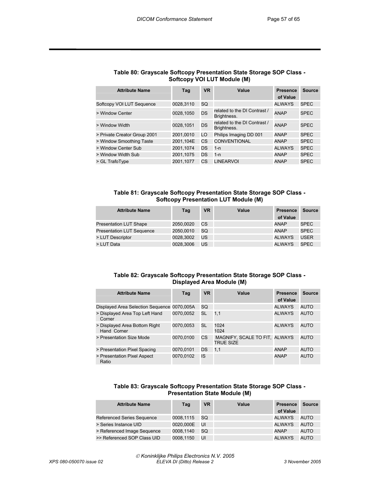| <b>Attribute Name</b>        | Tag       | <b>VR</b> | Value                                       | <b>Presence</b><br>of Value | <b>Source</b> |
|------------------------------|-----------|-----------|---------------------------------------------|-----------------------------|---------------|
| Softcopy VOI LUT Sequence    | 0028.3110 | SQ        |                                             | <b>ALWAYS</b>               | <b>SPEC</b>   |
| > Window Center              | 0028.1050 | DS        | related to the DI Contrast /<br>Brightness. | ANAP                        | <b>SPEC</b>   |
| > Window Width               | 0028.1051 | DS        | related to the DI Contrast /<br>Brightness. | ANAP                        | <b>SPEC</b>   |
| > Private Creator Group 2001 | 2001.0010 | LO        | Philips Imaging DD 001                      | ANAP                        | <b>SPEC</b>   |
| > Window Smoothing Taste     | 2001.104E | CS        | <b>CONVENTIONAL</b>                         | ANAP                        | <b>SPEC</b>   |
| > Window Center Sub          | 2001,1074 | DS        | 1-n                                         | <b>ALWAYS</b>               | <b>SPEC</b>   |
| > Window Width Sub           | 2001.1075 | DS        | 1-n                                         | <b>ANAP</b>                 | <b>SPEC</b>   |
| > GL TrafoType               | 2001.1077 | CS        | <b>LINEARVOI</b>                            | <b>ANAP</b>                 | <b>SPEC</b>   |

#### **Table 80: Grayscale Softcopy Presentation State Storage SOP Class - Softcopy VOI LUT Module (M)**

#### **Table 81: Grayscale Softcopy Presentation State Storage SOP Class - Softcopy Presentation LUT Module (M)**

| <b>Attribute Name</b>            | Tag       | <b>VR</b> | Value | <b>Presence</b><br>of Value | Source      |
|----------------------------------|-----------|-----------|-------|-----------------------------|-------------|
| <b>Presentation LUT Shape</b>    | 2050.0020 | СS        |       | ANAP                        | <b>SPEC</b> |
| <b>Presentation LUT Sequence</b> | 2050.0010 | SQ        |       | <b>ANAP</b>                 | <b>SPEC</b> |
| > LUT Descriptor                 | 0028.3002 | US        |       | ALWAYS                      | USER        |
| > LUT Data                       | 0028.3006 | US        |       | <b>ALWAYS</b>               | <b>SPEC</b> |

#### **Table 82: Grayscale Softcopy Presentation State Storage SOP Class - Displayed Area Module (M)**

| <b>Attribute Name</b>                        | Tag       | <b>VR</b> | Value                                             | <b>Presence</b><br>of Value | Source      |
|----------------------------------------------|-----------|-----------|---------------------------------------------------|-----------------------------|-------------|
| Displayed Area Selection Sequence 0070,005A  |           | SQ.       |                                                   | <b>ALWAYS</b>               | <b>AUTO</b> |
| > Displayed Area Top Left Hand<br>Corner     | 0070.0052 | SL        | 1.1                                               | <b>ALWAYS</b>               | <b>AUTO</b> |
| > Displayed Area Bottom Right<br>Hand Corner | 0070.0053 | SL        | 1024<br>1024                                      | <b>ALWAYS</b>               | <b>AUTO</b> |
| > Presentation Size Mode                     | 0070.0100 | CS.       | MAGNIFY, SCALE TO FIT, ALWAYS<br><b>TRUE SIZE</b> |                             | <b>AUTO</b> |
| > Presentation Pixel Spacing                 | 0070.0101 | DS        | 1.1                                               | <b>ANAP</b>                 | <b>AUTO</b> |
| > Presentation Pixel Aspect<br>Ratio         | 0070.0102 | IS        |                                                   | ANAP                        | <b>AUTO</b> |

#### **Table 83: Grayscale Softcopy Presentation State Storage SOP Class - Presentation State Module (M)**

| <b>Attribute Name</b>             | Tag       | <b>VR</b> | Value | <b>Presence</b> | <b>Source</b> |
|-----------------------------------|-----------|-----------|-------|-----------------|---------------|
|                                   |           |           |       | of Value        |               |
| <b>Referenced Series Sequence</b> | 0008.1115 | <b>SQ</b> |       | <b>ALWAYS</b>   | <b>AUTO</b>   |
| > Series Instance UID             | 0020.000E | UI        |       | <b>ALWAYS</b>   | <b>AUTO</b>   |
| > Referenced Image Sequence       | 0008.1140 | SQ        |       | <b>ANAP</b>     | <b>AUTO</b>   |
| >> Referenced SOP Class UID       | 0008.1150 | UI        |       | <b>ALWAYS</b>   | <b>AUTO</b>   |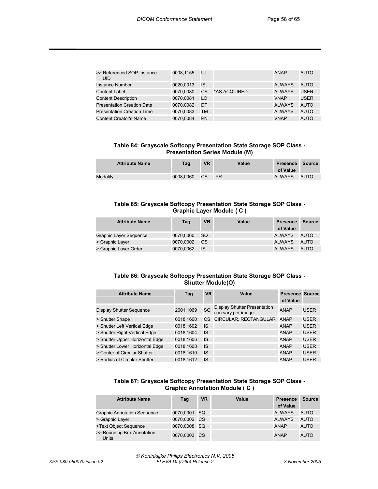| >> Referenced SOP Instance<br>UID. | 0008,1155 | UI        |               | ANAP          | <b>AUTO</b> |
|------------------------------------|-----------|-----------|---------------|---------------|-------------|
| Instance Number                    | 0020.0013 | IS        |               | ALWAYS        | <b>AUTO</b> |
| Content Label                      | 0070.0080 | CS        | "AS ACQUIRED" | <b>ALWAYS</b> | <b>USER</b> |
| <b>Content Description</b>         | 0070.0081 | LO        |               | <b>VNAP</b>   | <b>USER</b> |
| <b>Presentation Creation Date</b>  | 0070.0082 | DT        |               | <b>ALWAYS</b> | <b>AUTO</b> |
| <b>Presentation Creation Time</b>  | 0070.0083 | ТM        |               | <b>ALWAYS</b> | <b>AUTO</b> |
| <b>Content Creator's Name</b>      | 0070.0084 | <b>PN</b> |               | <b>VNAP</b>   | <b>AUTO</b> |

**Table 84: Grayscale Softcopy Presentation State Storage SOP Class - Presentation Series Module (M)** 

| <b>Attribute Name</b> | Tag       | <b>VR</b> | Value     | Presence<br>of Value | Source |
|-----------------------|-----------|-----------|-----------|----------------------|--------|
| Modality              | 0008.0060 | CS        | <b>PR</b> | ALWAYS               | AUTO   |

#### **Table 85: Grayscale Softcopy Presentation State Storage SOP Class - Graphic Layer Module ( C )**

| <b>Attribute Name</b>         | Tag       | <b>VR</b> | Value | <b>Presence</b> | <b>Source</b> |
|-------------------------------|-----------|-----------|-------|-----------------|---------------|
|                               |           |           |       | of Value        |               |
| <b>Graphic Layer Sequence</b> | 0070.0060 | <b>SQ</b> |       | ALWAYS          | AUTO          |
| > Graphic Layer               | 0070.0002 | <b>CS</b> |       | <b>ALWAYS</b>   | AUTO          |
| > Graphic Layer Order         | 0070.0062 | IS        |       | <b>ALWAYS</b>   | AUTO          |

#### **Table 86: Grayscale Softcopy Presentation State Storage SOP Class - Shutter Module(O)**

| <b>Attribute Name</b>           | Tag       | <b>VR</b> | Value                                               | <b>Presence Source</b><br>of Value |             |
|---------------------------------|-----------|-----------|-----------------------------------------------------|------------------------------------|-------------|
| <b>Display Shutter Sequence</b> | 2001,1069 | SQ        | Display Shutter Presentation<br>can vary per image. | <b>ANAP</b>                        | USER        |
| > Shutter Shape                 | 0018,1600 | CS.       | CIRCULAR, RECTANGULAR                               | <b>ANAP</b>                        | <b>USER</b> |
| > Shutter Left Vertical Edge    | 0018,1602 | IS        |                                                     | <b>ANAP</b>                        | <b>USER</b> |
| > Shutter Right Vertical Edge   | 0018,1604 | IS        |                                                     | <b>ANAP</b>                        | <b>USER</b> |
| > Shutter Upper Horizontal Edge | 0018.1606 | IS        |                                                     | <b>ANAP</b>                        | <b>USER</b> |
| > Shutter Lower Horizontal Edge | 0018,1608 | IS        |                                                     | <b>ANAP</b>                        | <b>USER</b> |
| > Center of Circular Shutter    | 0018,1610 | IS        |                                                     | <b>ANAP</b>                        | <b>USER</b> |
| > Radius of Circular Shutter    | 0018.1612 | IS        |                                                     | <b>ANAP</b>                        | <b>USER</b> |

#### **Table 87: Grayscale Softcopy Presentation State Storage SOP Class - Graphic Annotation Module ( C )**

| <b>Attribute Name</b>                      | Tag          | <b>VR</b> | Value | <b>Presence</b><br>of Value | <b>Source</b> |
|--------------------------------------------|--------------|-----------|-------|-----------------------------|---------------|
| <b>Graphic Annotation Sequence</b>         | 0070,0001 SQ |           |       | <b>ALWAYS</b>               | <b>AUTO</b>   |
| > Graphic Layer                            | 0070,0002 CS |           |       | <b>ALWAYS</b>               | <b>AUTO</b>   |
| >Text Object Sequence                      | 0070,0008 SQ |           |       | <b>ANAP</b>                 | <b>AUTO</b>   |
| >> Bounding Box Annotation<br><b>Units</b> | 0070,0003 CS |           |       | <b>ANAP</b>                 | AUTO          |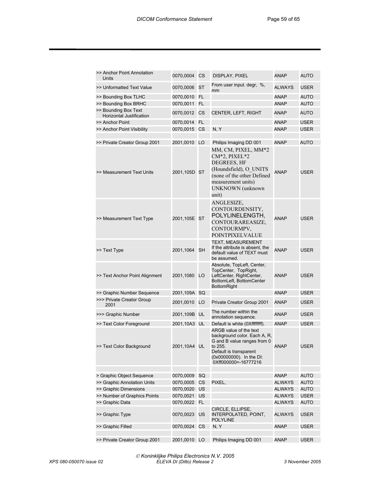| >> Anchor Point Annotation<br>Units              | 0070,0004    | СS | DISPLAY, PIXEL                                                                                                                                                                    | ANAP        | AUTO        |
|--------------------------------------------------|--------------|----|-----------------------------------------------------------------------------------------------------------------------------------------------------------------------------------|-------------|-------------|
| >> Unformatted Text Value                        | 0070,0006    | ST | From user input. degr, %,<br>mm                                                                                                                                                   | ALWAYS      | USER        |
| >> Bounding Box TLHC                             | 0070,0010    | FL |                                                                                                                                                                                   | ANAP        | AUTO        |
| >> Bounding Box BRHC                             | 0070,0011    | FL |                                                                                                                                                                                   | <b>ANAP</b> | <b>AUTO</b> |
| >> Bounding Box Text<br>Horizontal Justification | 0070,0012    | СS | CENTER, LEFT, RIGHT                                                                                                                                                               | ANAP        | AUTO        |
| >> Anchor Point                                  | 0070,0014    | FL |                                                                                                                                                                                   | ANAP        | <b>USER</b> |
| >> Anchor Point Visibility                       | 0070,0015    | CS | N, Y                                                                                                                                                                              | <b>ANAP</b> | <b>USER</b> |
| >> Private Creator Group 2001                    | 2001,0010    | LO | Philips Imaging DD 001                                                                                                                                                            | ANAP        | AUTO        |
| >> Measurement Text Units                        | 2001,105D ST |    | MM, CM, PIXEL, MM*2<br>CM*2, PIXEL*2<br>DEGREES, HF<br>(Houndsfield), O UNITS<br>(none of the other Defined<br>measurement units)<br>UNKNOWN (unknown<br>unit)                    | ANAP        | USER        |
| >> Measurement Text Type                         | 2001,105E ST |    | ANGLESIZE,<br>CONTOURDENSITY,<br>POLYLINELENGTH,<br>CONTOURAREASIZE,<br>CONTOURMPV,<br><b>POINTPIXELVALUE</b>                                                                     | ANAP        | <b>USER</b> |
| >> Text Type                                     | 2001,1064    | SH | TEXT, MEASUREMENT<br>If the attribute is absent, the<br>default value of TEXT must<br>be assumed.                                                                                 | ANAP        | <b>USER</b> |
| >> Text Anchor Point Alignment                   | 2001,1080    | LO | Absolute, TopLeft, Center,<br>TopCenter, TopRight,<br>LeftCenter, RightCenter,<br>BottomLeft, BottomCenter<br><b>BottomRight</b>                                                  | ANAP        | <b>USER</b> |
| >> Graphic Number Sequence                       | 2001,109A    | SQ |                                                                                                                                                                                   | ANAP        | <b>USER</b> |
| >>> Private Creator Group<br>2001                | 2001,0010    | LO | Private Creator Group 2001                                                                                                                                                        | ANAP        | USER        |
| >>> Graphic Number                               | 2001,109B    | UL | The number within the<br>annotation sequence.                                                                                                                                     | ANAP        | USER        |
| >> Text Color Foreground                         | 2001,10A3    | UL | Default is white (0Xffffffff).                                                                                                                                                    | ANAP        | <b>USER</b> |
| >> Text Color Background                         | 2001,10A4 UL |    | ARGB value of the text<br>background color. Each A, R,<br>G and B value ranges from 0<br>to 255.<br>Default is transparent<br>(0x00000000). In the DI:<br>0Xff000000 = - 16777216 | ANAP        | <b>USER</b> |
| > Graphic Object Sequence                        | 0070,0009    | SQ |                                                                                                                                                                                   | <b>ANAP</b> | <b>AUTO</b> |
| >> Graphic Annotation Units                      | 0070,0005    | СS | PIXEL,                                                                                                                                                                            | ALWAYS      | <b>AUTO</b> |
| >> Graphic Dimensions                            | 0070,0020    | US |                                                                                                                                                                                   | ALWAYS      | <b>AUTO</b> |
| >> Number of Graphics Points                     | 0070,0021    | US |                                                                                                                                                                                   | ALWAYS      | <b>USER</b> |
| >> Graphic Data                                  | 0070,0022    | FL |                                                                                                                                                                                   | ALWAYS      | AUTO        |
| >> Graphic Type                                  | 0070,0023    | US | CIRCLE, ELLIPSE,<br>INTERPOLATED, POINT,<br>POLYLINE                                                                                                                              | ALWAYS      | USER        |
| >> Graphic Filled                                | 0070,0024 CS |    | N, Y                                                                                                                                                                              | ANAP        | USER        |
|                                                  |              |    |                                                                                                                                                                                   |             |             |
| >> Private Creator Group 2001                    | 2001,0010 LO |    | Philips Imaging DD 001                                                                                                                                                            | ANAP        | USER        |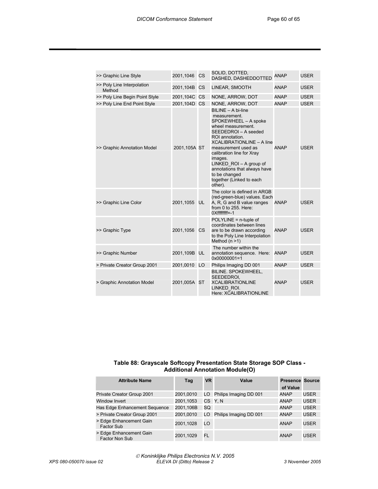| >> Graphic Line Style                | 2001,1046    | CS | SOLID, DOTTED,<br>DASHED, DASHEDDOTTED                                                                                                                                                                                                                                                                                                              | <b>ANAP</b> | <b>USER</b> |
|--------------------------------------|--------------|----|-----------------------------------------------------------------------------------------------------------------------------------------------------------------------------------------------------------------------------------------------------------------------------------------------------------------------------------------------------|-------------|-------------|
| >> Poly Line Interpolation<br>Method | 2001,104B CS |    | LINEAR, SMOOTH                                                                                                                                                                                                                                                                                                                                      | <b>ANAP</b> | <b>USER</b> |
| >> Poly Line Begin Point Style       | 2001,104C CS |    | NONE, ARROW, DOT                                                                                                                                                                                                                                                                                                                                    | <b>ANAP</b> | <b>USER</b> |
| >> Poly Line End Point Style         | 2001,104D CS |    | NONE, ARROW, DOT                                                                                                                                                                                                                                                                                                                                    | <b>ANAP</b> | <b>USER</b> |
| >> Graphic Annotation Model          | 2001,105A ST |    | BILINE - A bi-line<br>measurement.<br>SPOKEWHEEL - A spoke<br>wheel measurement.<br>SEEDEDROI - A seeded<br>ROI annotation.<br><b>XCALIBRATIONLINE - A line</b><br>measurement used as<br>calibration line for Xray<br>images.<br>LINKED $ROI - A group of$<br>annotations that always have<br>to be changed<br>together (Linked to each<br>other). | ANAP        | <b>USER</b> |
| >> Graphic Line Color                | 2001,1055 UL |    | The color is defined in ARGB<br>(red-green-blue) values. Each<br>A, R, G and B value ranges<br>from 0 to 255. Here:<br>OXfffffffff=-1                                                                                                                                                                                                               | ANAP        | <b>USER</b> |
| >> Graphic Type                      | 2001,1056 CS |    | $POLYLINE = n-tuple of$<br>coordinates between lines<br>are to be drawn according<br>to the Poly Line Interpolation<br>Method $(n > 1)$                                                                                                                                                                                                             | <b>ANAP</b> | USER        |
| >> Graphic Number                    | 2001,109B UL |    | The number within the<br>annotation sequence. Here:<br>$0x00000001 = 1$                                                                                                                                                                                                                                                                             | ANAP        | USER        |
| > Private Creator Group 2001         | 2001,0010 LO |    | Philips Imaging DD 001                                                                                                                                                                                                                                                                                                                              | <b>ANAP</b> | <b>USER</b> |
| > Graphic Annotation Model           | 2001,005A ST |    | BILINE. SPOKEWHEEL,<br>SEEDEDROI,<br><b>XCALIBRATIONLINE</b><br>LINKED ROI.<br>Here: XCALIBRATIONLINE                                                                                                                                                                                                                                               | ANAP        | <b>USER</b> |

#### **Table 88: Grayscale Softcopy Presentation State Storage SOP Class - Additional Annotation Module(O)**

| <b>Attribute Name</b>                            | Tag       | <b>VR</b> | Value                  | <b>Presence Source</b><br>of Value |             |
|--------------------------------------------------|-----------|-----------|------------------------|------------------------------------|-------------|
| Private Creator Group 2001                       | 2001,0010 | LO.       | Philips Imaging DD 001 | <b>ANAP</b>                        | USER        |
| Window Invert                                    | 2001,1053 |           | CS Y.N                 | <b>ANAP</b>                        | <b>USER</b> |
| Has Edge Enhancement Sequence                    | 2001,106B | SQ        |                        | <b>ANAP</b>                        | <b>USER</b> |
| > Private Creator Group 2001                     | 2001.0010 | LO        | Philips Imaging DD 001 | <b>ANAP</b>                        | <b>USER</b> |
| > Edge Enhancement Gain<br>Factor Sub            | 2001,1028 | LO        |                        | <b>ANAP</b>                        | <b>USER</b> |
| > Edge Enhancement Gain<br><b>Factor Non Sub</b> | 2001,1029 | FL        |                        | <b>ANAP</b>                        | <b>USER</b> |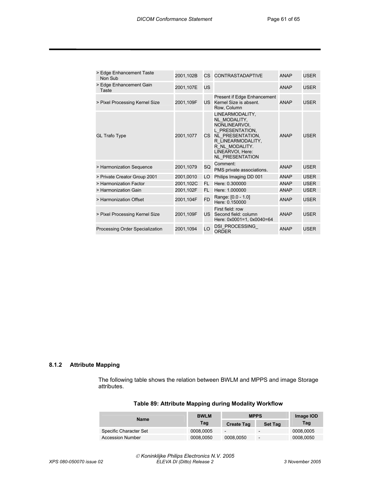| > Edge Enhancement Taste<br>Non Sub | 2001,102B |           | CS CONTRASTADAPTIVE                                                                                                                                                             | <b>ANAP</b> | <b>USER</b> |
|-------------------------------------|-----------|-----------|---------------------------------------------------------------------------------------------------------------------------------------------------------------------------------|-------------|-------------|
| > Edge Enhancement Gain<br>Taste    | 2001,107E | US        |                                                                                                                                                                                 | <b>ANAP</b> | USER        |
| > Pixel Processing Kernel Size      | 2001,109F | US.       | Present if Edge Enhancement<br>Kernel Size is absent.<br>Row, Column                                                                                                            | <b>ANAP</b> | USER        |
| <b>GL Trafo Type</b>                | 2001,1077 |           | LINEARMODALITY.<br>NL MODALITY.<br>NONLINEARVOI,<br>L PRESENTATION.<br>CS NL PRESENTATION,<br>R LINEARMODALITY,<br>R NL MODALITY.<br>LINEARVOI, Here:<br><b>NL PRESENTATION</b> | <b>ANAP</b> | <b>USER</b> |
| > Harmonization Sequence            | 2001,1079 | SQ        | Comment:<br>PMS private associations.                                                                                                                                           | <b>ANAP</b> | <b>USER</b> |
| > Private Creator Group 2001        | 2001,0010 | LO        | Philips Imaging DD 001                                                                                                                                                          | <b>ANAP</b> | <b>USER</b> |
| > Harmonization Factor              | 2001,102C | FL.       | Here: 0.300000                                                                                                                                                                  | <b>ANAP</b> | <b>USER</b> |
| > Harmonization Gain                | 2001,102F | FL        | Here: 1.000000                                                                                                                                                                  | <b>ANAP</b> | <b>USER</b> |
| > Harmonization Offset              | 2001,104F | <b>FD</b> | Range: [0.0 - 1.0]<br>Here: 0.150000                                                                                                                                            | <b>ANAP</b> | <b>USER</b> |
| > Pixel Processing Kernel Size      | 2001,109F |           | First field: row<br>US Second field: column<br>Here: 0x0001=1, 0x0040=64                                                                                                        | <b>ANAP</b> | <b>USER</b> |
| Processing Order Specialization     | 2001,1094 | LO        | DSI PROCESSING<br><b>ORDER</b>                                                                                                                                                  | <b>ANAP</b> | USER        |

#### **8.1.2 Attribute Mapping**

The following table shows the relation between BWLM and MPPS and image Storage attributes.

| <b>Name</b>             | <b>BWLM</b> | <b>MPPS</b>              | Image IOD                |           |
|-------------------------|-------------|--------------------------|--------------------------|-----------|
|                         | Tag         | <b>Create Tag</b>        | <b>Set Tag</b>           | Tag       |
| Specific Character Set  | 0008.0005   | $\overline{\phantom{0}}$ | $\overline{\phantom{0}}$ | 0008.0005 |
| <b>Accession Number</b> | 0008.0050   | 0008,0050                | -                        | 0008,0050 |

#### **Table 89: Attribute Mapping during Modality Workflow**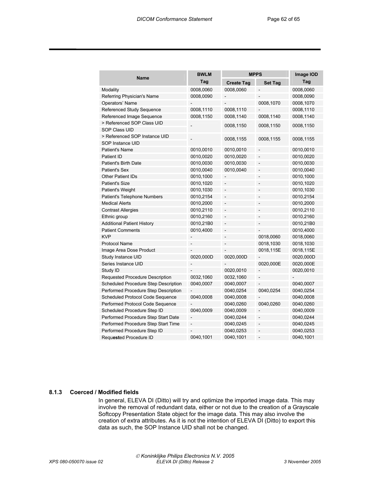| <b>Name</b>                          | <b>BWLM</b> |                   | <b>MPPS</b>    | Image IOD |
|--------------------------------------|-------------|-------------------|----------------|-----------|
|                                      | Tag         | <b>Create Tag</b> | <b>Set Tag</b> | Tag       |
| Modality                             | 0008,0060   | 0008,0060         |                | 0008,0060 |
| Referring Physician's Name           | 0008,0090   |                   |                | 0008,0090 |
| Operators' Name                      |             |                   | 0008,1070      | 0008,1070 |
| Referenced Study Sequence            | 0008,1110   | 0008,1110         |                | 0008,1110 |
| Referenced Image Sequence            | 0008,1150   | 0008,1140         | 0008,1140      | 0008,1140 |
| > Referenced SOP Class UID           |             | 0008,1150         | 0008,1150      | 0008,1150 |
| <b>SOP Class UID</b>                 |             |                   |                |           |
| > Referenced SOP Instance UID        |             | 0008,1155         | 0008,1155      | 0008,1155 |
| SOP Instance UID                     |             |                   |                |           |
| <b>Patient's Name</b>                | 0010,0010   | 0010,0010         |                | 0010,0010 |
| Patient ID                           | 0010,0020   | 0010,0020         |                | 0010,0020 |
| Patient's Birth Date                 | 0010,0030   | 0010,0030         | -              | 0010,0030 |
| <b>Patient's Sex</b>                 | 0010,0040   | 0010,0040         | $\overline{a}$ | 0010,0040 |
| <b>Other Patient IDs</b>             | 0010,1000   |                   |                | 0010,1000 |
| <b>Patient's Size</b>                | 0010,1020   |                   |                | 0010,1020 |
| Patient's Weight                     | 0010,1030   |                   |                | 0010,1030 |
| Patient's Telephone Numbers          | 0010,2154   |                   |                | 0010,2154 |
| <b>Medical Alerts</b>                | 0010,2000   | $\overline{a}$    |                | 0010,2000 |
| <b>Contrast Allergies</b>            | 0010,2110   | -                 |                | 0010,2110 |
| Ethnic group                         | 0010,2160   | -                 |                | 0010,2160 |
| <b>Additional Patient History</b>    | 0010,21B0   | ÷                 |                | 0010,21B0 |
| <b>Patient Comments</b>              | 0010,4000   | ÷                 |                | 0010,4000 |
| <b>KVP</b>                           |             | $\overline{a}$    | 0018,0060      | 0018,0060 |
| <b>Protocol Name</b>                 |             |                   | 0018,1030      | 0018,1030 |
| Image Area Dose Product              |             |                   | 0018,115E      | 0018,115E |
| Study Instance UID                   | 0020,000D   | 0020,000D         |                | 0020,000D |
| Series Instance UID                  |             |                   | 0020,000E      | 0020,000E |
| Study ID                             |             | 0020,0010         |                | 0020,0010 |
| Requested Procedure Description      | 0032,1060   | 0032,1060         |                |           |
| Scheduled Procedure Step Description | 0040,0007   | 0040,0007         |                | 0040,0007 |
| Performed Procedure Step Description |             | 0040,0254         | 0040,0254      | 0040,0254 |
| Scheduled Protocol Code Sequence     | 0040,0008   | 0040,0008         |                | 0040,0008 |
| Performed Protocol Code Sequence     |             | 0040,0260         | 0040,0260      | 0040,0260 |
| Scheduled Procedure Step ID          | 0040,0009   | 0040,0009         |                | 0040,0009 |
| Performed Procedure Step Start Date  |             | 0040,0244         |                | 0040,0244 |
| Performed Procedure Step Start Time  |             | 0040,0245         |                | 0040,0245 |
| Performed Procedure Step ID          |             | 0040,0253         |                | 0040,0253 |
| Requested Procedure ID               | 0040,1001   | 0040,1001         | L,             | 0040,1001 |

#### **8.1.3 Coerced / Modified fields**

In general, ELEVA DI (Ditto) will try and optimize the imported image data. This may involve the removal of redundant data, either or not due to the creation of a Grayscale Softcopy Presentation State object for the image data. This may also involve the creation of extra attributes. As it is not the intention of ELEVA DI (Ditto) to export this data as such, the SOP Instance UID shall not be changed.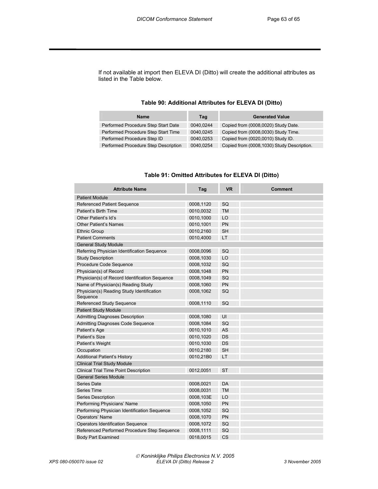If not available at import then ELEVA DI (Ditto) will create the additional attributes as listed in the Table below.

#### **Table 90: Additional Attributes for ELEVA DI (Ditto)**

| <b>Name</b>                          | Tag       | <b>Generated Value</b>                     |
|--------------------------------------|-----------|--------------------------------------------|
| Performed Procedure Step Start Date  | 0040.0244 | Copied from (0008,0020) Study Date.        |
| Performed Procedure Step Start Time  | 0040.0245 | Copied from (0008,0030) Study Time.        |
| Performed Procedure Step ID          | 0040.0253 | Copied from (0020,0010) Study ID.          |
| Performed Procedure Step Description | 0040.0254 | Copied from (0008,1030) Study Description. |

#### **Table 91: Omitted Attributes for ELEVA DI (Ditto)**

| <b>Attribute Name</b>                                 | Tag       | <b>VR</b> | <b>Comment</b> |
|-------------------------------------------------------|-----------|-----------|----------------|
| <b>Patient Module</b>                                 |           |           |                |
| <b>Referenced Patient Sequence</b>                    | 0008,1120 | SQ        |                |
| Patient's Birth Time                                  | 0010,0032 | <b>TM</b> |                |
| Other Patient's Id's                                  | 0010,1000 | LO        |                |
| <b>Other Patient's Names</b>                          | 0010,1001 | PN        |                |
| <b>Ethnic Group</b>                                   | 0010,2160 | <b>SH</b> |                |
| <b>Patient Comments</b>                               | 0010,4000 | LT        |                |
| <b>General Study Module</b>                           |           |           |                |
| Referring Physician Identification Sequence           | 0008,0096 | SQ        |                |
| <b>Study Description</b>                              | 0008,1030 | LO        |                |
| Procedure Code Sequence                               | 0008,1032 | SQ        |                |
| Physician(s) of Record                                | 0008,1048 | PN        |                |
| Physician(s) of Record Identification Sequence        | 0008,1049 | SQ        |                |
| Name of Physician(s) Reading Study                    | 0008,1060 | PN        |                |
| Physician(s) Reading Study Identification<br>Sequence | 0008,1062 | SQ        |                |
| <b>Referenced Study Sequence</b>                      | 0008,1110 | SQ        |                |
| <b>Patient Study Module</b>                           |           |           |                |
| <b>Admitting Diagnoses Description</b>                | 0008,1080 | UI        |                |
| Admitting Diagnoses Code Sequence                     | 0008,1084 | SQ        |                |
| Patient's Age                                         | 0010,1010 | <b>AS</b> |                |
| Patient's Size                                        | 0010,1020 | <b>DS</b> |                |
| Patient's Weight                                      | 0010,1030 | DS        |                |
| Occupation                                            | 0010,2180 | <b>SH</b> |                |
| <b>Additional Patient's History</b>                   | 0010,21B0 | LT        |                |
| <b>Clinical Trial Study Module</b>                    |           |           |                |
| <b>Clinical Trial Time Point Description</b>          | 0012,0051 | <b>ST</b> |                |
| <b>General Series Module</b>                          |           |           |                |
| Series Date                                           | 0008,0021 | DA        |                |
| <b>Series Time</b>                                    | 0008,0031 | <b>TM</b> |                |
| Series Description                                    | 0008,103E | LO        |                |
| Performing Physicians' Name                           | 0008,1050 | PN        |                |
| Performing Physician Identification Sequence          | 0008,1052 | SQ        |                |
| Operators' Name                                       | 0008,1070 | PN        |                |
| Operators Identification Sequence                     | 0008,1072 | SQ        |                |
| Referenced Performed Procedure Step Sequence          | 0008,1111 | SQ        |                |
| <b>Body Part Examined</b>                             | 0018,0015 | <b>CS</b> |                |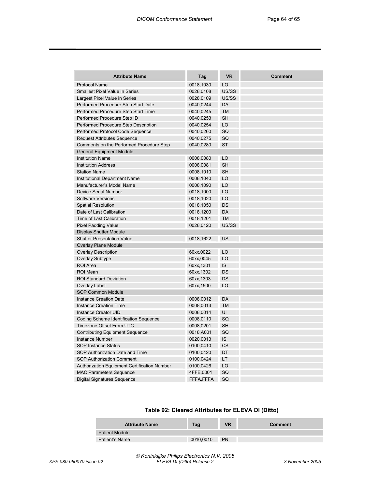| <b>Attribute Name</b>                               | Tag        | <b>VR</b> | Comment |
|-----------------------------------------------------|------------|-----------|---------|
| <b>Protocol Name</b>                                | 0018,1030  | LO        |         |
| <b>Smallest Pixel Value in Series</b>               | 0028.0108  | US/SS     |         |
| Largest Pixel Value in Series                       | 0028.0109  | US/SS     |         |
| Performed Procedure Step Start Date                 | 0040,0244  | DA        |         |
| Performed Procedure Step Start Time                 | 0040,0245  | <b>TM</b> |         |
| Performed Procedure Step ID                         | 0040,0253  | <b>SH</b> |         |
| Performed Procedure Step Description                | 0040,0254  | LO        |         |
| Performed Protocol Code Sequence                    | 0040,0260  | SQ        |         |
| <b>Request Attributes Sequence</b>                  | 0040,0275  | SQ        |         |
| Comments on the Performed Procedure Step            | 0040,0280  | <b>ST</b> |         |
| <b>General Equipment Module</b>                     |            |           |         |
| <b>Institution Name</b>                             | 0008,0080  | LO        |         |
| <b>Institution Address</b>                          | 0008,0081  | <b>SH</b> |         |
| <b>Station Name</b>                                 | 0008,1010  | <b>SH</b> |         |
| Institutional Department Name                       | 0008,1040  | LO        |         |
| Manufacturer's Model Name                           | 0008,1090  | LO        |         |
| <b>Device Serial Number</b>                         | 0018,1000  | LO        |         |
| <b>Software Versions</b>                            | 0018,1020  | LO        |         |
| <b>Spatial Resolution</b>                           | 0018,1050  | DS        |         |
| Date of Last Calibration                            | 0018,1200  | DA        |         |
| Time of Last Calibration                            | 0018,1201  | <b>TM</b> |         |
| <b>Pixel Padding Value</b>                          | 0028,0120  | US/SS     |         |
| <b>Display Shutter Module</b>                       |            |           |         |
| <b>Shutter Presentation Value</b>                   | 0018,1622  | US        |         |
| <b>Overlay Plane Module</b>                         |            |           |         |
| <b>Overlay Description</b>                          | 60xx,0022  | LO        |         |
| <b>Overlay Subtype</b>                              | 60xx,0045  | LO        |         |
| <b>ROI</b> Area                                     | 60xx, 1301 | IS        |         |
| <b>ROI Mean</b>                                     | 60xx, 1302 | DS        |         |
| <b>ROI Standard Deviation</b>                       | 60xx, 1303 | DS        |         |
| Overlay Label                                       | 60xx, 1500 | LO        |         |
| <b>SOP Common Module</b>                            |            |           |         |
| <b>Instance Creation Date</b>                       | 0008,0012  | DA        |         |
| <b>Instance Creation Time</b>                       | 0008,0013  | <b>TM</b> |         |
| Instance Creator UID                                | 0008,0014  | UI        |         |
| Coding Scheme Identification Sequence               | 0008,0110  | SQ        |         |
| Timezone Offset From UTC                            | 0008,0201  | <b>SH</b> |         |
| <b>Contributing Equipment Sequence</b>              | 0018,A001  | SQ        |         |
| <b>Instance Number</b>                              | 0020,0013  | IS        |         |
| <b>SOP Instance Status</b>                          | 0100,0410  | CS        |         |
| SOP Authorization Date and Time                     | 0100,0420  | DT        |         |
| <b>SOP Authorization Comment</b>                    | 0100,0424  | LT        |         |
| <b>Authorization Equipment Certification Number</b> | 0100,0426  | LO        |         |
| <b>MAC Parameters Sequence</b>                      | 4FFE,0001  | SQ        |         |
| <b>Digital Signatures Sequence</b>                  | FFFA,FFFA  | SQ        |         |

#### **Table 92: Cleared Attributes for ELEVA DI (Ditto)**

| <b>Attribute Name</b> | Tag       | <b>VR</b> | Comment |
|-----------------------|-----------|-----------|---------|
| <b>Patient Module</b> |           |           |         |
| Patient's Name        | 0010.0010 | <b>PN</b> |         |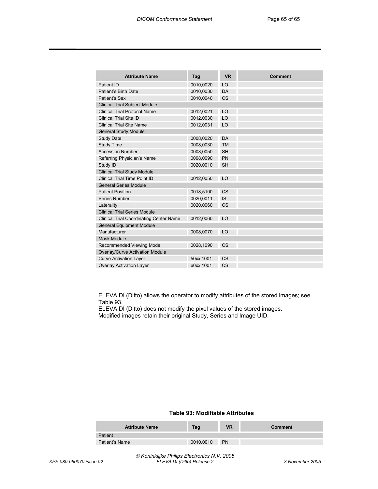| <b>Attribute Name</b>                          | Tag        | <b>VR</b> | <b>Comment</b> |
|------------------------------------------------|------------|-----------|----------------|
| Patient ID                                     | 0010,0020  | LO        |                |
| Patient's Birth Date                           | 0010,0030  | <b>DA</b> |                |
| Patient's Sex                                  | 0010,0040  | <b>CS</b> |                |
| <b>Clinical Trial Subject Module</b>           |            |           |                |
| <b>Clinical Trial Protocol Name</b>            | 0012,0021  | LO        |                |
| <b>Clinical Trial Site ID</b>                  | 0012,0030  | LO        |                |
| <b>Clinical Trial Site Name</b>                | 0012,0031  | LO        |                |
| <b>General Study Module</b>                    |            |           |                |
| <b>Study Date</b>                              | 0008,0020  | DA        |                |
| Study Time                                     | 0008,0030  | <b>TM</b> |                |
| <b>Accession Number</b>                        | 0008,0050  | <b>SH</b> |                |
| Referring Physician's Name                     | 0008,0090  | PN        |                |
| Study ID                                       | 0020,0010  | <b>SH</b> |                |
| Clinical Trial Study Module                    |            |           |                |
| Clinical Trial Time Point ID                   | 0012,0050  | LO        |                |
| <b>General Series Module</b>                   |            |           |                |
| <b>Patient Position</b>                        | 0018,5100  | <b>CS</b> |                |
| Series Number                                  | 0020,0011  | <b>IS</b> |                |
| Laterality                                     | 0020,0060  | <b>CS</b> |                |
| <b>Clinical Trial Series Module</b>            |            |           |                |
| <b>Clinical Trial Coordinating Center Name</b> | 0012,0060  | LO        |                |
| <b>General Equipment Module</b>                |            |           |                |
| Manufacturer                                   | 0008,0070  | LO        |                |
| <b>Mask Module</b>                             |            |           |                |
| <b>Recommended Viewing Mode</b>                | 0028,1090  | <b>CS</b> |                |
| <b>Overlay/Curve Activation Module</b>         |            |           |                |
| <b>Curve Activation Layer</b>                  | 50xx, 1001 | <b>CS</b> |                |
| <b>Overlay Activation Layer</b>                | 60xx, 1001 | <b>CS</b> |                |

ELEVA DI (Ditto) allows the operator to modify attributes of the stored images; see Table 93.

ELEVA DI (Ditto) does not modify the pixel values of the stored images. Modified images retain their original Study, Series and Image UID.

#### **Table 93: Modifiable Attributes**

| <b>Attribute Name</b> | Tag       | VR        | Comment |
|-----------------------|-----------|-----------|---------|
| Patient               |           |           |         |
| Patient's Name        | 0010.0010 | <b>PN</b> |         |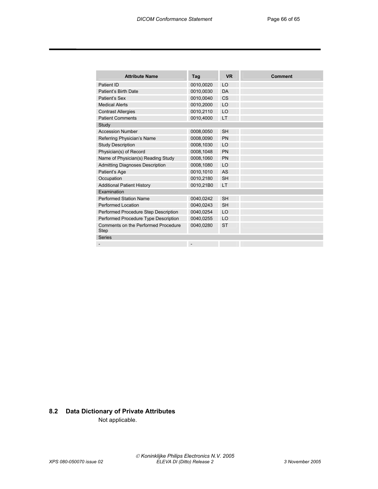| <b>Attribute Name</b>                       | Tag       | <b>VR</b> | <b>Comment</b> |
|---------------------------------------------|-----------|-----------|----------------|
| Patient ID                                  | 0010,0020 | LO        |                |
| Patient's Birth Date                        | 0010,0030 | DA        |                |
| Patient's Sex                               | 0010,0040 | <b>CS</b> |                |
| <b>Medical Alerts</b>                       | 0010,2000 | LO        |                |
| <b>Contrast Allergies</b>                   | 0010,2110 | LO        |                |
| <b>Patient Comments</b>                     | 0010,4000 | <b>LT</b> |                |
| Study                                       |           |           |                |
| <b>Accession Number</b>                     | 0008,0050 | <b>SH</b> |                |
| Referring Physician's Name                  | 0008,0090 | <b>PN</b> |                |
| <b>Study Description</b>                    | 0008,1030 | LO        |                |
| Physician(s) of Record                      | 0008,1048 | <b>PN</b> |                |
| Name of Physician(s) Reading Study          | 0008,1060 | <b>PN</b> |                |
| <b>Admitting Diagnoses Description</b>      | 0008,1080 | LO        |                |
| Patient's Age                               | 0010,1010 | AS        |                |
| Occupation                                  | 0010,2180 | <b>SH</b> |                |
| <b>Additional Patient History</b>           | 0010,21B0 | <b>LT</b> |                |
| Examination                                 |           |           |                |
| <b>Performed Station Name</b>               | 0040,0242 | <b>SH</b> |                |
| Performed Location                          | 0040,0243 | <b>SH</b> |                |
| Performed Procedure Step Description        | 0040,0254 | LO        |                |
| Performed Procedure Type Description        | 0040,0255 | LO        |                |
| Comments on the Performed Procedure<br>Step | 0040,0280 | <b>ST</b> |                |
| <b>Series</b>                               |           |           |                |
|                                             |           |           |                |

### **8.2 Data Dictionary of Private Attributes**

Not applicable.